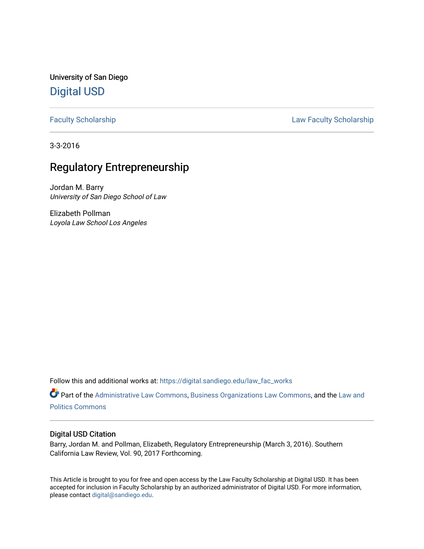University of San Diego [Digital USD](https://digital.sandiego.edu/)

[Faculty Scholarship](https://digital.sandiego.edu/law_fac_works) **Example 2018** Law Faculty Scholarship

3-3-2016

# Regulatory Entrepreneurship

Jordan M. Barry University of San Diego School of Law

Elizabeth Pollman Loyola Law School Los Angeles

Follow this and additional works at: [https://digital.sandiego.edu/law\\_fac\\_works](https://digital.sandiego.edu/law_fac_works?utm_source=digital.sandiego.edu%2Flaw_fac_works%2F9&utm_medium=PDF&utm_campaign=PDFCoverPages) 

Part of the [Administrative Law Commons,](http://network.bepress.com/hgg/discipline/579?utm_source=digital.sandiego.edu%2Flaw_fac_works%2F9&utm_medium=PDF&utm_campaign=PDFCoverPages) [Business Organizations Law Commons](http://network.bepress.com/hgg/discipline/900?utm_source=digital.sandiego.edu%2Flaw_fac_works%2F9&utm_medium=PDF&utm_campaign=PDFCoverPages), and the [Law and](http://network.bepress.com/hgg/discipline/867?utm_source=digital.sandiego.edu%2Flaw_fac_works%2F9&utm_medium=PDF&utm_campaign=PDFCoverPages)  [Politics Commons](http://network.bepress.com/hgg/discipline/867?utm_source=digital.sandiego.edu%2Flaw_fac_works%2F9&utm_medium=PDF&utm_campaign=PDFCoverPages)

### Digital USD Citation

Barry, Jordan M. and Pollman, Elizabeth, Regulatory Entrepreneurship (March 3, 2016). Southern California Law Review, Vol. 90, 2017 Forthcoming.

This Article is brought to you for free and open access by the Law Faculty Scholarship at Digital USD. It has been accepted for inclusion in Faculty Scholarship by an authorized administrator of Digital USD. For more information, please contact [digital@sandiego.edu.](mailto:digital@sandiego.edu)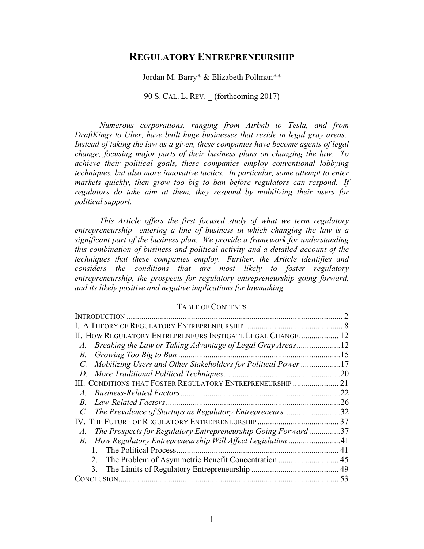## **REGULATORY ENTREPRENEURSHIP**

Jordan M. Barry\* & Elizabeth Pollman\*\*

90 S. CAL. L. REV. \_ (forthcoming 2017)

*Numerous corporations, ranging from Airbnb to Tesla, and from DraftKings to Uber, have built huge businesses that reside in legal gray areas. Instead of taking the law as a given, these companies have become agents of legal change, focusing major parts of their business plans on changing the law. To achieve their political goals, these companies employ conventional lobbying techniques, but also more innovative tactics. In particular, some attempt to enter markets quickly, then grow too big to ban before regulators can respond. If regulators do take aim at them, they respond by mobilizing their users for political support.*

*This Article offers the first focused study of what we term regulatory entrepreneurship—entering a line of business in which changing the law is a significant part of the business plan. We provide a framework for understanding this combination of business and political activity and a detailed account of the techniques that these companies employ. Further, the Article identifies and considers the conditions that are most likely to foster regulatory entrepreneurship, the prospects for regulatory entrepreneurship going forward, and its likely positive and negative implications for lawmaking.*

## TABLE OF CONTENTS

| II. HOW REGULATORY ENTREPRENEURS INSTIGATE LEGAL CHANGE 12                    |    |
|-------------------------------------------------------------------------------|----|
| Breaking the Law or Taking Advantage of Legal Gray Areas12<br>A.              |    |
| $B_{\cdot}$                                                                   |    |
| Mobilizing Users and Other Stakeholders for Political Power 17<br>$C_{\cdot}$ |    |
| D.                                                                            |    |
| III. CONDITIONS THAT FOSTER REGULATORY ENTREPRENEURSHIP  21                   |    |
| A.                                                                            |    |
| <i>B</i> .                                                                    |    |
| The Prevalence of Startups as Regulatory Entrepreneurs32                      |    |
|                                                                               |    |
| The Prospects for Regulatory Entrepreneurship Going Forward37<br>$A_{\cdot}$  |    |
| <i>B</i> .                                                                    |    |
| 1                                                                             | 41 |
| 2                                                                             |    |
| 3.                                                                            |    |
|                                                                               | 53 |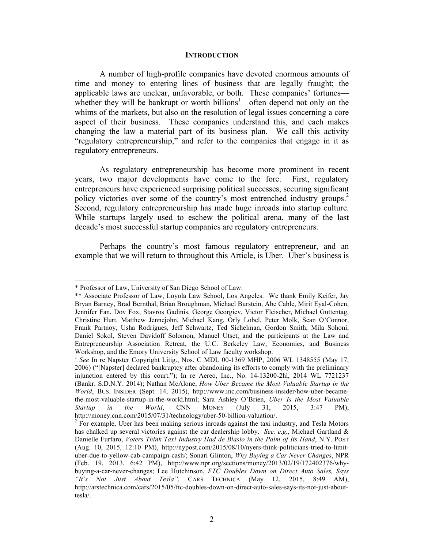#### **INTRODUCTION**

A number of high-profile companies have devoted enormous amounts of time and money to entering lines of business that are legally fraught; the applicable laws are unclear, unfavorable, or both. These companies' fortunes whether they will be bankrupt or worth billions<sup>1</sup>—often depend not only on the whims of the markets, but also on the resolution of legal issues concerning a core aspect of their business. These companies understand this, and each makes changing the law a material part of its business plan. We call this activity "regulatory entrepreneurship," and refer to the companies that engage in it as regulatory entrepreneurs.

As regulatory entrepreneurship has become more prominent in recent years, two major developments have come to the fore. First, regulatory entrepreneurs have experienced surprising political successes, securing significant policy victories over some of the country's most entrenched industry groups.<sup>2</sup> Second, regulatory entrepreneurship has made huge inroads into startup culture. While startups largely used to eschew the political arena, many of the last decade's most successful startup companies are regulatory entrepreneurs.

Perhaps the country's most famous regulatory entrepreneur, and an example that we will return to throughout this Article, is Uber. Uber's business is

 

<sup>\*</sup> Professor of Law, University of San Diego School of Law.

<sup>\*\*</sup> Associate Professor of Law, Loyola Law School, Los Angeles. We thank Emily Keifer, Jay Bryan Barney, Brad Bernthal, Brian Broughman, Michael Burstein, Abe Cable, Mirit Eyal-Cohen, Jennifer Fan, Dov Fox, Stavros Gadinis, George Georgiev, Victor Fleischer, Michael Guttentag, Christine Hurt, Matthew Jennejohn, Michael Kang, Orly Lobel, Peter Molk, Sean O'Connor, Frank Partnoy, Usha Rodrigues, Jeff Schwartz, Ted Sichelman, Gordon Smith, Mila Sohoni, Daniel Sokol, Steven Davidoff Solomon, Manuel Utset, and the participants at the Law and Entrepreneurship Association Retreat, the U.C. Berkeley Law, Economics, and Business

Workshop, and the Emory University School of Law faculty workshop.<br><sup>1</sup> *See* In re Napster Copyright Litig., Nos. C MDL 00-1369 MHP, 2006 WL 1348555 (May 17, 2006) ("[Napster] declared bankruptcy after abandoning its efforts to comply with the preliminary injunction entered by this court."); In re Aereo, Inc., No. 14-13200-2hl, 2014 WL 7721237 (Bankr. S.D.N.Y. 2014); Nathan McAlone, *How Uber Became the Most Valuable Startup in the World*, BUS. INSIDER (Sept. 14, 2015), http://www.inc.com/business-insider/how-uber-becamethe-most-valuable-startup-in-the-world.html; Sara Ashley O'Brien, *Uber Is the Most Valuable Startup in the World*, CNN MONEY (July 31, 2015, 3:47 PM), http://money.cnn.com/2015/07/31/technology/uber-50-billion-valuation/.

 $<sup>2</sup>$  For example, Uber has been making serious inroads against the taxi industry, and Tesla Motors</sup> has chalked up several victories against the car dealership lobby. *See, e.g.*, Michael Gartland & Danielle Furfaro, *Voters Think Taxi Industry Had de Blasio in the Palm of Its Hand*, N.Y. POST (Aug. 10, 2015, 12:10 PM), http://nypost.com/2015/08/10/nyers-think-politicians-tried-to-limituber-due-to-yellow-cab-campaign-cash/; Sonari Glinton, *Why Buying a Car Never Changes*, NPR (Feb. 19, 2013, 6:42 PM), http://www.npr.org/sections/money/2013/02/19/172402376/whybuying-a-car-never-changes; Lee Hutchinson, *FTC Doubles Down on Direct Auto Sales, Says "It's Not Just About Tesla"*, CARS TECHNICA (May 12, 2015, 8:49 AM), http://arstechnica.com/cars/2015/05/ftc-doubles-down-on-direct-auto-sales-says-its-not-just-abouttesla/.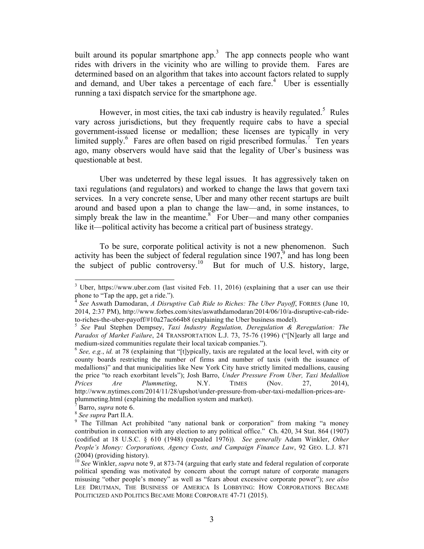built around its popular smartphone app.<sup>3</sup> The app connects people who want rides with drivers in the vicinity who are willing to provide them. Fares are determined based on an algorithm that takes into account factors related to supply and demand, and Uber takes a percentage of each fare.<sup>4</sup> Uber is essentially running a taxi dispatch service for the smartphone age.

However, in most cities, the taxi cab industry is heavily regulated.<sup>5</sup> Rules vary across jurisdictions, but they frequently require cabs to have a special government-issued license or medallion; these licenses are typically in very limited supply.<sup>6</sup> Fares are often based on rigid prescribed formulas.<sup>7</sup> Ten years ago, many observers would have said that the legality of Uber's business was questionable at best.

Uber was undeterred by these legal issues. It has aggressively taken on taxi regulations (and regulators) and worked to change the laws that govern taxi services. In a very concrete sense, Uber and many other recent startups are built around and based upon a plan to change the law—and, in some instances, to simply break the law in the meantime. $8<sup>8</sup>$  For Uber—and many other companies like it—political activity has become a critical part of business strategy.

To be sure, corporate political activity is not a new phenomenon. Such activity has been the subject of federal regulation since  $1907<sup>9</sup>$  and has long been the subject of public controversy.<sup>10</sup> But for much of U.S. history, large,

 <sup>3</sup> Uber, https://www.uber.com (last visited Feb. 11, 2016) (explaining that a user can use their phone to "Tap the app, get a ride.").

<sup>4</sup> *See* Aswath Damodaran, *A Disruptive Cab Ride to Riches: The Uber Payoff*, FORBES (June 10, 2014, 2:37 PM), http://www.forbes.com/sites/aswathdamodaran/2014/06/10/a-disruptive-cab-rideto-riches-the-uber-payoff/#10a27ac664b8 (explaining the Uber business model). <sup>5</sup> *See* Paul Stephen Dempsey, *Taxi Industry Regulation, Deregulation & Reregulation: The* 

*Paradox of Market Failure*, 24 TRANSPORTATION L.J. 73, 75-76 (1996) ("[N]early all large and medium-sized communities regulate their local taxicab companies.").<br><sup>6</sup> *See, e.g., id.* at 78 (explaining that "[t]ypically, taxis are regulated at the local level, with city or

county boards restricting the number of firms and number of taxis (with the issuance of medallions)" and that municipalities like New York City have strictly limited medallions, causing the price "to reach exorbitant levels"); Josh Barro, *Under Pressure From Uber, Taxi Medallion Prices Are Plummeting*, N.Y. TIMES (Nov. 27, 2014), http://www.nytimes.com/2014/11/28/upshot/under-pressure-from-uber-taxi-medallion-prices-areplummeting.html (explaining the medallion system and market).<br> $\frac{7}{7}$  Barro, *supra* note 6.

<sup>8</sup> *See supra* Part II.A.

<sup>&</sup>lt;sup>9</sup> The Tillman Act prohibited "any national bank or corporation" from making "a money contribution in connection with any election to any political office." Ch. 420, 34 Stat. 864 (1907) (codified at 18 U.S.C. § 610 (1948) (repealed 1976)). *See generally* Adam Winkler, *Other People's Money: Corporations, Agency Costs, and Campaign Finance Law*, 92 GEO. L.J. 871 (2004) (providing history).

<sup>10</sup> *See* Winkler, *supra* note 9, at 873-74 (arguing that early state and federal regulation of corporate political spending was motivated by concern about the corrupt nature of corporate managers misusing "other people's money" as well as "fears about excessive corporate power"); *see also* LEE DRUTMAN, THE BUSINESS OF AMERICA IS LOBBYING: HOW CORPORATIONS BECAME POLITICIZED AND POLITICS BECAME MORE CORPORATE 47-71 (2015).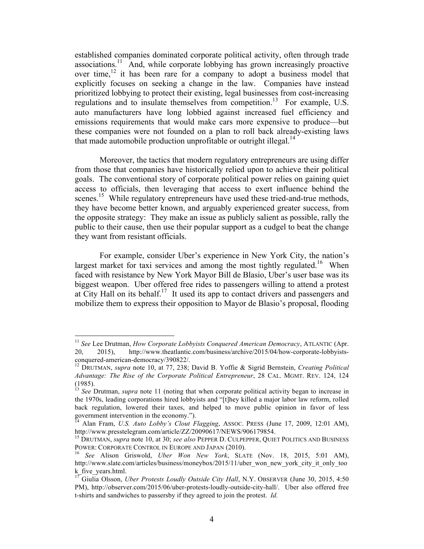established companies dominated corporate political activity, often through trade associations.<sup>11</sup> And, while corporate lobbying has grown increasingly proactive over time, $12$  it has been rare for a company to adopt a business model that explicitly focuses on seeking a change in the law. Companies have instead prioritized lobbying to protect their existing, legal businesses from cost-increasing regulations and to insulate themselves from competition.<sup>13</sup> For example, U.S. auto manufacturers have long lobbied against increased fuel efficiency and emissions requirements that would make cars more expensive to produce—but these companies were not founded on a plan to roll back already-existing laws that made automobile production unprofitable or outright illegal.<sup>14</sup>

Moreover, the tactics that modern regulatory entrepreneurs are using differ from those that companies have historically relied upon to achieve their political goals. The conventional story of corporate political power relies on gaining quiet access to officials, then leveraging that access to exert influence behind the scenes.<sup>15</sup> While regulatory entrepreneurs have used these tried-and-true methods, they have become better known, and arguably experienced greater success, from the opposite strategy: They make an issue as publicly salient as possible, rally the public to their cause, then use their popular support as a cudgel to beat the change they want from resistant officials.

For example, consider Uber's experience in New York City, the nation's largest market for taxi services and among the most tightly regulated.<sup>16</sup> When faced with resistance by New York Mayor Bill de Blasio, Uber's user base was its biggest weapon. Uber offered free rides to passengers willing to attend a protest at City Hall on its behalf.<sup>17</sup> It used its app to contact drivers and passengers and mobilize them to express their opposition to Mayor de Blasio's proposal, flooding

<sup>&</sup>lt;sup>11</sup> *See* Lee Drutman, *How Corporate Lobbyists Conquered American Democracy*, ATLANTIC (Apr. 20, 2015), http://www.theatlantic.com/business/archive/2015/04/how-corporate-lobbyistsconquered-american-democracy/390822/.<br><sup>12</sup> DRUTMAN, *supra* note 10, at 77, 238; David B. Yoffie & Sigrid Bernstein, *Creating Political* 

*Advantage: The Rise of the Corporate Political Entrepreneur*, 28 CAL. MGMT. REV. 124, 124 (1985).

<sup>&</sup>lt;sup>13</sup> See<sup> Drutman, *supra* note 11 (noting that when corporate political activity began to increase in</sup> the 1970s, leading corporations hired lobbyists and "[t]hey killed a major labor law reform, rolled back regulation, lowered their taxes, and helped to move public opinion in favor of less government intervention in the economy.").

<sup>14</sup> Alan Fram, *U.S. Auto Lobby's Clout Flagging*, ASSOC. PRESS (June 17, 2009, 12:01 AM), http://www.presstelegram.com/article/ZZ/20090617/NEWS/906179854.

<sup>15</sup> DRUTMAN, *supra* note 10, at 30; *see also* PEPPER D. CULPEPPER, QUIET POLITICS AND BUSINESS POWER: CORPORATE CONTROL IN EUROPE AND JAPAN (2010). <sup>16</sup> *See* Alison Griswold, *Uber Won New York*, SLATE (Nov. 18, 2015, 5:01 AM),

http://www.slate.com/articles/business/moneybox/2015/11/uber\_won\_new\_york\_city\_it\_only\_too k\_five\_years.html.

<sup>&</sup>lt;sup>17</sup> Giulia Olsson, *Uber Protests Loudly Outside City Hall*, N.Y. OBSERVER (June 30, 2015, 4:50 PM), http://observer.com/2015/06/uber-protests-loudly-outside-city-hall/. Uber also offered free t-shirts and sandwiches to passersby if they agreed to join the protest. *Id.*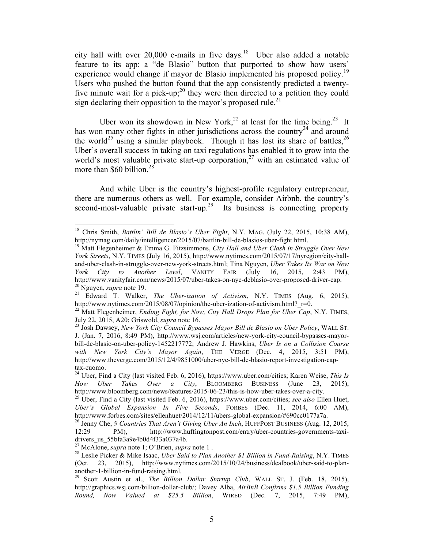city hall with over 20,000 e-mails in five days.18 Uber also added a notable feature to its app: a "de Blasio" button that purported to show how users' experience would change if mayor de Blasio implemented his proposed policy.<sup>19</sup> Users who pushed the button found that the app consistently predicted a twentyfive minute wait for a pick-up;<sup>20</sup> they were then directed to a petition they could sign declaring their opposition to the mayor's proposed rule.<sup>21</sup>

Uber won its showdown in New York,<sup>22</sup> at least for the time being.<sup>23</sup> It has won many other fights in other jurisdictions across the country<sup>24</sup> and around the world<sup>25</sup> using a similar playbook. Though it has lost its share of battles,<sup>26</sup> Uber's overall success in taking on taxi regulations has enabled it to grow into the world's most valuable private start-up corporation,<sup>27</sup> with an estimated value of more than \$60 billion.<sup>28</sup>

And while Uber is the country's highest-profile regulatory entrepreneur, there are numerous others as well. For example, consider Airbnb, the country's second-most-valuable private start-up.<sup>29</sup> Its business is connecting property

 18 Chris Smith, *Battlin' Bill de Blasio's Uber Fight*, N.Y. MAG. (July 22, 2015, 10:38 AM), http://nymag.com/daily/intelligencer/2015/07/battlin-bill-de-blasios-uber-fight.html. <sup>19</sup> Matt Flegenheimer & Emma G. Fitzsimmons, *City Hall and Uber Clash in Struggle Over New* 

*York Streets*, N.Y. TIMES (July 16, 2015), http://www.nytimes.com/2015/07/17/nyregion/city-halland-uber-clash-in-struggle-over-new-york-streets.html; Tina Nguyen, *Uber Takes Its War on New York City to Another Level*, VANITY FAIR (July 16, 2015, 2:43 PM), http://www.vanityfair.com/news/2015/07/uber-takes-on-nyc-deblasio-over-proposed-driver-cap.<br><sup>20</sup> Nguyen, *supra* note 19.<br><sup>21</sup> Edward T. Walker, *The Uber-ization of Activism*, N.Y. TIMES (Aug. 6, 2015),<br>http://www.nvtimes

<sup>&</sup>lt;sup>22</sup> Matt Flegenheimer, *Ending Fight, for Now, City Hall Drops Plan for Uber Cap*, N.Y. TIMES, July 22, 2015, A20; Griswold, *supra* note 16.<br><sup>23</sup> Josh Dawsey, *New York City Council Bypasses Mayor Bill de Blasio on Uber Policy*, WALL ST.

J. (Jan. 7, 2016, 8:49 PM), http://www.wsj.com/articles/new-york-city-council-bypasses-mayorbill-de-blasio-on-uber-policy-1452217772; Andrew J. Hawkins, *Uber Is on a Collision Course with New York City's Mayor Again*, THE VERGE (Dec. 4, 2015, 3:51 PM), http://www.theverge.com/2015/12/4/9851000/uber-nyc-bill-de-blasio-report-investigation-cap-

tax-cuomo. 24 Uber, Find a City (last visited Feb. 6, 2016), https://www.uber.com/cities; Karen Weise, *This Is How Uber Takes Over a City*, BLOOMBERG BUSINESS (June 23, 2015), http://www.bloomberg.com/news/features/2015-06-23/this-is-how-uber-takes-over-a-city.

<sup>&</sup>lt;sup>25</sup> Uber, Find a City (last visited Feb. 6, 2016), https://www.uber.com/cities; *see also* Ellen Huet, *Uber's Global Expansion In Five Seconds*, FORBES (Dec. 11, 2014, 6:00 AM),

http://www.forbes.com/sites/ellenhuet/2014/12/11/ubers-global-expansion/#690cc0177a7a.<br><sup>26</sup> Jenny Che, *9 Countries That Aren't Giving Uber An Inch*, HUFFPOST BUSINESS (Aug. 12, 2015, 12:29 PM), http://www.huffingtonpost.c PM), http://www.huffingtonpost.com/entry/uber-countries-governments-taxidrivers\_us\_55bfa3a9e4b0d4f33a037a4b.<br><sup>27</sup> McAlone, *supra* note 1; O'Brien, *supra* note 1.

<sup>&</sup>lt;sup>28</sup> Leslie Picker & Mike Isaac, *Uber Said to Plan Another \$1 Billion in Fund-Raising*, N.Y. TIMES (Oct. 23, 2015), http://www.nytimes.com/2015/10/24/business/dealbook/uber-said-to-plananother-1-billion-in-fund-raising.html. 29 Scott Austin et al., *The Billion Dollar Startup Club*, WALL ST. J. (Feb. 18, 2015),

http://graphics.wsj.com/billion-dollar-club/; Davey Alba, *AirBnB Confirms \$1.5 Billion Funding Round, Now Valued at \$25.5 Billion*, WIRED (Dec. 7, 2015, 7:49 PM),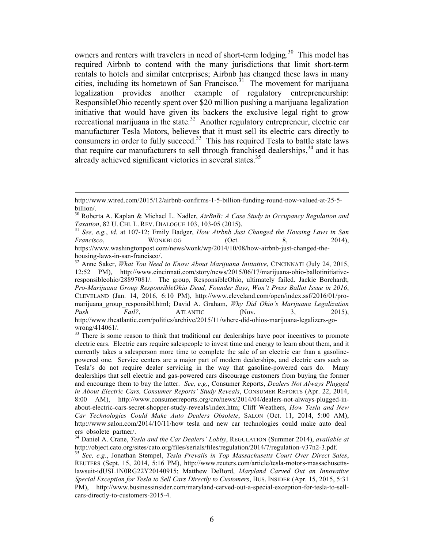owners and renters with travelers in need of short-term lodging.<sup>30</sup> This model has required Airbnb to contend with the many jurisdictions that limit short-term rentals to hotels and similar enterprises; Airbnb has changed these laws in many cities, including its hometown of San Francisco. <sup>31</sup> The movement for marijuana legalization provides another example of regulatory entrepreneurship: ResponsibleOhio recently spent over \$20 million pushing a marijuana legalization initiative that would have given its backers the exclusive legal right to grow recreational marijuana in the state.<sup>32</sup> Another regulatory entrepreneur, electric car manufacturer Tesla Motors, believes that it must sell its electric cars directly to consumers in order to fully succeed. 33 This has required Tesla to battle state laws that require car manufacturers to sell through franchised dealerships,<sup>34</sup> and it has already achieved significant victories in several states.<sup>35</sup>

<sup>&</sup>lt;u> 1989 - Andrea Santa Andrea Andrea Andrea Andrea Andrea Andrea Andrea Andrea Andrea Andrea Andrea Andrea Andr</u> http://www.wired.com/2015/12/airbnb-confirms-1-5-billion-funding-round-now-valued-at-25-5 billion/.

<sup>30</sup> Roberta A. Kaplan & Michael L. Nadler, *AirBnB: A Case Study in Occupancy Regulation and Taxation*, 82 U. CHI. L. REV. DIALOGUE 103, 103-05 (2015). <sup>31</sup> *See, e.g.*, *id.* at 107-12; Emily Badger, *How Airbnb Just Changed the Housing Laws in San* 

*Francisco*, WONKBLOG (Oct. 8, 2014),

https://www.washingtonpost.com/news/wonk/wp/2014/10/08/how-airbnb-just-changed-thehousing-laws-in-san-francisco/.<br><sup>32</sup> Anne Saker, *What You Need to Know About Marijuana Initiative*, CINCINNATI (July 24, 2015,

<sup>12:52</sup> PM), http://www.cincinnati.com/story/news/2015/06/17/marijuana-ohio-ballotinitiativeresponsibleohio/28897081/. The group, ResponsibleOhio, ultimately failed. Jackie Borchardt, *Pro-Marijuana Group ResponsibleOhio Dead, Founder Says, Won't Press Ballot Issue in 2016*, CLEVELAND (Jan. 14, 2016, 6:10 PM), http://www.cleveland.com/open/index.ssf/2016/01/promarijuana\_group\_responsibl.html; David A. Graham, *Why Did Ohio's Marijuana Legalization Push Fail?*, ATLANTIC (Nov. 3, 2015), http://www.theatlantic.com/politics/archive/2015/11/where-did-ohios-marijuana-legalizers-gowrong/414061/.

<sup>&</sup>lt;sup>33</sup> There is some reason to think that traditional car dealerships have poor incentives to promote electric cars. Electric cars require salespeople to invest time and energy to learn about them, and it currently takes a salesperson more time to complete the sale of an electric car than a gasolinepowered one. Service centers are a major part of modern dealerships, and electric cars such as Tesla's do not require dealer servicing in the way that gasoline-powered cars do. Many dealerships that sell electric and gas-powered cars discourage customers from buying the former and encourage them to buy the latter. *See, e.g.*, Consumer Reports, *Dealers Not Always Plugged in About Electric Cars, Consumer Reports' Study Reveals*, CONSUMER REPORTS (Apr. 22, 2014, 8:00 AM), http://www.consumerreports.org/cro/news/2014/04/dealers-not-always-plugged-inabout-electric-cars-secret-shopper-study-reveals/index.htm; Cliff Weathers, *How Tesla and New Car Technologies Could Make Auto Dealers Obsolete*, SALON (Oct. 11, 2014, 5:00 AM), http://www.salon.com/2014/10/11/how tesla and new car technologies could make auto deal ers obsolete partner/.

<sup>&</sup>lt;sup>34</sup> Daniel A. Crane, *Tesla and the Car Dealers' Lobby*, REGULATION (Summer 2014), *available at* http://object.cato.org/sites/cato.org/files/serials/files/regulation/2014/7/regulation-v37n2-3.pdf.

<sup>&</sup>lt;sup>35</sup> See, e.g., Jonathan Stempel, *Tesla Prevails in Top Massachusetts Court Over Direct Sales*, REUTERS (Sept. 15, 2014, 5:16 PM), http://www.reuters.com/article/tesla-motors-massachusettslawsuit-idUSL1N0RG22Y20140915; Matthew DeBord, *Maryland Carved Out an Innovative Special Exception for Tesla to Sell Cars Directly to Customers*, BUS. INSIDER (Apr. 15, 2015, 5:31 PM), http://www.businessinsider.com/maryland-carved-out-a-special-exception-for-tesla-to-sellcars-directly-to-customers-2015-4.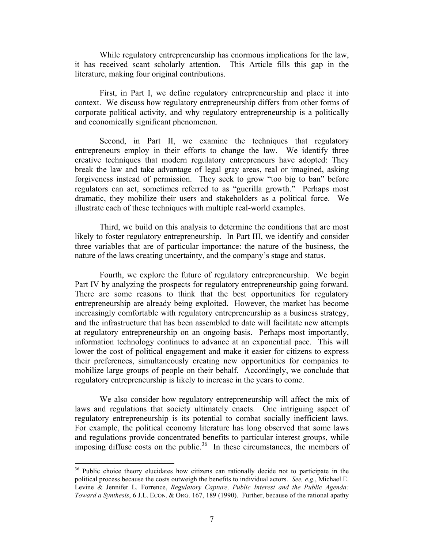While regulatory entrepreneurship has enormous implications for the law, it has received scant scholarly attention. This Article fills this gap in the literature, making four original contributions.

First, in Part I, we define regulatory entrepreneurship and place it into context. We discuss how regulatory entrepreneurship differs from other forms of corporate political activity, and why regulatory entrepreneurship is a politically and economically significant phenomenon.

Second, in Part II, we examine the techniques that regulatory entrepreneurs employ in their efforts to change the law. We identify three creative techniques that modern regulatory entrepreneurs have adopted: They break the law and take advantage of legal gray areas, real or imagined, asking forgiveness instead of permission. They seek to grow "too big to ban" before regulators can act, sometimes referred to as "guerilla growth." Perhaps most dramatic, they mobilize their users and stakeholders as a political force. We illustrate each of these techniques with multiple real-world examples.

Third, we build on this analysis to determine the conditions that are most likely to foster regulatory entrepreneurship. In Part III, we identify and consider three variables that are of particular importance: the nature of the business, the nature of the laws creating uncertainty, and the company's stage and status.

Fourth, we explore the future of regulatory entrepreneurship. We begin Part IV by analyzing the prospects for regulatory entrepreneurship going forward. There are some reasons to think that the best opportunities for regulatory entrepreneurship are already being exploited. However, the market has become increasingly comfortable with regulatory entrepreneurship as a business strategy, and the infrastructure that has been assembled to date will facilitate new attempts at regulatory entrepreneurship on an ongoing basis. Perhaps most importantly, information technology continues to advance at an exponential pace. This will lower the cost of political engagement and make it easier for citizens to express their preferences, simultaneously creating new opportunities for companies to mobilize large groups of people on their behalf. Accordingly, we conclude that regulatory entrepreneurship is likely to increase in the years to come.

We also consider how regulatory entrepreneurship will affect the mix of laws and regulations that society ultimately enacts. One intriguing aspect of regulatory entrepreneurship is its potential to combat socially inefficient laws. For example, the political economy literature has long observed that some laws and regulations provide concentrated benefits to particular interest groups, while imposing diffuse costs on the public.<sup>36</sup> In these circumstances, the members of

<sup>&</sup>lt;sup>36</sup> Public choice theory elucidates how citizens can rationally decide not to participate in the political process because the costs outweigh the benefits to individual actors. *See, e.g.*, Michael E. Levine & Jennifer L. Forrence, *Regulatory Capture, Public Interest and the Public Agenda: Toward a Synthesis*, 6 J.L. ECON. & ORG. 167, 189 (1990). Further, because of the rational apathy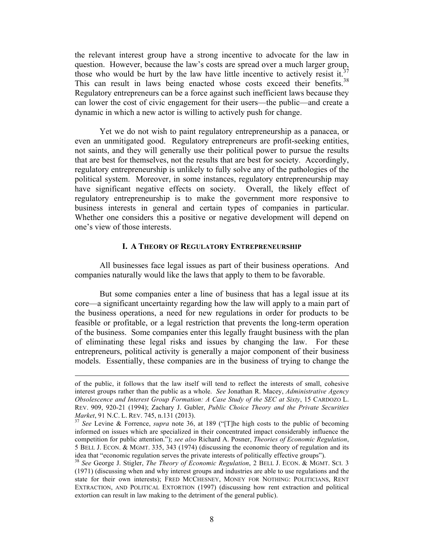the relevant interest group have a strong incentive to advocate for the law in question. However, because the law's costs are spread over a much larger group, those who would be hurt by the law have little incentive to actively resist it.<sup>37</sup> This can result in laws being enacted whose costs exceed their benefits.<sup>38</sup> Regulatory entrepreneurs can be a force against such inefficient laws because they can lower the cost of civic engagement for their users—the public—and create a dynamic in which a new actor is willing to actively push for change.

Yet we do not wish to paint regulatory entrepreneurship as a panacea, or even an unmitigated good. Regulatory entrepreneurs are profit-seeking entities, not saints, and they will generally use their political power to pursue the results that are best for themselves, not the results that are best for society. Accordingly, regulatory entrepreneurship is unlikely to fully solve any of the pathologies of the political system. Moreover, in some instances, regulatory entrepreneurship may have significant negative effects on society. Overall, the likely effect of regulatory entrepreneurship is to make the government more responsive to business interests in general and certain types of companies in particular. Whether one considers this a positive or negative development will depend on one's view of those interests.

#### **I. A THEORY OF REGULATORY ENTREPRENEURSHIP**

All businesses face legal issues as part of their business operations. And companies naturally would like the laws that apply to them to be favorable.

But some companies enter a line of business that has a legal issue at its core—a significant uncertainty regarding how the law will apply to a main part of the business operations, a need for new regulations in order for products to be feasible or profitable, or a legal restriction that prevents the long-term operation of the business. Some companies enter this legally fraught business with the plan of eliminating these legal risks and issues by changing the law. For these entrepreneurs, political activity is generally a major component of their business models. Essentially, these companies are in the business of trying to change the

<u> 1989 - Johann Stein, marwolaethau a bhann an chomhair an chomhair an chomhair an chomhair an chomhair an chom</u>

of the public, it follows that the law itself will tend to reflect the interests of small, cohesive interest groups rather than the public as a whole. *See* Jonathan R. Macey, *Administrative Agency Obsolescence and Interest Group Formation: A Case Study of the SEC at Sixty*, 15 CARDOZO L. REV. 909, 920-21 (1994); Zachary J. Gubler, *Public Choice Theory and the Private Securities Market*, 91 N.C. L. REV. 745, n.131 (2013).<br><sup>37</sup> *See* Levine & Forrence, *supra* note 36, at 189 ("[T]he high costs to the public of becoming

informed on issues which are specialized in their concentrated impact considerably influence the competition for public attention."); *see also* Richard A. Posner, *Theories of Economic Regulation*, 5 BELL J. ECON. & MGMT. 335, 343 (1974) (discussing the economic theory of regulation and its idea that "economic regulation serves the private interests of politically effective groups").

<sup>38</sup> *See* George J. Stigler, *The Theory of Economic Regulation*, 2 BELL J. ECON. & MGMT. SCI. 3 (1971) (discussing when and why interest groups and industries are able to use regulations and the state for their own interests); FRED MCCHESNEY, MONEY FOR NOTHING: POLITICIANS, RENT EXTRACTION, AND POLITICAL EXTORTION (1997) (discussing how rent extraction and political extortion can result in law making to the detriment of the general public).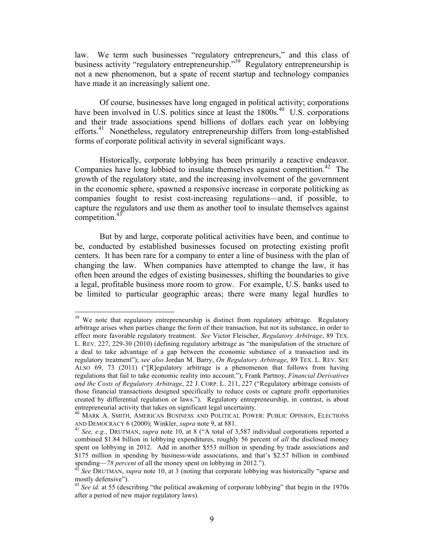law. We term such businesses "regulatory entrepreneurs," and this class of business activity "regulatory entrepreneurship."<sup>39</sup> Regulatory entrepreneurship is not a new phenomenon, but a spate of recent startup and technology companies have made it an increasingly salient one.

Of course, businesses have long engaged in political activity; corporations have been involved in U.S. politics since at least the 1800s.<sup>40</sup> U.S. corporations and their trade associations spend billions of dollars each year on lobbying efforts.<sup>41</sup> Nonetheless, regulatory entrepreneurship differs from long-established forms of corporate political activity in several significant ways.

Historically, corporate lobbying has been primarily a reactive endeavor. Companies have long lobbied to insulate themselves against competition. 42 The growth of the regulatory state, and the increasing involvement of the government in the economic sphere, spawned a responsive increase in corporate politicking as companies fought to resist cost-increasing regulations—and, if possible, to capture the regulators and use them as another tool to insulate themselves against competition.<sup>43</sup>

But by and large, corporate political activities have been, and continue to be, conducted by established businesses focused on protecting existing profit centers. It has been rare for a company to enter a line of business with the plan of changing the law. When companies have attempted to change the law, it has often been around the edges of existing businesses, shifting the boundaries to give a legal, profitable business more room to grow. For example, U.S. banks used to be limited to particular geographic areas; there were many legal hurdles to

<sup>&</sup>lt;sup>39</sup> We note that regulatory entrepreneurship is distinct from regulatory arbitrage. Regulatory arbitrage arises when parties change the form of their transaction, but not its substance, in order to effect more favorable regulatory treatment. *See* Victor Fleischer, *Regulatory Arbitrage*, 89 TEX. L. REV. 227, 229-30 (2010) (defining regulatory arbitrage as "the manipulation of the structure of a deal to take advantage of a gap between the economic substance of a transaction and its regulatory treatment"); *see also* Jordan M. Barry, *On Regulatory Arbitrage*, 89 TEX. L. REV. SEE ALSO 69, 73 (2011) ("[R]egulatory arbitrage is a phenomenon that follows from having regulations that fail to take economic reality into account."); Frank Partnoy, *Financial Derivatives and the Costs of Regulatory Arbitrage*, 22 J. CORP. L. 211, 227 ("Regulatory arbitrage consists of those financial transactions designed specifically to reduce costs or capture profit opportunities created by differential regulation or laws."). Regulatory entrepreneurship, in contrast, is about

entrepreneurial activity that takes on significant legal uncertainty.<br><sup>40</sup> MARK A. SMITH, AMERICAN BUSINESS AND POLITICAL POWER: PUBLIC OPINION, ELECTIONS<br>AND DEMOCRACY 6 (2000); Winkler, *supra* note 9, at 881.

<sup>&</sup>lt;sup>41</sup> See, e.g., DRUTMAN, *supra* note 10, at 8 ("A total of 3,587 individual corporations reported a combined \$1.84 billion in lobbying expenditures, roughly 56 percent of *all* the disclosed money spent on lobbying in 2012. Add in another \$553 million in spending by trade associations and \$175 million in spending by business-wide associations, and that's \$2.57 billion in combined

spending—*78 percent* of all the money spent on lobbying in 2012."). <sup>42</sup> *See* DRUTMAN, *supra* note 10, at 3 (noting that corporate lobbying was historically "sparse and mostly defensive").

<sup>&</sup>lt;sup>43</sup> See id. at 55 (describing "the political awakening of corporate lobbying" that begin in the 1970s after a period of new major regulatory laws).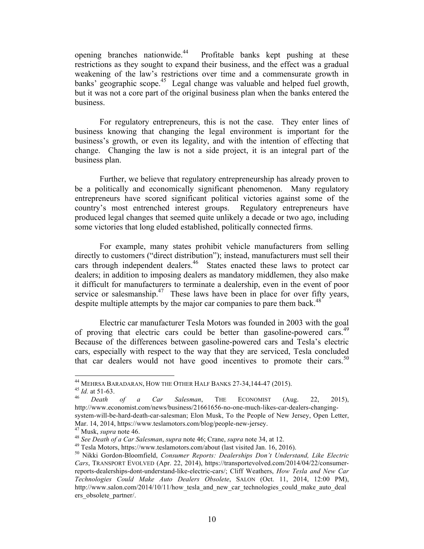opening branches nationwide. Profitable banks kept pushing at these restrictions as they sought to expand their business, and the effect was a gradual weakening of the law's restrictions over time and a commensurate growth in banks' geographic scope. 45 Legal change was valuable and helped fuel growth, but it was not a core part of the original business plan when the banks entered the business.

For regulatory entrepreneurs, this is not the case. They enter lines of business knowing that changing the legal environment is important for the business's growth, or even its legality, and with the intention of effecting that change. Changing the law is not a side project, it is an integral part of the business plan.

Further, we believe that regulatory entrepreneurship has already proven to be a politically and economically significant phenomenon. Many regulatory entrepreneurs have scored significant political victories against some of the country's most entrenched interest groups. Regulatory entrepreneurs have produced legal changes that seemed quite unlikely a decade or two ago, including some victories that long eluded established, politically connected firms.

For example, many states prohibit vehicle manufacturers from selling directly to customers ("direct distribution"); instead, manufacturers must sell their cars through independent dealers.<sup>46</sup> States enacted these laws to protect car dealers; in addition to imposing dealers as mandatory middlemen, they also make it difficult for manufacturers to terminate a dealership, even in the event of poor service or salesmanship.<sup>47</sup> These laws have been in place for over fifty years, despite multiple attempts by the major car companies to pare them back.<sup>48</sup>

Electric car manufacturer Tesla Motors was founded in 2003 with the goal of proving that electric cars could be better than gasoline-powered cars.<sup>49</sup> Because of the differences between gasoline-powered cars and Tesla's electric cars, especially with respect to the way that they are serviced, Tesla concluded that car dealers would not have good incentives to promote their cars.<sup>50</sup>

<sup>&</sup>lt;sup>44</sup> MEHRSA BARADARAN, HOW THE OTHER HALF BANKS 27-34,144-47 (2015).<br><sup>45</sup> *Id.* at 51-63.<br><sup>46</sup> *Death of a Car Salesman*, THE ECONOMIST (Aug. 22, 2015),

http://www.economist.com/news/business/21661656-no-one-much-likes-car-dealers-changingsystem-will-be-hard-death-car-salesman; Elon Musk, To the People of New Jersey, Open Letter, Mar. 14, 2014, https://www.teslamotors.com/blog/people-new-jersey.<br><sup>47</sup> Musk, *supra* note 46.<br><sup>48</sup> See Death of a Car Salesman, *supra* note 46; Crane, *supra* note 34, at 12.<br><sup>49</sup> Tesla Motors, https://www.teslamotors.co

*Cars*, TRANSPORT EVOLVED (Apr. 22, 2014), https://transportevolved.com/2014/04/22/consumerreports-dealerships-dont-understand-like-electric-cars/; Cliff Weathers, *How Tesla and New Car Technologies Could Make Auto Dealers Obsolete*, SALON (Oct. 11, 2014, 12:00 PM), http://www.salon.com/2014/10/11/how tesla and new car technologies could make auto deal ers obsolete partner/.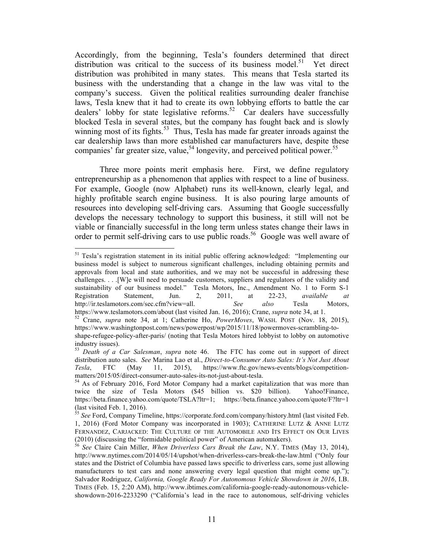Accordingly, from the beginning, Tesla's founders determined that direct distribution was critical to the success of its business model.<sup>51</sup> Yet direct distribution was prohibited in many states. This means that Tesla started its business with the understanding that a change in the law was vital to the company's success. Given the political realities surrounding dealer franchise laws, Tesla knew that it had to create its own lobbying efforts to battle the car dealers' lobby for state legislative reforms. 52 Car dealers have successfully blocked Tesla in several states, but the company has fought back and is slowly winning most of its fights.<sup>53</sup> Thus, Tesla has made far greater inroads against the car dealership laws than more established car manufacturers have, despite these companies' far greater size, value,<sup>54</sup> longevity, and perceived political power.<sup>55</sup>

Three more points merit emphasis here. First, we define regulatory entrepreneurship as a phenomenon that applies with respect to a line of business. For example, Google (now Alphabet) runs its well-known, clearly legal, and highly profitable search engine business. It is also pouring large amounts of resources into developing self-driving cars. Assuming that Google successfully develops the necessary technology to support this business, it still will not be viable or financially successful in the long term unless states change their laws in order to permit self-driving cars to use public roads. 56 Google was well aware of

<sup>&</sup>lt;sup>51</sup> Tesla's registration statement in its initial public offering acknowledged: "Implementing our business model is subject to numerous significant challenges, including obtaining permits and approvals from local and state authorities, and we may not be successful in addressing these challenges. . . .[W]e will need to persuade customers, suppliers and regulators of the validity and sustainability of our business model." Tesla Motors, Inc., Amendment No. 1 to Form S-1 Registration Statement, Jun. 2, 2011, at 22-23, *available at* http://ir.teslamotors.com/sec.cfm?view=all. *See also* Tesla Motors, https://www.teslamotors.com/about (last visited Jan. 16, 2016); Crane, *supra* note 34, at 1.

<sup>&</sup>lt;sup>52</sup> Crane, *supra* note 34, at 1. Catherine Ho, *PowerMoves*, WASH. POST (Nov. 18, 2015), https://www.washingtonpost.com/news/powerpost/wp/2015/11/18/powermoves-scrambling-toshape-refugee-policy-after-paris/ (noting that Tesla Motors hired lobbyist to lobby on automotive industry issues).

<sup>53</sup> *Death of a Car Salesman*, *supra* note 46. The FTC has come out in support of direct distribution auto sales. *See* Marina Lao et al., *Direct-to-Consumer Auto Sales: It's Not Just About Tesla*, FTC (May 11, 2015), https://www.ftc.gov/news-events/blogs/competition-

matters/2015/05/direct-consumer-auto-sales-its-not-just-about-tesla.<br><sup>54</sup> As of February 2016, Ford Motor Company had a market capitalization that was more than twice the size of Tesla Motors (\$45 billion vs. \$20 billion). Yahoo!Finance, https://beta.finance.yahoo.com/quote/TSLA?ltr=1; https://beta.finance.yahoo.com/quote/F?ltr=1 (last visited Feb. 1, 2016).

<sup>55</sup> *See* Ford, Company Timeline, https://corporate.ford.com/company/history.html (last visited Feb. 1, 2016) (Ford Motor Company was incorporated in 1903); CATHERINE LUTZ & ANNE LUTZ FERNANDEZ, CARJACKED: THE CULTURE OF THE AUTOMOBILE AND ITS EFFECT ON OUR LIVES (2010) (discussing the "formidable political power" of American automakers).

<sup>&</sup>lt;sup>56</sup> See Claire Cain Miller, *When Driverless Cars Break the Law*, N.Y. TIMES (May 13, 2014), http://www.nytimes.com/2014/05/14/upshot/when-driverless-cars-break-the-law.html ("Only four states and the District of Columbia have passed laws specific to driverless cars, some just allowing manufacturers to test cars and none answering every legal question that might come up."); Salvador Rodriguez, *California, Google Ready For Autonomous Vehicle Showdown in 2016*, I.B. TIMES (Feb. 15, 2:20 AM), http://www.ibtimes.com/california-google-ready-autonomous-vehicleshowdown-2016-2233290 ("California's lead in the race to autonomous, self-driving vehicles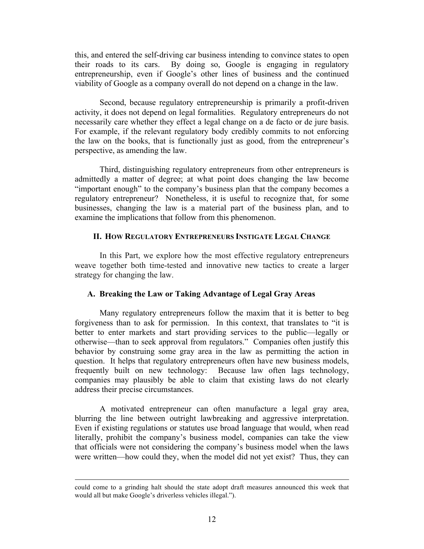this, and entered the self-driving car business intending to convince states to open their roads to its cars. By doing so, Google is engaging in regulatory entrepreneurship, even if Google's other lines of business and the continued viability of Google as a company overall do not depend on a change in the law.

Second, because regulatory entrepreneurship is primarily a profit-driven activity, it does not depend on legal formalities. Regulatory entrepreneurs do not necessarily care whether they effect a legal change on a de facto or de jure basis. For example, if the relevant regulatory body credibly commits to not enforcing the law on the books, that is functionally just as good, from the entrepreneur's perspective, as amending the law.

Third, distinguishing regulatory entrepreneurs from other entrepreneurs is admittedly a matter of degree; at what point does changing the law become "important enough" to the company's business plan that the company becomes a regulatory entrepreneur? Nonetheless, it is useful to recognize that, for some businesses, changing the law is a material part of the business plan, and to examine the implications that follow from this phenomenon.

### **II. HOW REGULATORY ENTREPRENEURS INSTIGATE LEGAL CHANGE**

In this Part, we explore how the most effective regulatory entrepreneurs weave together both time-tested and innovative new tactics to create a larger strategy for changing the law.

#### **A. Breaking the Law or Taking Advantage of Legal Gray Areas**

Many regulatory entrepreneurs follow the maxim that it is better to beg forgiveness than to ask for permission. In this context, that translates to "it is better to enter markets and start providing services to the public—legally or otherwise—than to seek approval from regulators." Companies often justify this behavior by construing some gray area in the law as permitting the action in question. It helps that regulatory entrepreneurs often have new business models, frequently built on new technology: Because law often lags technology, companies may plausibly be able to claim that existing laws do not clearly address their precise circumstances.

A motivated entrepreneur can often manufacture a legal gray area, blurring the line between outright lawbreaking and aggressive interpretation. Even if existing regulations or statutes use broad language that would, when read literally, prohibit the company's business model, companies can take the view that officials were not considering the company's business model when the laws were written—how could they, when the model did not yet exist? Thus, they can

<sup>&</sup>lt;u> 1989 - Andrea Santa Andrea Andrea Andrea Andrea Andrea Andrea Andrea Andrea Andrea Andrea Andrea Andrea Andr</u> could come to a grinding halt should the state adopt draft measures announced this week that would all but make Google's driverless vehicles illegal.").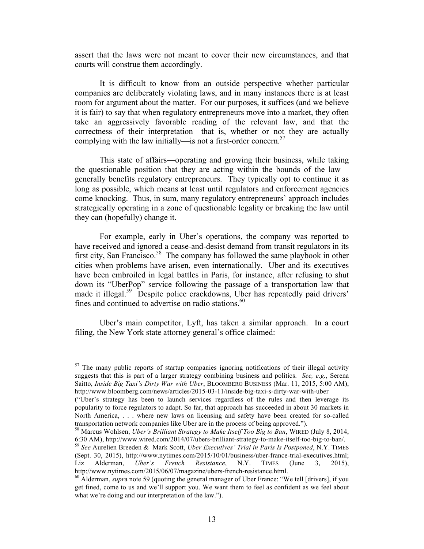assert that the laws were not meant to cover their new circumstances, and that courts will construe them accordingly.

It is difficult to know from an outside perspective whether particular companies are deliberately violating laws, and in many instances there is at least room for argument about the matter. For our purposes, it suffices (and we believe it is fair) to say that when regulatory entrepreneurs move into a market, they often take an aggressively favorable reading of the relevant law, and that the correctness of their interpretation—that is, whether or not they are actually complying with the law initially—is not a first-order concern. 57

This state of affairs—operating and growing their business, while taking the questionable position that they are acting within the bounds of the law generally benefits regulatory entrepreneurs. They typically opt to continue it as long as possible, which means at least until regulators and enforcement agencies come knocking. Thus, in sum, many regulatory entrepreneurs' approach includes strategically operating in a zone of questionable legality or breaking the law until they can (hopefully) change it.

For example, early in Uber's operations, the company was reported to have received and ignored a cease-and-desist demand from transit regulators in its first city, San Francisco.<sup>58</sup> The company has followed the same playbook in other cities when problems have arisen, even internationally. Uber and its executives have been embroiled in legal battles in Paris, for instance, after refusing to shut down its "UberPop" service following the passage of a transportation law that made it illegal.<sup>59</sup> Despite police crackdowns, Uber has repeatedly paid drivers' fines and continued to advertise on radio stations.<sup>60</sup>

Uber's main competitor, Lyft, has taken a similar approach. In a court filing, the New York state attorney general's office claimed:

 $57$  The many public reports of startup companies ignoring notifications of their illegal activity suggests that this is part of a larger strategy combining business and politics. *See, e.g.*, Serena Saitto, *Inside Big Taxi's Dirty War with Uber*, BLOOMBERG BUSINESS (Mar. 11, 2015, 5:00 AM), http://www.bloomberg.com/news/articles/2015-03-11/inside-big-taxi-s-dirty-war-with-uber

<sup>(&</sup>quot;Uber's strategy has been to launch services regardless of the rules and then leverage its popularity to force regulators to adapt. So far, that approach has succeeded in about 30 markets in North America, . . . where new laws on licensing and safety have been created for so-called transportation network companies like Uber are in the process of being approved."). 58 Marcus Wohlsen, *Uber's Brilliant Strategy to Make Itself Too Big to Ban*, WIRED (July 8, 2014,

<sup>6:30</sup> AM), http://www.wired.com/2014/07/ubers-brilliant-strategy-to-make-itself-too-big-to-ban/. <sup>59</sup> *See* Aurelien Breeden & Mark Scott, *Uber Executives' Trial in Paris Is Postponed*, N.Y. TIMES

<sup>(</sup>Sept. 30, 2015), http://www.nytimes.com/2015/10/01/business/uber-france-trial-executives.html; Liz Alderman, *Uber's French Resistance*, N.Y. TIMES (June 3, 2015), http://www.nytimes.com/2015/06/07/magazine/ubers-french-resistance.html.<br><sup>60</sup> Alderman, *supra* note 59 (quoting the general manager of Uber France: "We tell [drivers], if you

get fined, come to us and we'll support you. We want them to feel as confident as we feel about what we're doing and our interpretation of the law.").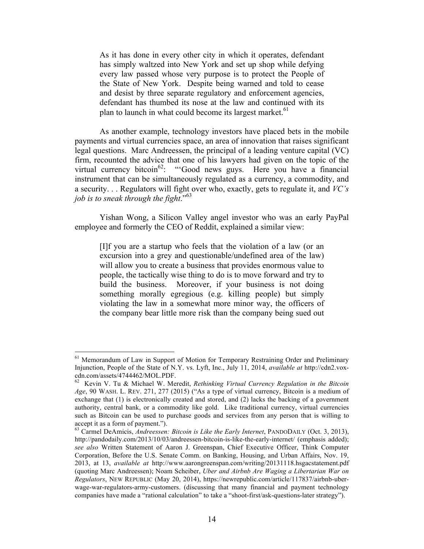As it has done in every other city in which it operates, defendant has simply waltzed into New York and set up shop while defying every law passed whose very purpose is to protect the People of the State of New York. Despite being warned and told to cease and desist by three separate regulatory and enforcement agencies, defendant has thumbed its nose at the law and continued with its plan to launch in what could become its largest market.<sup>61</sup>

As another example, technology investors have placed bets in the mobile payments and virtual currencies space, an area of innovation that raises significant legal questions. Marc Andreessen, the principal of a leading venture capital (VC) firm, recounted the advice that one of his lawyers had given on the topic of the virtual currency bitcoin<sup>62</sup>: "Good news guys. Here you have a financial instrument that can be simultaneously regulated as a currency, a commodity, and a security. . . Regulators will fight over who, exactly, gets to regulate it, and *VC's job is to sneak through the fight*." 63

Yishan Wong, a Silicon Valley angel investor who was an early PayPal employee and formerly the CEO of Reddit, explained a similar view:

[I]f you are a startup who feels that the violation of a law (or an excursion into a grey and questionable/undefined area of the law) will allow you to create a business that provides enormous value to people, the tactically wise thing to do is to move forward and try to build the business. Moreover, if your business is not doing something morally egregious (e.g. killing people) but simply violating the law in a somewhat more minor way, the officers of the company bear little more risk than the company being sued out

<sup>&</sup>lt;sup>61</sup> Memorandum of Law in Support of Motion for Temporary Restraining Order and Preliminary Injunction, People of the State of N.Y. vs. Lyft, Inc., July 11, 2014, *available at* http://cdn2.voxcdn.com/assets/4744462/MOL.PDF.<br><sup>62</sup> Kevin V. Tu & Michael W. Meredit, *Rethinking Virtual Currency Regulation in the Bitcoin* 

*Age*, 90 WASH. L. REV. 271, 277 (2015) ("As a type of virtual currency, Bitcoin is a medium of exchange that (1) is electronically created and stored, and (2) lacks the backing of a government authority, central bank, or a commodity like gold. Like traditional currency, virtual currencies such as Bitcoin can be used to purchase goods and services from any person that is willing to accept it as a form of payment.").

<sup>63</sup> Carmel DeAmicis, *Andreessen: Bitcoin is Like the Early Internet*, PANDODAILY (Oct. 3, 2013), http://pandodaily.com/2013/10/03/andreessen-bitcoin-is-like-the-early-internet/ (emphasis added); *see also* Written Statement of Aaron J. Greenspan, Chief Executive Officer, Think Computer Corporation, Before the U.S. Senate Comm. on Banking, Housing, and Urban Affairs, Nov. 19, 2013, at 13, *available at* http://www.aarongreenspan.com/writing/20131118.hsgacstatement.pdf (quoting Marc Andreessen); Noam Scheiber, *Uber and Airbnb Are Waging a Libertarian War on Regulators*, NEW REPUBLIC (May 20, 2014), https://newrepublic.com/article/117837/airbnb-uberwage-war-regulators-army-customers. (discussing that many financial and payment technology companies have made a "rational calculation" to take a "shoot-first/ask-questions-later strategy").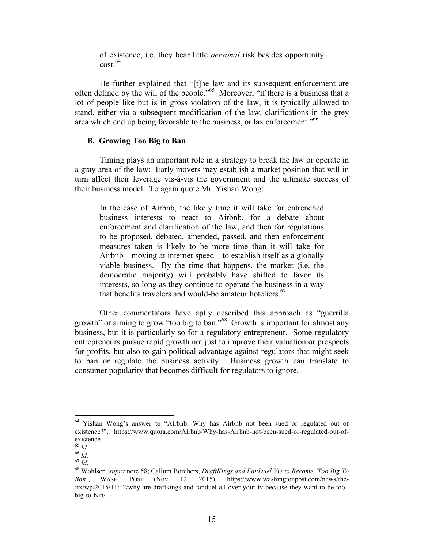of existence, i.e. they bear little *personal* risk besides opportunity cost. 64

He further explained that "[t]he law and its subsequent enforcement are often defined by the will of the people."<sup>65</sup> Moreover, "if there is a business that a lot of people like but is in gross violation of the law, it is typically allowed to stand, either via a subsequent modification of the law, clarifications in the grey area which end up being favorable to the business, or lax enforcement."<sup>66</sup>

#### **B. Growing Too Big to Ban**

Timing plays an important role in a strategy to break the law or operate in a gray area of the law: Early movers may establish a market position that will in turn affect their leverage vis-à-vis the government and the ultimate success of their business model. To again quote Mr. Yishan Wong:

In the case of Airbnb, the likely time it will take for entrenched business interests to react to Airbnb, for a debate about enforcement and clarification of the law, and then for regulations to be proposed, debated, amended, passed, and then enforcement measures taken is likely to be more time than it will take for Airbnb—moving at internet speed—to establish itself as a globally viable business. By the time that happens, the market (i.e. the democratic majority) will probably have shifted to favor its interests, so long as they continue to operate the business in a way that benefits travelers and would-be amateur hoteliers. 67

Other commentators have aptly described this approach as "guerrilla growth" or aiming to grow "too big to ban." <sup>68</sup> Growth is important for almost any business, but it is particularly so for a regulatory entrepreneur. Some regulatory entrepreneurs pursue rapid growth not just to improve their valuation or prospects for profits, but also to gain political advantage against regulators that might seek to ban or regulate the business activity. Business growth can translate to consumer popularity that becomes difficult for regulators to ignore.

<sup>&</sup>lt;sup>64</sup> Yishan Wong's answer to "Airbnb: Why has Airbnb not been sued or regulated out of existence?", https://www.quora.com/Airbnb/Why-has-Airbnb-not-been-sued-or-regulated-out-ofexistence.<br> $^{65}$  *Id.* 

<sup>65</sup> *Id.* <sup>66</sup> *Id.* <sup>67</sup> *Id*. 68 Wohlsen, *supra* note 58; Callum Borchers, *DraftKings and FanDuel Vie to Become 'Too Big To Ban'*, WASH. POST (Nov. 12, 2015), https://www.washingtonpost.com/news/thefix/wp/2015/11/12/why-are-draftkings-and-fanduel-all-over-your-tv-because-they-want-to-be-toobig-to-ban/.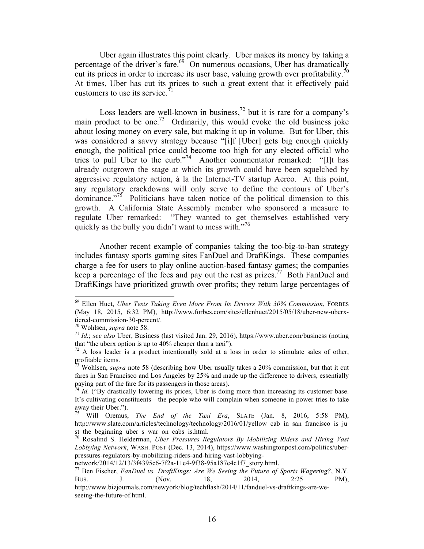Uber again illustrates this point clearly. Uber makes its money by taking a percentage of the driver's fare.<sup>69</sup> On numerous occasions, Uber has dramatically cut its prices in order to increase its user base, valuing growth over profitability.<sup>70</sup> At times, Uber has cut its prices to such a great extent that it effectively paid customers to use its service.<sup> $71$ </sup>

Loss leaders are well-known in business,<sup>72</sup> but it is rare for a company's main product to be one.<sup>73</sup> Ordinarily, this would evoke the old business joke about losing money on every sale, but making it up in volume. But for Uber, this was considered a savvy strategy because "[i]f [Uber] gets big enough quickly enough, the political price could become too high for any elected official who tries to pull Uber to the curb."<sup>74</sup> Another commentator remarked: "[I]t has already outgrown the stage at which its growth could have been squelched by aggressive regulatory action, à la the Internet-TV startup Aereo. At this point, any regulatory crackdowns will only serve to define the contours of Uber's dominance. $15^7$  Politicians have taken notice of the political dimension to this growth. A California State Assembly member who sponsored a measure to regulate Uber remarked: "They wanted to get themselves established very quickly as the bully you didn't want to mess with. $"^{76}$ 

Another recent example of companies taking the too-big-to-ban strategy includes fantasy sports gaming sites FanDuel and DraftKings. These companies charge a fee for users to play online auction-based fantasy games; the companies keep a percentage of the fees and pay out the rest as prizes.<sup>77</sup> Both FanDuel and DraftKings have prioritized growth over profits; they return large percentages of

 69 Ellen Huet, *Uber Tests Taking Even More From Its Drivers With 30% Commission*, FORBES (May 18, 2015, 6:32 PM), http://www.forbes.com/sites/ellenhuet/2015/05/18/uber-new-uberxtiered-commission-30-percent/.<br><sup>70</sup> Wohlsen, *supra* note 58.<br><sup>71</sup> *Id.*; *see also* Uber, Business (last visited Jan. 29, 2016), https://www.uber.com/business (noting

that "the uberx option is up to 40% cheaper than a taxi").<br><sup>72</sup> A loss leader is a product intentionally sold at a loss in order to stimulate sales of other,

profitable items.

<sup>73</sup> Wohlsen, *supra* note 58 (describing how Uber usually takes a 20% commission, but that it cut fares in San Francisco and Los Angeles by 25% and made up the difference to drivers, essentially paying part of the fare for its passengers in those areas).

 $^{74}$  *Id.* ("By drastically lowering its prices, Uber is doing more than increasing its customer base. It's cultivating constituents—the people who will complain when someone in power tries to take away their Uber.").

<sup>75</sup> Will Oremus, *The End of the Taxi Era*, SLATE (Jan. 8, 2016, 5:58 PM), http://www.slate.com/articles/technology/technology/2016/01/yellow cab\_in\_san\_francisco\_is\_ju st the beginning uber s war on cabs is.html.

<sup>76</sup> Rosalind S. Helderman, *Uber Pressures Regulators By Mobilizing Riders and Hiring Vast Lobbying Network*, WASH. POST (Dec. 13, 2014), https://www.washingtonpost.com/politics/uberpressures-regulators-by-mobilizing-riders-and-hiring-vast-lobbying-

network/2014/12/13/3f4395c6-7f2a-11e4-9f38-95a187e4c1f7\_story.html. 77 Ben Fischer, *FanDuel vs. DraftKings: Are We Seeing the Future of Sports Wagering?*, N.Y. BUS. J. (Nov. 18, 2014, 2:25 PM), http://www.bizjournals.com/newyork/blog/techflash/2014/11/fanduel-vs-draftkings-are-weseeing-the-future-of.html.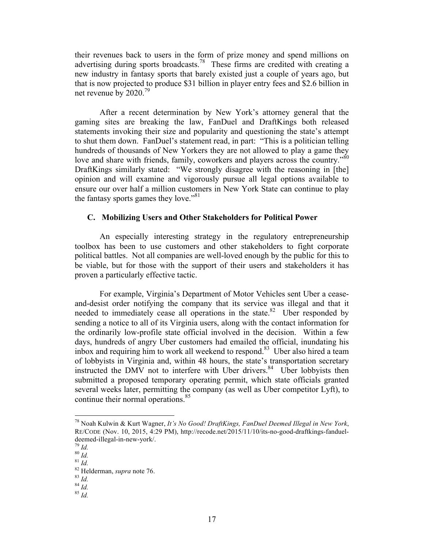their revenues back to users in the form of prize money and spend millions on advertising during sports broadcasts.<sup>78</sup> These firms are credited with creating a new industry in fantasy sports that barely existed just a couple of years ago, but that is now projected to produce \$31 billion in player entry fees and \$2.6 billion in net revenue by 2020.<sup>79</sup>

After a recent determination by New York's attorney general that the gaming sites are breaking the law, FanDuel and DraftKings both released statements invoking their size and popularity and questioning the state's attempt to shut them down. FanDuel's statement read, in part: "This is a politician telling hundreds of thousands of New Yorkers they are not allowed to play a game they love and share with friends, family, coworkers and players across the country."<sup>80</sup> DraftKings similarly stated: "We strongly disagree with the reasoning in [the] opinion and will examine and vigorously pursue all legal options available to ensure our over half a million customers in New York State can continue to play the fantasy sports games they love." $81$ 

## **C. Mobilizing Users and Other Stakeholders for Political Power**

An especially interesting strategy in the regulatory entrepreneurship toolbox has been to use customers and other stakeholders to fight corporate political battles. Not all companies are well-loved enough by the public for this to be viable, but for those with the support of their users and stakeholders it has proven a particularly effective tactic.

For example, Virginia's Department of Motor Vehicles sent Uber a ceaseand-desist order notifying the company that its service was illegal and that it needed to immediately cease all operations in the state. <sup>82</sup> Uber responded by sending a notice to all of its Virginia users, along with the contact information for the ordinarily low-profile state official involved in the decision. Within a few days, hundreds of angry Uber customers had emailed the official, inundating his inbox and requiring him to work all weekend to respond. <sup>83</sup> Uber also hired a team of lobbyists in Virginia and, within 48 hours, the state's transportation secretary instructed the DMV not to interfere with Uber drivers.<sup>84</sup> Uber lobbyists then submitted a proposed temporary operating permit, which state officials granted several weeks later, permitting the company (as well as Uber competitor Lyft), to continue their normal operations. 85

 78 Noah Kulwin & Kurt Wagner, *It's No Good! DraftKings, FanDuel Deemed Illegal in New York*, RE/CODE (Nov. 10, 2015, 4:29 PM), http://recode.net/2015/11/10/its-no-good-draftkings-fandueldeemed-illegal-in-new-york/.<br>
<sup>79</sup> *Id.*<br>
<sup>81</sup> *Id.*<br>
<sup>82</sup> Helderman, *supra* note 76.<br>
<sup>83</sup> *Id.*<br>
<sup>84</sup> *Id.*<br>
<sup>85</sup> *Id*.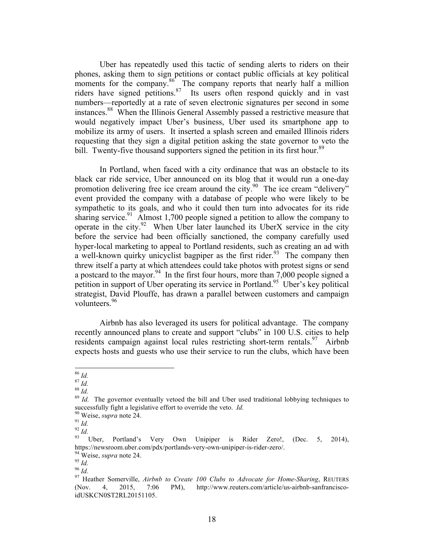Uber has repeatedly used this tactic of sending alerts to riders on their phones, asking them to sign petitions or contact public officials at key political moments for the company.<sup>86</sup> The company reports that nearly half a million riders have signed petitions.<sup>87</sup> Its users often respond quickly and in vast numbers—reportedly at a rate of seven electronic signatures per second in some instances. <sup>88</sup> When the Illinois General Assembly passed a restrictive measure that would negatively impact Uber's business, Uber used its smartphone app to mobilize its army of users. It inserted a splash screen and emailed Illinois riders requesting that they sign a digital petition asking the state governor to veto the bill. Twenty-five thousand supporters signed the petition in its first hour.<sup>89</sup>

In Portland, when faced with a city ordinance that was an obstacle to its black car ride service, Uber announced on its blog that it would run a one-day promotion delivering free ice cream around the city.<sup>90</sup> The ice cream "delivery" event provided the company with a database of people who were likely to be sympathetic to its goals, and who it could then turn into advocates for its ride sharing service.<sup>91</sup> Almost 1,700 people signed a petition to allow the company to operate in the city.<sup>92</sup> When Uber later launched its UberX service in the city before the service had been officially sanctioned, the company carefully used hyper-local marketing to appeal to Portland residents, such as creating an ad with a well-known quirky unicyclist bagpiper as the first rider.<sup>93</sup> The company then threw itself a party at which attendees could take photos with protest signs or send a postcard to the mayor.<sup>94</sup> In the first four hours, more than  $7,000$  people signed a petition in support of Uber operating its service in Portland.<sup>95</sup> Uber's key political strategist, David Plouffe, has drawn a parallel between customers and campaign volunteers. 96

Airbnb has also leveraged its users for political advantage. The company recently announced plans to create and support "clubs" in 100 U.S. cities to help residents campaign against local rules restricting short-term rentals. <sup>97</sup> Airbnb expects hosts and guests who use their service to run the clubs, which have been

<sup>&</sup>lt;sup>86</sup> *Id.* <sup>87</sup> *Id.* <sup>87</sup> *Id.* <sup>88</sup> *Id.* <sup>88</sup> *Id.* <sup>88</sup> *Id.* **11 11 88** *Id.* **11 11 88** *Id.* **11 89** *Id.* **11 89** *Id.* **11 89** *Id.* **11 89** *Id.* **11 89** *Id.* **11 89** *Id.* **11 89** *Id.* **1** successfully fight a legislative effort to override the veto. *Id.*<br><sup>90</sup> Weise, *supra* note 24.<br><sup>91</sup> *Id.* 93 *Id.* 93 Uber, Portland's Very Own Unipiper is Rider Zero!, (Dec. 5, 2014),

https://newsroom.uber.com/pdx/portlands-very-own-unipiper-is-rider-zero/.<br><sup>94</sup> Weise, *supra* note 24.<br><sup>95</sup> Id.<br><sup>96</sup> Id.<br><sup>97</sup> Heather Somerville, *Airbnb to Create 100 Clubs to Advocate for Home-Sharing*, REUTERS

<sup>(</sup>Nov. 4, 2015, 7:06 PM), http://www.reuters.com/article/us-airbnb-sanfranciscoidUSKCN0ST2RL20151105.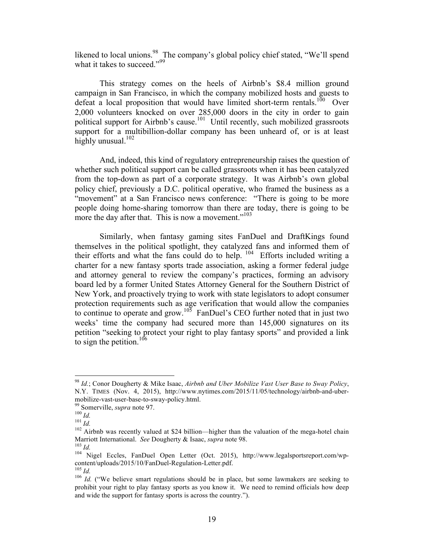likened to local unions.<sup>98</sup> The company's global policy chief stated, "We'll spend what it takes to succeed."<sup>99</sup>

This strategy comes on the heels of Airbnb's \$8.4 million ground campaign in San Francisco, in which the company mobilized hosts and guests to defeat a local proposition that would have limited short-term rentals.<sup>100</sup> Over 2,000 volunteers knocked on over 285,000 doors in the city in order to gain political support for Airbnb's cause.<sup>101</sup> Until recently, such mobilized grassroots support for a multibillion-dollar company has been unheard of, or is at least highly unusual.<sup>102</sup>

And, indeed, this kind of regulatory entrepreneurship raises the question of whether such political support can be called grassroots when it has been catalyzed from the top-down as part of a corporate strategy. It was Airbnb's own global policy chief, previously a D.C. political operative, who framed the business as a "movement" at a San Francisco news conference: "There is going to be more people doing home-sharing tomorrow than there are today, there is going to be more the day after that. This is now a movement."<sup>103</sup>

Similarly, when fantasy gaming sites FanDuel and DraftKings found themselves in the political spotlight, they catalyzed fans and informed them of their efforts and what the fans could do to help.  $104$  Efforts included writing a charter for a new fantasy sports trade association, asking a former federal judge and attorney general to review the company's practices, forming an advisory board led by a former United States Attorney General for the Southern District of New York, and proactively trying to work with state legislators to adopt consumer protection requirements such as age verification that would allow the companies to continue to operate and grow.<sup>103</sup> FanDuel's CEO further noted that in just two weeks' time the company had secured more than 145,000 signatures on its petition "seeking to protect your right to play fantasy sports" and provided a link to sign the petition.<sup>106</sup>

 <sup>98</sup> *Id.*; Conor Dougherty & Mike Isaac, *Airbnb and Uber Mobilize Vast User Base to Sway Policy*, N.Y. TIMES (Nov. 4, 2015), http://www.nytimes.com/2015/11/05/technology/airbnb-and-ubermobilize-vast-user-base-to-sway-policy.html.<br><sup>99</sup> Somerville, *supra* note 97.<br><sup>100</sup> *Id.*<br><sup>102</sup> Airbnb was recently valued at \$24 billion—higher than the valuation of the mega-hotel chain<br><sup>102</sup> Airbnb was recently valued

Marriott International. *See* Dougherty & Isaac, *supra* note 98.<br><sup>103</sup> *Id.* Nigel Eccles, FanDuel Open Letter (Oct. 2015), http://www.legalsportsreport.com/wp-<br><sup>104</sup> Nigel Eccles, FanDuel Open Letter (Oct. 2015), http://

content/uploads/2015/10/FanDuel-Regulation-Letter.pdf.<br><sup>105</sup> *Id.* ("We believe smart regulations should be in place, but some lawmakers are seeking to

prohibit your right to play fantasy sports as you know it. We need to remind officials how deep and wide the support for fantasy sports is across the country.").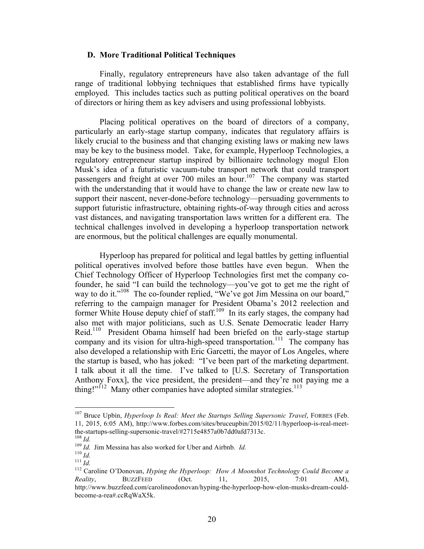### **D. More Traditional Political Techniques**

Finally, regulatory entrepreneurs have also taken advantage of the full range of traditional lobbying techniques that established firms have typically employed. This includes tactics such as putting political operatives on the board of directors or hiring them as key advisers and using professional lobbyists.

Placing political operatives on the board of directors of a company, particularly an early-stage startup company, indicates that regulatory affairs is likely crucial to the business and that changing existing laws or making new laws may be key to the business model. Take, for example, Hyperloop Technologies, a regulatory entrepreneur startup inspired by billionaire technology mogul Elon Musk's idea of a futuristic vacuum-tube transport network that could transport passengers and freight at over 700 miles an hour.<sup>107</sup> The company was started with the understanding that it would have to change the law or create new law to support their nascent, never-done-before technology—persuading governments to support futuristic infrastructure, obtaining rights-of-way through cities and across vast distances, and navigating transportation laws written for a different era. The technical challenges involved in developing a hyperloop transportation network are enormous, but the political challenges are equally monumental.

Hyperloop has prepared for political and legal battles by getting influential political operatives involved before those battles have even begun. When the Chief Technology Officer of Hyperloop Technologies first met the company cofounder, he said "I can build the technology—you've got to get me the right of way to do it."<sup>108</sup> The co-founder replied, "We've got Jim Messina on our board," referring to the campaign manager for President Obama's 2012 reelection and former White House deputy chief of staff.<sup>109</sup> In its early stages, the company had also met with major politicians, such as U.S. Senate Democratic leader Harry Reid.<sup>110</sup> President Obama himself had been briefed on the early-stage startup company and its vision for ultra-high-speed transportation.<sup>111</sup> The company has also developed a relationship with Eric Garcetti, the mayor of Los Angeles, where the startup is based, who has joked: "I've been part of the marketing department. I talk about it all the time. I've talked to [U.S. Secretary of Transportation Anthony Foxx], the vice president, the president—and they're not paying me a thing!" $112$  Many other companies have adopted similar strategies.<sup>113</sup>

<sup>&</sup>lt;sup>107</sup> Bruce Upbin, *Hyperloop Is Real: Meet the Startups Selling Supersonic Travel*, FORBES (Feb. 11, 2015, 6:05 AM), http://www.forbes.com/sites/bruceupbin/2015/02/11/hyperloop-is-real-meetthe-startups-selling-supersonic-travel/#2715e4857a0b7dd0afd7313c.<br>
<sup>108</sup> *Id.*<br>
<sup>109</sup> *Id.* Jim Messina has also worked for Uber and Airbnb. *Id.*<br>
<sup>110</sup> *Id.*<br>
<sup>111</sup> *Id.*<br>
<sup>111</sup> *Id.*<br>
<sup>112</sup> Caroline O'Donovan, *Hyping* 

*Reality*, **BUZZFEED** (Oct. 11, 2015, 7:01 AM), http://www.buzzfeed.com/carolineodonovan/hyping-the-hyperloop-how-elon-musks-dream-couldbecome-a-rea#.ccRqWaX5k.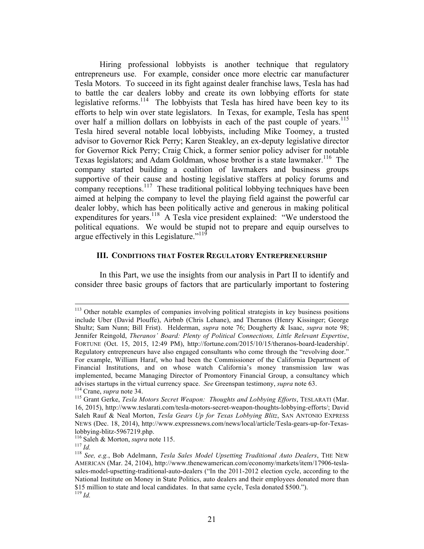Hiring professional lobbyists is another technique that regulatory entrepreneurs use. For example, consider once more electric car manufacturer Tesla Motors. To succeed in its fight against dealer franchise laws, Tesla has had to battle the car dealers lobby and create its own lobbying efforts for state legislative reforms.<sup>114</sup> The lobbyists that Tesla has hired have been key to its efforts to help win over state legislators. In Texas, for example, Tesla has spent over half a million dollars on lobbyists in each of the past couple of years.<sup>115</sup> Tesla hired several notable local lobbyists, including Mike Toomey, a trusted advisor to Governor Rick Perry; Karen Steakley, an ex-deputy legislative director for Governor Rick Perry; Craig Chick, a former senior policy adviser for notable Texas legislators; and Adam Goldman, whose brother is a state lawmaker.<sup>116</sup> The company started building a coalition of lawmakers and business groups supportive of their cause and hosting legislative staffers at policy forums and company receptions.<sup>117</sup> These traditional political lobbying techniques have been aimed at helping the company to level the playing field against the powerful car dealer lobby, which has been politically active and generous in making political expenditures for years.<sup>118</sup> A Tesla vice president explained: "We understood the political equations. We would be stupid not to prepare and equip ourselves to argue effectively in this Legislature."<sup>119</sup>

#### **III. CONDITIONS THAT FOSTER REGULATORY ENTREPRENEURSHIP**

In this Part, we use the insights from our analysis in Part II to identify and consider three basic groups of factors that are particularly important to fostering

<sup>&</sup>lt;sup>113</sup> Other notable examples of companies involving political strategists in key business positions include Uber (David Plouffe), Airbnb (Chris Lehane), and Theranos (Henry Kissinger; George Shultz; Sam Nunn; Bill Frist). Helderman, *supra* note 76; Dougherty & Isaac, *supra* note 98; Jennifer Reingold, *Theranos' Board: Plenty of Political Connections, Little Relevant Expertise*, FORTUNE (Oct. 15, 2015, 12:49 PM), http://fortune.com/2015/10/15/theranos-board-leadership/. Regulatory entrepreneurs have also engaged consultants who come through the "revolving door." For example, William Haraf, who had been the Commissioner of the California Department of Financial Institutions, and on whose watch California's money transmission law was implemented, became Managing Director of Promontory Financial Group, a consultancy which advises startups in the virtual currency space. See Greenspan testimony, *supra* note 63.<br><sup>114</sup> Crane, *supra* note 34.<br><sup>115</sup> Grant Gerke, *Tesla Motors Secret Weapon: Thoughts and Lobbying Efforts*, TESLARATI (Mar.

<sup>16, 2015),</sup> http://www.teslarati.com/tesla-motors-secret-weapon-thoughts-lobbying-efforts/; David Saleh Rauf & Neal Morton, *Tesla Gears Up for Texas Lobbying Blitz*, SAN ANTONIO EXPRESS NEWS (Dec. 18, 2014), http://www.expressnews.com/news/local/article/Tesla-gears-up-for-Texaslobbying-blitz-5967219.php. 116 Saleh & Morton, *supra* note 115. <sup>117</sup> *Id.* <sup>118</sup> *See, e.g.*, Bob Adelmann, *Tesla Sales Model Upsetting Traditional Auto Dealers*, THE NEW

AMERICAN (Mar. 24, 2104), http://www.thenewamerican.com/economy/markets/item/17906-teslasales-model-upsetting-traditional-auto-dealers ("In the 2011-2012 election cycle, according to the National Institute on Money in State Politics, auto dealers and their employees donated more than \$15 million to state and local candidates. In that same cycle, Tesla donated \$500."). <sup>119</sup> *Id.*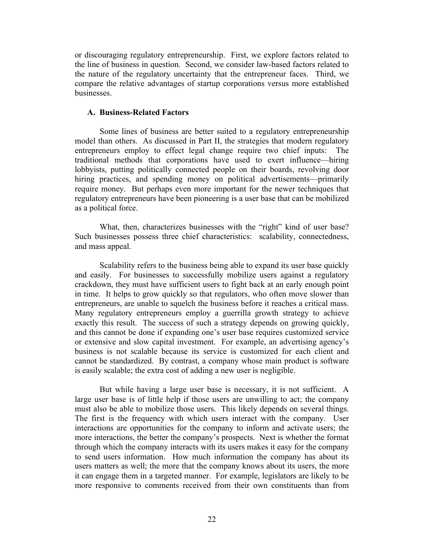or discouraging regulatory entrepreneurship. First, we explore factors related to the line of business in question. Second, we consider law-based factors related to the nature of the regulatory uncertainty that the entrepreneur faces. Third, we compare the relative advantages of startup corporations versus more established businesses.

### **A. Business-Related Factors**

Some lines of business are better suited to a regulatory entrepreneurship model than others. As discussed in Part II, the strategies that modern regulatory entrepreneurs employ to effect legal change require two chief inputs: The traditional methods that corporations have used to exert influence—hiring lobbyists, putting politically connected people on their boards, revolving door hiring practices, and spending money on political advertisements—primarily require money. But perhaps even more important for the newer techniques that regulatory entrepreneurs have been pioneering is a user base that can be mobilized as a political force.

What, then, characterizes businesses with the "right" kind of user base? Such businesses possess three chief characteristics: scalability, connectedness, and mass appeal.

Scalability refers to the business being able to expand its user base quickly and easily. For businesses to successfully mobilize users against a regulatory crackdown, they must have sufficient users to fight back at an early enough point in time. It helps to grow quickly so that regulators, who often move slower than entrepreneurs, are unable to squelch the business before it reaches a critical mass. Many regulatory entrepreneurs employ a guerrilla growth strategy to achieve exactly this result. The success of such a strategy depends on growing quickly, and this cannot be done if expanding one's user base requires customized service or extensive and slow capital investment. For example, an advertising agency's business is not scalable because its service is customized for each client and cannot be standardized. By contrast, a company whose main product is software is easily scalable; the extra cost of adding a new user is negligible.

But while having a large user base is necessary, it is not sufficient. A large user base is of little help if those users are unwilling to act; the company must also be able to mobilize those users. This likely depends on several things. The first is the frequency with which users interact with the company. User interactions are opportunities for the company to inform and activate users; the more interactions, the better the company's prospects. Next is whether the format through which the company interacts with its users makes it easy for the company to send users information. How much information the company has about its users matters as well; the more that the company knows about its users, the more it can engage them in a targeted manner. For example, legislators are likely to be more responsive to comments received from their own constituents than from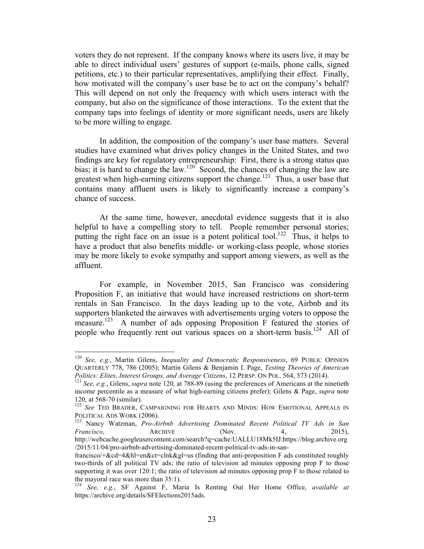voters they do not represent. If the company knows where its users live, it may be able to direct individual users' gestures of support (e-mails, phone calls, signed petitions, etc.) to their particular representatives, amplifying their effect. Finally, how motivated will the company's user base be to act on the company's behalf? This will depend on not only the frequency with which users interact with the company, but also on the significance of those interactions. To the extent that the company taps into feelings of identity or more significant needs, users are likely to be more willing to engage.

In addition, the composition of the company's user base matters. Several studies have examined what drives policy changes in the United States, and two findings are key for regulatory entrepreneurship: First, there is a strong status quo bias; it is hard to change the law.<sup>120</sup> Second, the chances of changing the law are greatest when high-earning citizens support the change.<sup>121</sup> Thus, a user base that contains many affluent users is likely to significantly increase a company's chance of success.

At the same time, however, anecdotal evidence suggests that it is also helpful to have a compelling story to tell. People remember personal stories; putting the right face on an issue is a potent political tool.<sup>122</sup> Thus, it helps to have a product that also benefits middle- or working-class people, whose stories may be more likely to evoke sympathy and support among viewers, as well as the affluent.

For example, in November 2015, San Francisco was considering Proposition F, an initiative that would have increased restrictions on short-term rentals in San Francisco. In the days leading up to the vote, Airbnb and its supporters blanketed the airwaves with advertisements urging voters to oppose the measure.<sup>123</sup> A number of ads opposing Proposition F featured the stories of people who frequently rent out various spaces on a short-term basis.<sup>124</sup> All of

 <sup>120</sup> *See, e.g.*, Martin Gilens, *Inequality and Democratic Responsiveness*, 69 PUBLIC OPINION QUARTERLY 778, 786 (2005); Martin Gilens & Benjamin I. Page, *Testing Theories of American* 

*Politics: Elites, Interest Groups, and Average Citizens*, 12 PERSP. ON POL. 564, 573 (2014). 121 *See, e.g.*, Gilens, *supra* note 120, at 788-89 (using the preferences of Americans at the ninetieth income percentile as a measure of what high-earning citizens prefer); Gilens & Page, *supra* note 120, at 568-70 (similar).<br><sup>122</sup> *See* TED BRADER, CAMPAIGNING FOR HEARTS AND MINDS: HOW EMOTIONAL APPEALS IN

POLITICAL ADS WORK (2006). 123 Nancy Watzman, *Pro-Airbnb Advertising Dominated Recent Political TV Ads in San* 

*Francisco*, **ARCHIVE** (Nov. 4, 2015), http://webcache.googleusercontent.com/search?q=cache:UALLU18Mk5IJ:https://blog.archive.org

<sup>/2015/11/04/</sup>pro-airbnb-advertising-dominated-recent-political-tv-ads-in-sanfrancisco/+&cd=4&hl=en&ct=clnk&gl=us (finding that anti-proposition F ads constituted roughly two-thirds of all political TV ads; the ratio of television ad minutes opposing prop F to those supporting it was over 120:1; the ratio of television ad minutes opposing prop F to those related to the mayoral race was more than 35:1).

<sup>124</sup> *See, e.g.*, SF Against F, Maria Is Renting Out Her Home Office, *available at* https://archive.org/details/SFElections2015ads.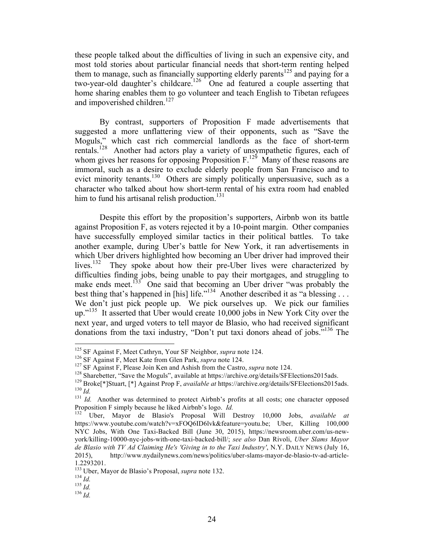these people talked about the difficulties of living in such an expensive city, and most told stories about particular financial needs that short-term renting helped them to manage, such as financially supporting elderly parents<sup>125</sup> and paying for a two-year-old daughter's childcare.<sup>126</sup> One ad featured a couple asserting that home sharing enables them to go volunteer and teach English to Tibetan refugees and impoverished children.<sup>127</sup>

By contrast, supporters of Proposition F made advertisements that suggested a more unflattering view of their opponents, such as "Save the Moguls," which cast rich commercial landlords as the face of short-term rentals.<sup>128</sup> Another had actors play a variety of unsympathetic figures, each of whom gives her reasons for opposing Proposition  $F^{129}$  Many of these reasons are immoral, such as a desire to exclude elderly people from San Francisco and to evict minority tenants.<sup>130</sup> Others are simply politically unpersuasive, such as a character who talked about how short-term rental of his extra room had enabled him to fund his artisanal relish production.<sup>131</sup>

Despite this effort by the proposition's supporters, Airbnb won its battle against Proposition F, as voters rejected it by a 10-point margin. Other companies have successfully employed similar tactics in their political battles. To take another example, during Uber's battle for New York, it ran advertisements in which Uber drivers highlighted how becoming an Uber driver had improved their lives.<sup>132</sup> They spoke about how their pre-Uber lives were characterized by difficulties finding jobs, being unable to pay their mortgages, and struggling to make ends meet.<sup>133</sup> One said that becoming an Uber driver "was probably the best thing that's happened in [his] life."<sup>134</sup> Another described it as "a blessing . . . We don't just pick people up. We pick ourselves up. We pick our families up."<sup>135</sup> It asserted that Uber would create 10,000 jobs in New York City over the next year, and urged voters to tell mayor de Blasio, who had received significant donations from the taxi industry, "Don't put taxi donors ahead of jobs." 136 The

<sup>&</sup>lt;sup>125</sup> SF Against F, Meet Cathryn, Your SF Neighbor, *supra* note 124.<br><sup>126</sup> SF Against F, Meet Kate from Glen Park, *supra* note 124.<br><sup>127</sup> SF Against F, Please Join Ken and Ashish from the Castro, *supra* note 124.<br><sup>128</sup>

Proposition F simply because he liked Airbnb's logo. *Id.* 132 Uber, Mayor de Blasio's Proposal Will Destroy 10,000 Jobs, *available at* https://www.youtube.com/watch?v=xFOQ6ID6lvk&feature=youtu.be; Uber, Killing 100,000 NYC Jobs, With One Taxi-Backed Bill (June 30, 2015), https://newsroom.uber.com/us-newyork/killing-10000-nyc-jobs-with-one-taxi-backed-bill/; *see also* Dan Rivoli, *Uber Slams Mayor de Blasio with TV Ad Claiming He's 'Giving in to the Taxi Industry'*, N.Y. DAILY NEWS (July 16, 2015), http://www.nydailynews.com/news/politics/uber-slams-mayor-de-blasio-tv-ad-article-1.2293201.

<sup>133</sup> Uber, Mayor de Blasio's Proposal, *supra* note 132. <sup>134</sup> *Id.* <sup>135</sup> *Id.* <sup>136</sup> *Id.*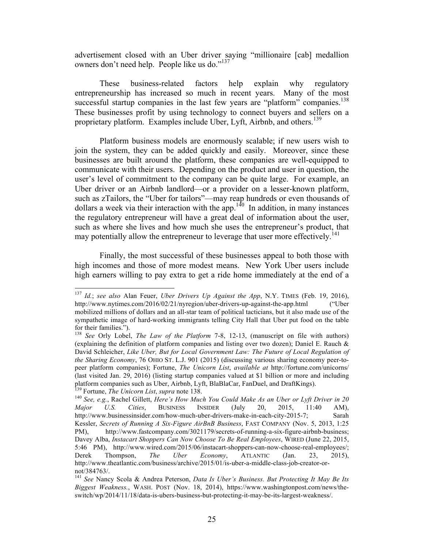advertisement closed with an Uber driver saying "millionaire [cab] medallion owners don't need help. People like us do."<sup>137</sup>

These business-related factors help explain why regulatory entrepreneurship has increased so much in recent years. Many of the most successful startup companies in the last few years are "platform" companies.<sup>138</sup> These businesses profit by using technology to connect buyers and sellers on a proprietary platform. Examples include Uber, Lyft, Airbnb, and others.<sup>139</sup>

Platform business models are enormously scalable; if new users wish to join the system, they can be added quickly and easily. Moreover, since these businesses are built around the platform, these companies are well-equipped to communicate with their users. Depending on the product and user in question, the user's level of commitment to the company can be quite large. For example, an Uber driver or an Airbnb landlord—or a provider on a lesser-known platform, such as zTailors, the "Uber for tailors"—may reap hundreds or even thousands of dollars a week via their interaction with the app.<sup>140</sup> In addition, in many instances the regulatory entrepreneur will have a great deal of information about the user, such as where she lives and how much she uses the entrepreneur's product, that may potentially allow the entrepreneur to leverage that user more effectively.<sup>141</sup>

Finally, the most successful of these businesses appeal to both those with high incomes and those of more modest means. New York Uber users include high earners willing to pay extra to get a ride home immediately at the end of a

 <sup>137</sup> *Id.*; *see also* Alan Feuer, *Uber Drivers Up Against the App*, N.Y. TIMES (Feb. 19, 2016), http://www.nytimes.com/2016/02/21/nyregion/uber-drivers-up-against-the-app.html ("Uber mobilized millions of dollars and an all-star team of political tacticians, but it also made use of the sympathetic image of hard-working immigrants telling City Hall that Uber put food on the table for their families.").

<sup>&</sup>lt;sup>138</sup> *See* Orly Lobel, *The Law of the Platform* 7-8, 12-13, (manuscript on file with authors) (explaining the definition of platform companies and listing over two dozen); Daniel E. Rauch & David Schleicher, *Like Uber, But for Local Government Law: The Future of Local Regulation of the Sharing Economy*, 76 OHIO ST. L.J. 901 (2015) (discussing various sharing economy peer-topeer platform companies); Fortune, *The Unicorn List*, *available at* http://fortune.com/unicorns/ (last visited Jan. 29, 2016) (listing startup companies valued at \$1 billion or more and including platform companies such as Uber, Airbnb, Lyft, BlaBlaCar, FanDuel, and DraftKings).<br><sup>139</sup> Fortune, *The Unicorn List, supra* note 138.

<sup>&</sup>lt;sup>140</sup> See, e.g., Rachel Gillett, *Here's How Much You Could Make As an Uber or Lyft Driver in 20 Major U.S. Cities*, BUSINESS INSIDER (July 20, 2015, 11:40 AM), http://www.businessinsider.com/how-much-uber-drivers-make-in-each-city-2015-7; Sarah Kessler, *Secrets of Running A Six-Figure AirBnB Business*, FAST COMPANY (Nov. 5, 2013, 1:25 PM), http://www.fastcompany.com/3021179/secrets-of-running-a-six-figure-airbnb-business; Davey Alba, *Instacart Shoppers Can Now Choose To Be Real Employees*, WIRED (June 22, 2015, 5:46 PM), http://www.wired.com/2015/06/instacart-shoppers-can-now-choose-real-employees/; Derek Thompson, *The Uber Economy*, ATLANTIC (Jan. 23, 2015), http://www.theatlantic.com/business/archive/2015/01/is-uber-a-middle-class-job-creator-ornot/384763/.

<sup>141</sup> *See* Nancy Scola & Andrea Peterson, *Data Is Uber's Business. But Protecting It May Be Its Biggest Weakness.*, WASH. POST (Nov. 18, 2014), https://www.washingtonpost.com/news/theswitch/wp/2014/11/18/data-is-ubers-business-but-protecting-it-may-be-its-largest-weakness/.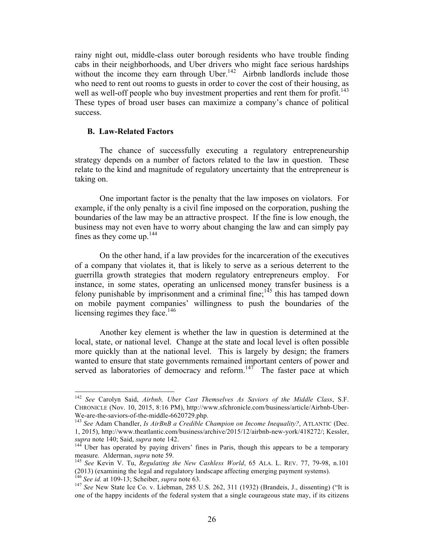rainy night out, middle-class outer borough residents who have trouble finding cabs in their neighborhoods, and Uber drivers who might face serious hardships without the income they earn through Uber.<sup>142</sup> Airbnb landlords include those who need to rent out rooms to guests in order to cover the cost of their housing, as well as well-off people who buy investment properties and rent them for profit.<sup>143</sup> These types of broad user bases can maximize a company's chance of political success.

### **B. Law-Related Factors**

The chance of successfully executing a regulatory entrepreneurship strategy depends on a number of factors related to the law in question. These relate to the kind and magnitude of regulatory uncertainty that the entrepreneur is taking on.

One important factor is the penalty that the law imposes on violators. For example, if the only penalty is a civil fine imposed on the corporation, pushing the boundaries of the law may be an attractive prospect. If the fine is low enough, the business may not even have to worry about changing the law and can simply pay fines as they come up.<sup>144</sup>

On the other hand, if a law provides for the incarceration of the executives of a company that violates it, that is likely to serve as a serious deterrent to the guerrilla growth strategies that modern regulatory entrepreneurs employ. For instance, in some states, operating an unlicensed money transfer business is a felony punishable by imprisonment and a criminal fine;  $145$  this has tamped down on mobile payment companies' willingness to push the boundaries of the licensing regimes they face.<sup>146</sup>

Another key element is whether the law in question is determined at the local, state, or national level. Change at the state and local level is often possible more quickly than at the national level. This is largely by design; the framers wanted to ensure that state governments remained important centers of power and served as laboratories of democracy and reform.<sup>147</sup> The faster pace at which

 <sup>142</sup> *See* Carolyn Said, *Airbnb, Uber Cast Themselves As Saviors of the Middle Class*, S.F. CHRONICLE (Nov. 10, 2015, 8:16 PM), http://www.sfchronicle.com/business/article/Airbnb-Uber-We-are-the-saviors-of-the-middle-6620729.php.<br><sup>143</sup> *See* Adam Chandler, *Is AirBnB a Credible Champion on Income Inequality?*, ATLANTIC (Dec.

<sup>1, 2015),</sup> http://www.theatlantic.com/business/archive/2015/12/airbnb-new-york/418272/; Kessler, *supra* note 140; Said, *supra* note 142.<br><sup>144</sup> Uber has operated by paying drivers' fines in Paris, though this appears to be a temporary

measure. Alderman, *supra* note 59.<br><sup>145</sup> *See* Kevin V. Tu, *Regulating the New Cashless World*, 65 ALA. L. REV. 77, 79-98, n.101

<sup>(2013) (</sup>examining the legal and regulatory landscape affecting emerging payment systems).  $^{146}$  See id. at 109-13; Scheiber, *supra* note 63.

<sup>&</sup>lt;sup>147</sup> See New State Ice Co. v. Liebman, 285 U.S. 262, 311 (1932) (Brandeis, J., dissenting) ("It is one of the happy incidents of the federal system that a single courageous state may, if its citizens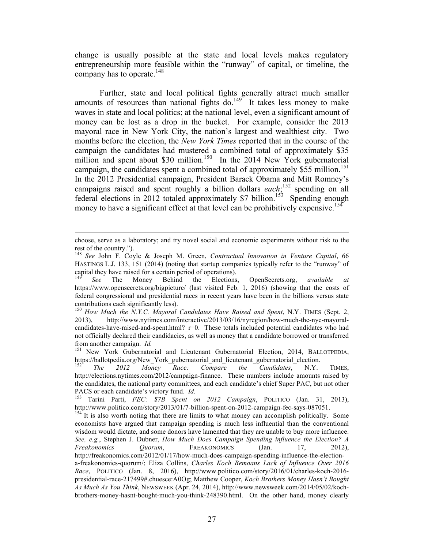change is usually possible at the state and local levels makes regulatory entrepreneurship more feasible within the "runway" of capital, or timeline, the company has to operate. 148

Further, state and local political fights generally attract much smaller amounts of resources than national fights  $\overline{do}$ .<sup>149</sup> It takes less money to make waves in state and local politics; at the national level, even a significant amount of money can be lost as a drop in the bucket. For example, consider the 2013 mayoral race in New York City, the nation's largest and wealthiest city. Two months before the election, the *New York Times* reported that in the course of the campaign the candidates had mustered a combined total of approximately \$35 million and spent about \$30 million.<sup>150</sup> In the 2014 New York gubernatorial campaign, the candidates spent a combined total of approximately \$55 million.<sup>151</sup> In the 2012 Presidential campaign, President Barack Obama and Mitt Romney's campaigns raised and spent roughly a billion dollars *each*; 152 spending on all federal elections in 2012 totaled approximately \$7 billion.153 Spending enough money to have a significant effect at that level can be prohibitively expensive.<sup>154</sup>

<sup>&</sup>lt;u> 1989 - Andrea Santa Andrea Andrea Andrea Andrea Andrea Andrea Andrea Andrea Andrea Andrea Andrea Andrea Andr</u> choose, serve as a laboratory; and try novel social and economic experiments without risk to the rest of the country.").

<sup>148</sup> *See* John F. Coyle & Joseph M. Green, *Contractual Innovation in Venture Capital*, 66 HASTINGS L.J. 133, 151 (2014) (noting that startup companies typically refer to the "runway" of capital they have raised for a certain period of operations).

<sup>149</sup> *See* The Money Behind the Elections, OpenSecrets.org, *available at* https://www.opensecrets.org/bigpicture/ (last visited Feb. 1, 2016) (showing that the costs of federal congressional and presidential races in recent years have been in the billions versus state contributions each significantly less).

<sup>150</sup> *How Much the N.Y.C. Mayoral Candidates Have Raised and Spent*, N.Y. TIMES (Sept. 2, 2013), http://www.nytimes.com/interactive/2013/03/16/nyregion/how-much-the-nyc-mayoralcandidates-have-raised-and-spent.html? r=0. These totals included potential candidates who had not officially declared their candidacies, as well as money that a candidate borrowed or transferred

from another campaign. *Id.* 151 New York Gubernatorial and Lieutenant Gubernatorial Election, 2014, BALLOTPEDIA, https://ballotpedia.org/New York gubernatorial and lieutenant gubernatorial election.

<sup>152</sup> *The 2012 Money Race: Compare the Candidates*, N.Y. TIMES, http://elections.nytimes.com/2012/campaign-finance. These numbers include amounts raised by the candidates, the national party committees, and each candidate's chief Super PAC, but not other PACS or each candidate's victory fund. *Id.* 153 Tarini Parti, *FEC: \$7B Spent on 2012 Campaign*, POLITICO (Jan. 31, 2013),

http://www.politico.com/story/2013/01/7-billion-spent-on-2012-campaign-fec-says-087051.<br><sup>154</sup> It is also worth noting that there are limits to what money can accomplish politically. Some

economists have argued that campaign spending is much less influential than the conventional wisdom would dictate, and some donors have lamented that they are unable to buy more influence. *See, e.g.*, Stephen J. Dubner, *How Much Does Campaign Spending influence the Election? A Freakonomics Quorum*, FREAKONOMICS (Jan. 17, 2012), http://freakonomics.com/2012/01/17/how-much-does-campaign-spending-influence-the-electiona-freakonomics-quorum/; Eliza Collins, *Charles Koch Bemoans Lack of Influence Over 2016 Race*, POLITICO (Jan. 8, 2016), http://www.politico.com/story/2016/01/charles-koch-2016 presidential-race-217499#.chuesce:A0Og; Matthew Cooper, *Koch Brothers Money Hasn't Bought As Much As You Think*, NEWSWEEK (Apr. 24, 2014), http://www.newsweek.com/2014/05/02/kochbrothers-money-hasnt-bought-much-you-think-248390.html. On the other hand, money clearly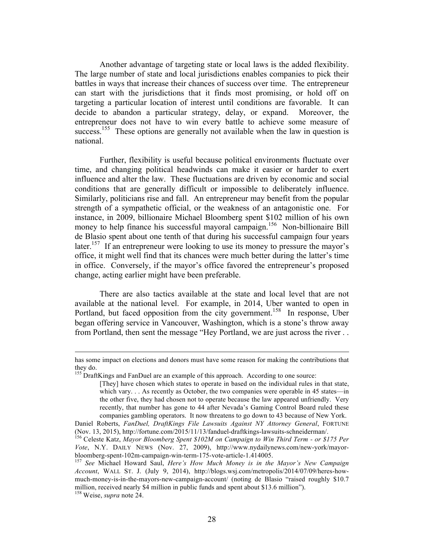Another advantage of targeting state or local laws is the added flexibility. The large number of state and local jurisdictions enables companies to pick their battles in ways that increase their chances of success over time. The entrepreneur can start with the jurisdictions that it finds most promising, or hold off on targeting a particular location of interest until conditions are favorable. It can decide to abandon a particular strategy, delay, or expand. Moreover, the entrepreneur does not have to win every battle to achieve some measure of success.<sup>155</sup> These options are generally not available when the law in question is national.

Further, flexibility is useful because political environments fluctuate over time, and changing political headwinds can make it easier or harder to exert influence and alter the law. These fluctuations are driven by economic and social conditions that are generally difficult or impossible to deliberately influence. Similarly, politicians rise and fall. An entrepreneur may benefit from the popular strength of a sympathetic official, or the weakness of an antagonistic one. For instance, in 2009, billionaire Michael Bloomberg spent \$102 million of his own money to help finance his successful mayoral campaign.<sup>156</sup> Non-billionaire Bill de Blasio spent about one tenth of that during his successful campaign four years later.<sup>157</sup> If an entrepreneur were looking to use its money to pressure the mayor's office, it might well find that its chances were much better during the latter's time in office. Conversely, if the mayor's office favored the entrepreneur's proposed change, acting earlier might have been preferable.

There are also tactics available at the state and local level that are not available at the national level. For example, in 2014, Uber wanted to open in Portland, but faced opposition from the city government.<sup>158</sup> In response, Uber began offering service in Vancouver, Washington, which is a stone's throw away from Portland, then sent the message "Hey Portland, we are just across the river . .

<sup>&</sup>lt;u> 1989 - Johann Stoff, deutscher Stoff, der Stoff, der Stoff, der Stoff, der Stoff, der Stoff, der Stoff, der S</u> has some impact on elections and donors must have some reason for making the contributions that they do.

<sup>&</sup>lt;sup>155</sup> DraftKings and FanDuel are an example of this approach. According to one source:

<sup>[</sup>They] have chosen which states to operate in based on the individual rules in that state, which vary. . . As recently as October, the two companies were operable in 45 states—in the other five, they had chosen not to operate because the law appeared unfriendly. Very recently, that number has gone to 44 after Nevada's Gaming Control Board ruled these companies gambling operators. It now threatens to go down to 43 because of New York.

Daniel Roberts, *FanDuel, DraftKings File Lawsuits Against NY Attorney General*, FORTUNE (Nov. 13, 2015), http://fortune.com/2015/11/13/fanduel-draftkings-lawsuits-schneiderman/. 156 Celeste Katz, *Mayor Bloomberg Spent \$102M on Campaign to Win Third Term - or \$175 Per* 

*Vote*, N.Y. DAILY NEWS (Nov. 27, 2009), http://www.nydailynews.com/new-york/mayorbloomberg-spent-102m-campaign-win-term-175-vote-article-1.414005. 157 *See* Michael Howard Saul, *Here's How Much Money is in the Mayor's New Campaign* 

*Account*, WALL ST. J. (July 9, 2014), http://blogs.wsj.com/metropolis/2014/07/09/heres-howmuch-money-is-in-the-mayors-new-campaign-account/ (noting de Blasio "raised roughly \$10.7 million, received nearly \$4 million in public funds and spent about \$13.6 million"). 158 Weise, *supra* note 24.

<sup>28</sup>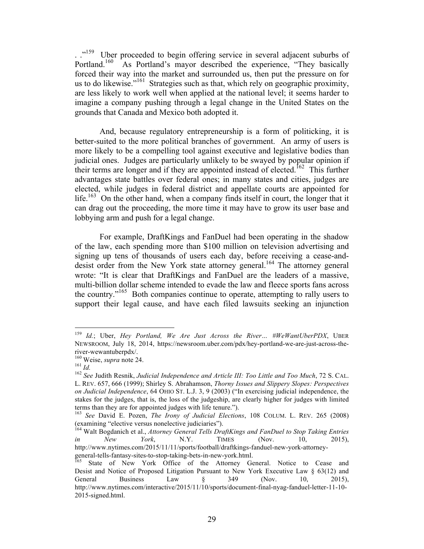...<sup>159</sup> Uber proceeded to begin offering service in several adjacent suburbs of Portland.<sup>160</sup> As Portland's mayor described the experience, "They basically forced their way into the market and surrounded us, then put the pressure on for us to do likewise."<sup>161</sup> Strategies such as that, which rely on geographic proximity, are less likely to work well when applied at the national level; it seems harder to imagine a company pushing through a legal change in the United States on the grounds that Canada and Mexico both adopted it.

And, because regulatory entrepreneurship is a form of politicking, it is better-suited to the more political branches of government. An army of users is more likely to be a compelling tool against executive and legislative bodies than judicial ones. Judges are particularly unlikely to be swayed by popular opinion if their terms are longer and if they are appointed instead of elected.<sup>162</sup> This further advantages state battles over federal ones; in many states and cities, judges are elected, while judges in federal district and appellate courts are appointed for life.<sup>163</sup> On the other hand, when a company finds itself in court, the longer that it can drag out the proceeding, the more time it may have to grow its user base and lobbying arm and push for a legal change.

For example, DraftKings and FanDuel had been operating in the shadow of the law, each spending more than \$100 million on television advertising and signing up tens of thousands of users each day, before receiving a cease-anddesist order from the New York state attorney general. 164 The attorney general wrote: "It is clear that DraftKings and FanDuel are the leaders of a massive, multi-billion dollar scheme intended to evade the law and fleece sports fans across the country." <sup>165</sup> Both companies continue to operate, attempting to rally users to support their legal cause, and have each filed lawsuits seeking an injunction

 <sup>159</sup> *Id.*; Uber, *Hey Portland, We Are Just Across the River… #WeWantUberPDX*, UBER NEWSROOM, July 18, 2014, https://newsroom.uber.com/pdx/hey-portland-we-are-just-across-theriver-wewantuberpdx/.<br><sup>160</sup> Weise, *supra* note 24.<br><sup>161</sup> *Id.* 26ee Judith Resnik, *Judicial Independence and Article III: Too Little and Too Much*, 72 S. CAL.

L. REV. 657, 666 (1999); Shirley S. Abrahamson, *Thorny Issues and Slippery Slopes: Perspectives on Judicial Independence*, 64 OHIO ST. L.J. 3, 9 (2003) ("In exercising judicial independence, the stakes for the judges, that is, the loss of the judgeship, are clearly higher for judges with limited terms than they are for appointed judges with life tenure.").

<sup>163</sup> *See* David E. Pozen, *The Irony of Judicial Elections*, 108 COLUM. L. REV. 265 (2008) (examining "elective versus nonelective judiciaries").

<sup>164</sup> Walt Bogdanich et al., *Attorney General Tells DraftKings and FanDuel to Stop Taking Entries in New York*, N.Y. TIMES (Nov. 10, 2015), http://www.nytimes.com/2015/11/11/sports/football/draftkings-fanduel-new-york-attorneygeneral-tells-fantasy-sites-to-stop-taking-bets-in-new-york.html.<br>
<sup>165</sup> State of New York Office of the Attorney General. Notice to Cease and

Desist and Notice of Proposed Litigation Pursuant to New York Executive Law § 63(12) and General Business Law  $\S$  349 (Nov. 10, 2015), http://www.nytimes.com/interactive/2015/11/10/sports/document-final-nyag-fanduel-letter-11-10- 2015-signed.html.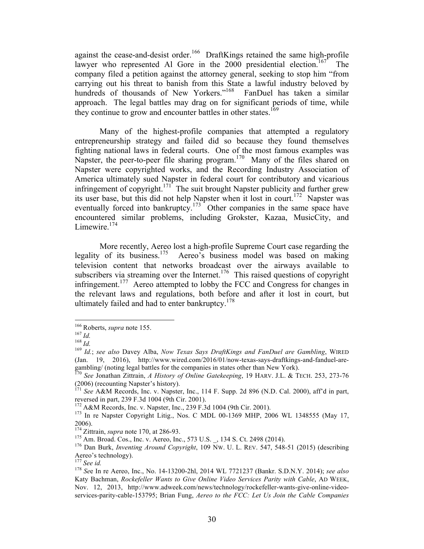against the cease-and-desist order.<sup>166</sup> DraftKings retained the same high-profile lawyer who represented Al Gore in the 2000 presidential election.<sup>167</sup> The company filed a petition against the attorney general, seeking to stop him "from carrying out his threat to banish from this State a lawful industry beloved by hundreds of thousands of New Yorkers."<sup>168</sup> FanDuel has taken a similar approach. The legal battles may drag on for significant periods of time, while they continue to grow and encounter battles in other states.<sup>169</sup>

Many of the highest-profile companies that attempted a regulatory entrepreneurship strategy and failed did so because they found themselves fighting national laws in federal courts. One of the most famous examples was Napster, the peer-to-peer file sharing program.<sup>170</sup> Many of the files shared on Napster were copyrighted works, and the Recording Industry Association of America ultimately sued Napster in federal court for contributory and vicarious infringement of copyright.<sup>171</sup> The suit brought Napster publicity and further grew its user base, but this did not help Napster when it lost in court.<sup>172</sup> Napster was eventually forced into bankruptcy.<sup>173</sup> Other companies in the same space have encountered similar problems, including Grokster, Kazaa, MusicCity, and Limewire.<sup>174</sup>

More recently, Aereo lost a high-profile Supreme Court case regarding the legality of its business.<sup>175</sup> Aereo's business model was based on making television content that networks broadcast over the airways available to subscribers via streaming over the Internet.<sup>176</sup> This raised questions of copyright infringement.<sup>177</sup> Aereo attempted to lobby the FCC and Congress for changes in the relevant laws and regulations, both before and after it lost in court, but ultimately failed and had to enter bankruptcy.<sup>178</sup>

<sup>&</sup>lt;sup>166</sup> Roberts, *supra* note 155.<br><sup>167</sup> *Id.*<br><sup>168</sup> *Id. isee also* Davey Alba, *Now Texas Says DraftKings and FanDuel are Gambling*, WIRED (Jan. 19, 2016), http://www.wired.com/2016/01/now-texas-says-draftkings-and-fanduel-aregambling/ (noting legal battles for the companies in states other than New York).<br><sup>170</sup> *See* Jonathan Zittrain, *A History of Online Gatekeeping*, 19 HARV. J.L. & TECH. 253, 273-76

<sup>(2006) (</sup>recounting Napster's history).

<sup>171</sup> *See* A&M Records, Inc. v. Napster, Inc., 114 F. Supp. 2d 896 (N.D. Cal. 2000), aff'd in part, reversed in part, 239 F.3d 1004 (9th Cir. 2001).<br><sup>172</sup> A&M Records, Inc. v. Napster, Inc., 239 F.3d 1004 (9th Cir. 2001).<br><sup>173</sup> In re Napster Copyright Litig., Nos. C MDL 00-1369 MHP, 2006 WL 1348555 (May 17,

<sup>2006).&</sup>lt;br><sup>174</sup> Zittrain, *supra* note 170, at 286-93.

<sup>&</sup>lt;sup>175</sup> Am. Broad. Cos., Inc. v. Aereo, Inc., 573 U.S. \_, 134 S. Ct. 2498 (2014). <sup>176</sup> Dan Burk, *Inventing Around Copyright*, 109 Nw. U. L. REV. 547, 548-51 (2015) (describing Aereo's technology).<br><sup>177</sup> See id.

<sup>&</sup>lt;sup>178</sup> *See In re Aereo, Inc., No. 14-13200-2hl, 2014 WL 7721237 (Bankr. S.D.N.Y. 2014); see also* Katy Bachman, *Rockefeller Wants to Give Online Video Services Parity with Cable*, AD WEEK, Nov. 12, 2013, http://www.adweek.com/news/technology/rockefeller-wants-give-online-videoservices-parity-cable-153795; Brian Fung, *Aereo to the FCC: Let Us Join the Cable Companies*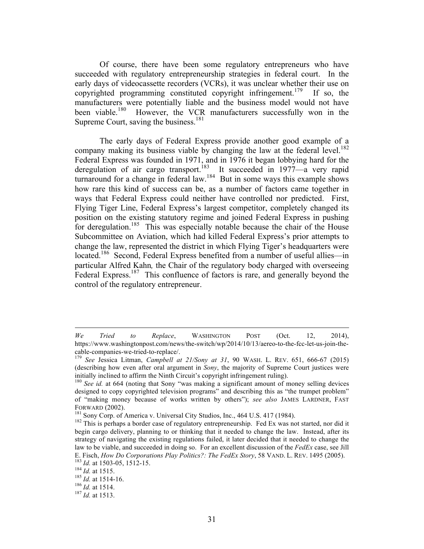Of course, there have been some regulatory entrepreneurs who have succeeded with regulatory entrepreneurship strategies in federal court. In the early days of videocassette recorders (VCRs), it was unclear whether their use on copyrighted programming constituted copyright infringement.<sup>179</sup> If so, the manufacturers were potentially liable and the business model would not have been viable.<sup>180</sup> However, the VCR manufacturers successfully won in the Supreme Court, saving the business.<sup>181</sup>

The early days of Federal Express provide another good example of a company making its business viable by changing the law at the federal level.<sup>182</sup> Federal Express was founded in 1971, and in 1976 it began lobbying hard for the deregulation of air cargo transport.<sup>183</sup> It succeeded in 1977—a very rapid turnaround for a change in federal law.<sup>184</sup> But in some ways this example shows how rare this kind of success can be, as a number of factors came together in ways that Federal Express could neither have controlled nor predicted. First, Flying Tiger Line, Federal Express's largest competitor, completely changed its position on the existing statutory regime and joined Federal Express in pushing for deregulation.<sup>185</sup> This was especially notable because the chair of the House Subcommittee on Aviation, which had killed Federal Express's prior attempts to change the law, represented the district in which Flying Tiger's headquarters were located.<sup>186</sup> Second, Federal Express benefited from a number of useful allies—in particular Alfred Kahn*,* the Chair of the regulatory body charged with overseeing Federal Express.<sup>187</sup> This confluence of factors is rare, and generally beyond the control of the regulatory entrepreneur.

<u> 1989 - Andrea Santa Alemania, amerikana amerikana amerikana amerikana amerikana amerikana amerikana amerikan</u>

*We Tried to Replace*, WASHINGTON POST (Oct. 12, 2014), https://www.washingtonpost.com/news/the-switch/wp/2014/10/13/aereo-to-the-fcc-let-us-join-thecable-companies-we-tried-to-replace/. 179 *See* Jessica Litman, *Campbell at 21/Sony at 31*, 90 WASH. L. REV. 651, 666-67 (2015)

<sup>(</sup>describing how even after oral argument in *Sony*, the majority of Supreme Court justices were initially inclined to affirm the Ninth Circuit's copyright infringement ruling).

<sup>180</sup> *See id.* at 664 (noting that Sony "was making a significant amount of money selling devices designed to copy copyrighted television programs" and describing this as "the trumpet problem" of "making money because of works written by others"); *see also* JAMES LARDNER, FAST FORWARD (2002).<br><sup>181</sup> Sony Corp. of America v. Universal City Studios, Inc., 464 U.S. 417 (1984).<br><sup>182</sup> This is perhaps a border case of regulatory entrepreneurship. Fed Ex was not started, nor did it

begin cargo delivery, planning to or thinking that it needed to change the law. Instead, after its strategy of navigating the existing regulations failed, it later decided that it needed to change the law to be viable, and succeeded in doing so. For an excellent discussion of the *FedEx* case, see Jill E. Fisch, *How Do Corporations Play Politics?*: *The FedEx Story*, 58 VAND. L. REV. 1495 (2005).<br><sup>183</sup> *Id.* at 1503-05, 1512-15.<br><sup>184</sup> *Id.* at 1515.<br><sup>185</sup> *Id.* at 1514-16.<br><sup>186</sup> *Id.* at 1514.<br><sup>186</sup> *Id.* at 1514.<br><sup>186</sup>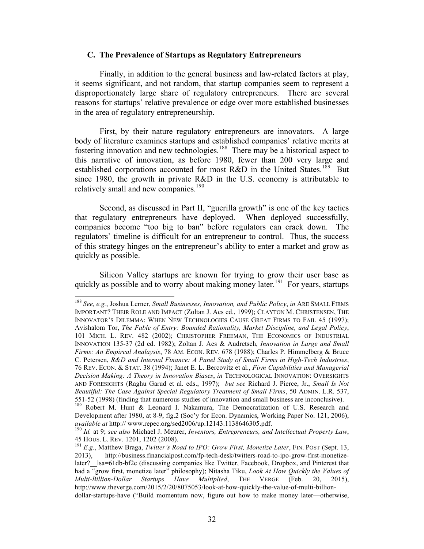#### **C. The Prevalence of Startups as Regulatory Entrepreneurs**

Finally, in addition to the general business and law-related factors at play, it seems significant, and not random, that startup companies seem to represent a disproportionately large share of regulatory entrepreneurs. There are several reasons for startups' relative prevalence or edge over more established businesses in the area of regulatory entrepreneurship.

First, by their nature regulatory entrepreneurs are innovators. A large body of literature examines startups and established companies' relative merits at fostering innovation and new technologies. 188 There may be a historical aspect to this narrative of innovation, as before 1980, fewer than 200 very large and established corporations accounted for most R&D in the United States.<sup>189</sup> But since 1980, the growth in private R&D in the U.S. economy is attributable to relatively small and new companies. 190

Second, as discussed in Part II, "guerilla growth" is one of the key tactics that regulatory entrepreneurs have deployed. When deployed successfully, companies become "too big to ban" before regulators can crack down. The regulators' timeline is difficult for an entrepreneur to control. Thus, the success of this strategy hinges on the entrepreneur's ability to enter a market and grow as quickly as possible.

Silicon Valley startups are known for trying to grow their user base as quickly as possible and to worry about making money later.<sup>191</sup> For years, startups

 <sup>188</sup> *See, e.g.*, Joshua Lerner, *Small Businesses, Innovation, and Public Policy*, *in* ARE SMALL FIRMS IMPORTANT? THEIR ROLE AND IMPACT (Zoltan J. Acs ed., 1999); CLAYTON M. CHRISTENSEN, THE INNOVATOR'S DILEMMA: WHEN NEW TECHNOLOGIES CAUSE GREAT FIRMS TO FAIL 45 (1997); Avishalom Tor, *The Fable of Entry: Bounded Rationality, Market Discipline, and Legal Policy*, 101 MICH. L. REV. 482 (2002); CHRISTOPHER FREEMAN, THE ECONOMICS OF INDUSTRIAL INNOVATION 135-37 (2d ed. 1982); Zoltan J. Acs & Audretsch, *Innovation in Large and Small Firms: An Empircal Analaysis*, 78 AM. ECON. REV. 678 (1988); Charles P. Himmelberg & Bruce C. Petersen, *R&D and Internal Finance: A Panel Study of Small Firms in High-Tech Industries*, 76 REV. ECON. & STAT. 38 (1994); Janet E. L. Bercovitz et al., *Firm Capabilities and Managerial Decision Making: A Theory in Innovation Biases*, *in* TECHNOLOGICAL INNOVATION: OVERSIGHTS AND FORESIGHTS (Raghu Garud et al. eds., 1997); *but see* Richard J. Pierce, Jr., *Small Is Not Beautiful: The Case Against Special Regulatory Treatment of Small Firms*, 50 ADMIN. L.R. 537,

<sup>551-52 (1998) (</sup>finding that numerous studies of innovation and small business are inconclusive). 189 Robert M. Hunt & Leonard I. Nakamura, The Democratization of U.S. Research and Development after 1980, at 8-9, fig.2 (Soc'y for Econ. Dynamics, Working Paper No. 121, 2006), *available at* http:// www.repec.org/sed2006/up.12143.1138646305.pdf.

<sup>&</sup>lt;sup>190</sup> Id. at 9; see also Michael J. Meurer, *Inventors, Entrepreneurs, and Intellectual Property Law*, 45 HOUS. L. REV. 1201, 1202 (2008). 191 *E.g.*, Matthew Braga, *Twitter's Road to IPO: Grow First, Monetize Later*, FIN. POST (Sept. 13,

<sup>2013),</sup> http://business.financialpost.com/fp-tech-desk/twitters-road-to-ipo-grow-first-monetizelater? lsa=61db-bf2c (discussing companies like Twitter, Facebook, Dropbox, and Pinterest that had a "grow first, monetize later" philosophy); Nitasha Tiku, *Look At How Quickly the Values of Multi-Billion-Dollar Startups Have Multiplied*, THE VERGE (Feb. 20, 2015), http://www.theverge.com/2015/2/20/8075053/look-at-how-quickly-the-value-of-multi-billiondollar-startups-have ("Build momentum now, figure out how to make money later—otherwise,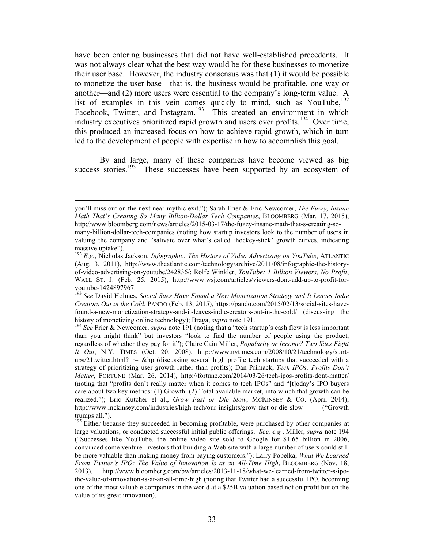have been entering businesses that did not have well-established precedents. It was not always clear what the best way would be for these businesses to monetize their user base. However, the industry consensus was that (1) it would be possible to monetize the user base—that is, the business would be profitable, one way or another—and (2) more users were essential to the company's long-term value. A list of examples in this vein comes quickly to mind, such as YouTube,<sup>192</sup> Facebook, Twitter, and Instagram.<sup>193</sup> This created an environment in which industry executives prioritized rapid growth and users over profits. 194 Over time, this produced an increased focus on how to achieve rapid growth, which in turn led to the development of people with expertise in how to accomplish this goal.

By and large, many of these companies have become viewed as big success stories.<sup>195</sup> These successes have been supported by an ecosystem of

<u> 1989 - Andrea Santa Alemania, amerikana amerikana amerikana amerikana amerikana amerikana amerikana amerikan</u>

you'll miss out on the next near-mythic exit."); Sarah Frier & Eric Newcomer, *The Fuzzy, Insane Math That's Creating So Many Billion-Dollar Tech Companies*, BLOOMBERG (Mar. 17, 2015), http://www.bloomberg.com/news/articles/2015-03-17/the-fuzzy-insane-math-that-s-creating-somany-billion-dollar-tech-companies (noting how startup investors look to the number of users in valuing the company and "salivate over what's called 'hockey-stick' growth curves, indicating massive uptake").

<sup>192</sup> *E.g.*, Nicholas Jackson, *Infographic: The History of Video Advertising on YouTube*, ATLANTIC (Aug. 3, 2011), http://www.theatlantic.com/technology/archive/2011/08/infographic-the-historyof-video-advertising-on-youtube/242836/; Rolfe Winkler, *YouTube: 1 Billion Viewers, No Profit*, WALL ST. J. (Feb. 25, 2015), http://www.wsj.com/articles/viewers-dont-add-up-to-profit-foryoutube-1424897967. <sup>193</sup> *See* David Holmes, *Social Sites Have Found a New Monetization Strategy and It Leaves Indie* 

*Creators Out in the Cold*, PANDO (Feb. 13, 2015), https://pando.com/2015/02/13/social-sites-havefound-a-new-monetization-strategy-and-it-leaves-indie-creators-out-in-the-cold/ (discussing the history of monetizing online technology); Braga, *supra* note 191.<br><sup>194</sup> *See* Frier & Newcomer, *supra* note 191 (noting that a "tech startup's cash flow is less important

than you might think" but investors "look to find the number of people using the product, regardless of whether they pay for it"); Claire Cain Miller, *Popularity or Income? Two Sites Fight It Out*, N.Y. TIMES (Oct. 20, 2008), http://www.nytimes.com/2008/10/21/technology/startups/21twitter.html?  $r=1$ &hp (discussing several high profile tech startups that succeeded with a strategy of prioritizing user growth rather than profits); Dan Primack, *Tech IPOs: Profits Don't Matter*, FORTUNE (Mar. 26, 2014), http://fortune.com/2014/03/26/tech-ipos-profits-dont-matter/ (noting that "profits don't really matter when it comes to tech IPOs" and "[t]oday's IPO buyers care about two key metrics: (1) Growth. (2) Total available market, into which that growth can be realized."); Eric Kutcher et al., *Grow Fast or Die Slow*, MCKINSEY & CO. (April 2014), http://www.mckinsey.com/industries/high-tech/our-insights/grow-fast-or-die-slow ("Growth trumps all.").

<sup>&</sup>lt;sup>195</sup> Either because they succeeded in becoming profitable, were purchased by other companies at large valuations, or conducted successful initial public offerings. *See, e.g.*, Miller, *supra* note 194 ("Successes like YouTube, the online video site sold to Google for \$1.65 billion in 2006, convinced some venture investors that building a Web site with a large number of users could still be more valuable than making money from paying customers."); Larry Popelka, *What We Learned From Twitter's IPO: The Value of Innovation Is at an All-Time High*, BLOOMBERG (Nov. 18, 2013), http://www.bloomberg.com/bw/articles/2013-11-18/what-we-learned-from-twitter-s-ipothe-value-of-innovation-is-at-an-all-time-high (noting that Twitter had a successful IPO, becoming one of the most valuable companies in the world at a \$25B valuation based not on profit but on the value of its great innovation).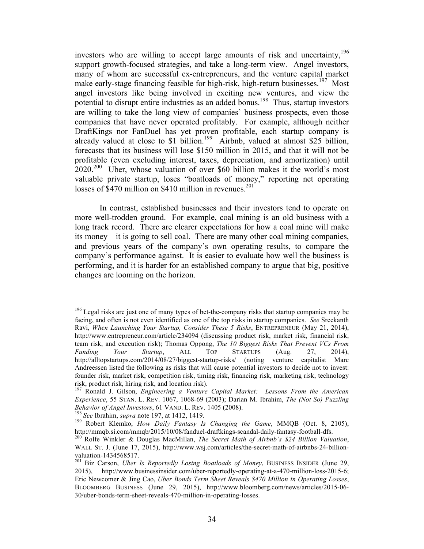investors who are willing to accept large amounts of risk and uncertainty, 196 support growth-focused strategies, and take a long-term view. Angel investors, many of whom are successful ex-entrepreneurs, and the venture capital market make early-stage financing feasible for high-risk, high-return businesses.<sup>197</sup> Most angel investors like being involved in exciting new ventures, and view the potential to disrupt entire industries as an added bonus. 198 Thus, startup investors are willing to take the long view of companies' business prospects, even those companies that have never operated profitably. For example, although neither DraftKings nor FanDuel has yet proven profitable, each startup company is already valued at close to \$1 billion. 199 Airbnb, valued at almost \$25 billion, forecasts that its business will lose \$150 million in 2015, and that it will not be profitable (even excluding interest, taxes, depreciation, and amortization) until  $2020^{200}$  Uber, whose valuation of over \$60 billion makes it the world's most valuable private startup, loses "boatloads of money," reporting net operating losses of  $$470$  million on \$410 million in revenues.<sup>201</sup>

In contrast, established businesses and their investors tend to operate on more well-trodden ground. For example, coal mining is an old business with a long track record. There are clearer expectations for how a coal mine will make its money—it is going to sell coal. There are many other coal mining companies, and previous years of the company's own operating results, to compare the company's performance against. It is easier to evaluate how well the business is performing, and it is harder for an established company to argue that big, positive changes are looming on the horizon.

 $196$  Legal risks are just one of many types of bet-the-company risks that startup companies may be facing, and often is not even identified as one of the top risks in startup companies. *See* Sreekanth Ravi, *When Launching Your Startup, Consider These 5 Risks*, ENTREPRENEUR (May 21, 2014), http://www.entrepreneur.com/article/234094 (discussing product risk, market risk, financial risk, team risk, and execution risk); Thomas Oppong, *The 10 Biggest Risks That Prevent VCs From Funding Your Startup*, ALL TOP STARTUPS (Aug. 27, 2014), http://alltopstartups.com/2014/08/27/biggest-startup-risks/ (noting venture capitalist Marc Andreessen listed the following as risks that will cause potential investors to decide not to invest: founder risk, market risk, competition risk, timing risk, financing risk, marketing risk, technology risk, product risk, hiring risk, and location risk).

<sup>197</sup> Ronald J. Gilson, *Engineering a Venture Capital Market: Lessons From the American Experience*, 55 STAN. L. REV. 1067, 1068-69 (2003); Darian M. Ibrahim, *The (Not So) Puzzling* 

*Behavior of Angel Investors*, 61 VAND. L. REV. 1405 (2008).<br><sup>198</sup> *See* Ibrahim, *supra* note 197, at 1412, 1419.<br><sup>199</sup> Robert Klemko, *How Daily Fantasy Is Changing the Game*, MMQB (Oct. 8, 2105),<br>http://mmqb.si.com/mmqb

<sup>&</sup>lt;sup>200</sup> Rolfe Winkler & Douglas MacMillan, *The Secret Math of Airbnb's \$24 Billion Valuation*, WALL ST. J. (June 17, 2015), http://www.wsj.com/articles/the-secret-math-of-airbnbs-24-billionvaluation-1434568517.<br><sup>201</sup> Biz Carson, *Uber Is Reportedly Losing Boatloads of Money*, BUSINESS INSIDER (June 29,

<sup>2015),</sup> http://www.businessinsider.com/uber-reportedly-operating-at-a-470-million-loss-2015-6; Eric Newcomer & Jing Cao, *Uber Bonds Term Sheet Reveals \$470 Million in Operating Losses*, BLOOMBERG BUSINESS (June 29, 2015), http://www.bloomberg.com/news/articles/2015-06- 30/uber-bonds-term-sheet-reveals-470-million-in-operating-losses.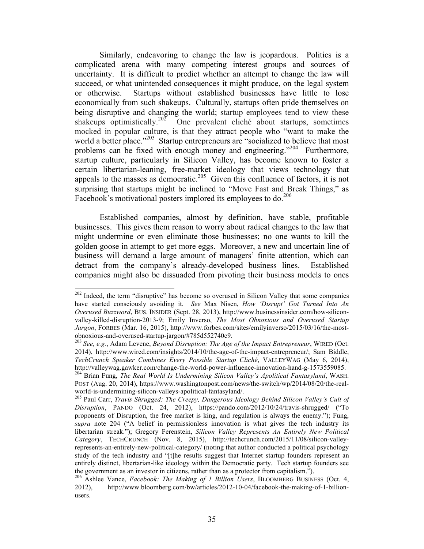Similarly, endeavoring to change the law is jeopardous. Politics is a complicated arena with many competing interest groups and sources of uncertainty. It is difficult to predict whether an attempt to change the law will succeed, or what unintended consequences it might produce, on the legal system or otherwise. Startups without established businesses have little to lose economically from such shakeups. Culturally, startups often pride themselves on being disruptive and changing the world; startup employees tend to view these shakeups optimistically.<sup>202</sup> One prevalent cliché about startups, sometimes mocked in popular culture, is that they attract people who "want to make the world a better place."<sup>203</sup> Startup entrepreneurs are "socialized to believe that most problems can be fixed with enough money and engineering."<sup>204</sup> Furthermore, startup culture, particularly in Silicon Valley, has become known to foster a certain libertarian-leaning, free-market ideology that views technology that appeals to the masses as democratic.<sup>205</sup> Given this confluence of factors, it is not surprising that startups might be inclined to "Move Fast and Break Things," as Facebook's motivational posters implored its employees to do.<sup>206</sup>

Established companies, almost by definition, have stable, profitable businesses. This gives them reason to worry about radical changes to the law that might undermine or even eliminate those businesses; no one wants to kill the golden goose in attempt to get more eggs. Moreover, a new and uncertain line of business will demand a large amount of managers' finite attention, which can detract from the company's already-developed business lines. Established companies might also be dissuaded from pivoting their business models to ones

<sup>&</sup>lt;sup>202</sup> Indeed, the term "disruptive" has become so overused in Silicon Valley that some companies have started consciously avoiding it. *See* Max Nisen, *How 'Disrupt' Got Turned Into An Overused Buzzword*, BUS. INSIDER (Sept. 28, 2013), http://www.businessinsider.com/how-siliconvalley-killed-disruption-2013-9; Emily Inverso, *The Most Obnoxious and Overused Startup Jargon*, FORBES (Mar. 16, 2015), http://www.forbes.com/sites/emilyinverso/2015/03/16/the-most-

<sup>&</sup>lt;sup>203</sup> See, e.g., Adam Levene, *Beyond Disruption: The Age of the Impact Entrepreneur*, WIRED (Oct. 2014), http://www.wired.com/insights/2014/10/the-age-of-the-impact-entrepreneur/; Sam Biddle, *TechCrunch Speaker Combines Every Possible Startup Cliché*, VALLEYWAG (May 6, 2014), <sup>204</sup> Brian Fung, *The Real World Is Undermining Silicon Valley's Apolitical Fantasyland*, WASH.

POST (Aug. 20, 2014), https://www.washingtonpost.com/news/the-switch/wp/2014/08/20/the-realworld-is-undermining-silicon-valleys-apolitical-fantasyland/.<br><sup>205</sup> Paul Carr, *Travis Shrugged: The Creepy, Dangerous Ideology Behind Silicon Valley's Cult of* 

*Disruption*, PANDO (Oct. 24, 2012), https://pando.com/2012/10/24/travis-shrugged/ ("To proponents of Disruption, the free market is king, and regulation is always the enemy."); Fung, *supra* note 204 ("A belief in permissionless innovation is what gives the tech industry its libertarian streak."); Gregory Ferenstein, *Silicon Valley Represents An Entirely New Political Category*, TECHCRUNCH (Nov. 8, 2015), http://techcrunch.com/2015/11/08/silicon-valleyrepresents-an-entirely-new-political-category/ (noting that author conducted a political psychology study of the tech industry and "[t]he results suggest that Internet startup founders represent an entirely distinct, libertarian-like ideology within the Democratic party. Tech startup founders see the government as an investor in citizens, rather than as a protector from capitalism.").

<sup>206</sup> Ashlee Vance, *Facebook: The Making of 1 Billion Users*, BLOOMBERG BUSINESS (Oct. 4, 2012), http://www.bloomberg.com/bw/articles/2012-10-04/facebook-the-making-of-1-billionusers.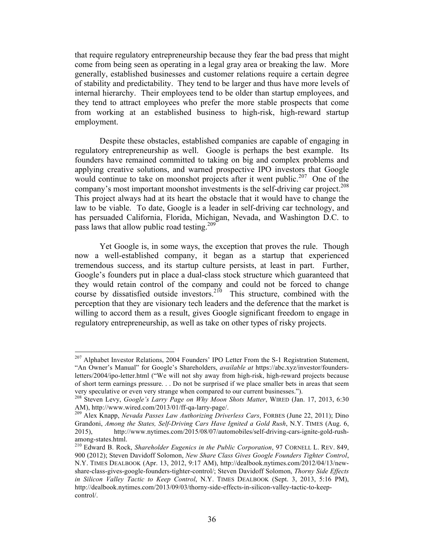that require regulatory entrepreneurship because they fear the bad press that might come from being seen as operating in a legal gray area or breaking the law. More generally, established businesses and customer relations require a certain degree of stability and predictability. They tend to be larger and thus have more levels of internal hierarchy. Their employees tend to be older than startup employees, and they tend to attract employees who prefer the more stable prospects that come from working at an established business to high-risk, high-reward startup employment.

Despite these obstacles, established companies are capable of engaging in regulatory entrepreneurship as well. Google is perhaps the best example. Its founders have remained committed to taking on big and complex problems and applying creative solutions, and warned prospective IPO investors that Google would continue to take on moonshot projects after it went public.<sup>207</sup> One of the company's most important moonshot investments is the self-driving car project. 208 This project always had at its heart the obstacle that it would have to change the law to be viable. To date, Google is a leader in self-driving car technology, and has persuaded California, Florida, Michigan, Nevada, and Washington D.C. to pass laws that allow public road testing.<sup>209</sup>

Yet Google is, in some ways, the exception that proves the rule. Though now a well-established company, it began as a startup that experienced tremendous success, and its startup culture persists, at least in part. Further, Google's founders put in place a dual-class stock structure which guaranteed that they would retain control of the company and could not be forced to change course by dissatisfied outside investors.<sup>210</sup> This structure, combined with the perception that they are visionary tech leaders and the deference that the market is willing to accord them as a result, gives Google significant freedom to engage in regulatory entrepreneurship, as well as take on other types of risky projects.

<sup>&</sup>lt;sup>207</sup> Alphabet Investor Relations, 2004 Founders' IPO Letter From the S-1 Registration Statement, "An Owner's Manual" for Google's Shareholders, *available at* https://abc.xyz/investor/foundersletters/2004/ipo-letter.html ("We will not shy away from high-risk, high-reward projects because of short term earnings pressure. . . Do not be surprised if we place smaller bets in areas that seem

very speculative or even very strange when compared to our current businesses."). 208 Steven Levy, *Google's Larry Page on Why Moon Shots Matter*, WIRED (Jan. 17, 2013, 6:30 AM), http://www.wired.com/2013/01/ff-qa-larry-page/. 209 Alex Knapp, *Nevada Passes Law Authorizing Driverless Cars*, FORBES (June 22, 2011); Dino

Grandoni, *Among the States, Self-Driving Cars Have Ignited a Gold Rush*, N.Y. TIMES (Aug. 6, 2015), http://www.nytimes.com/2015/08/07/automobiles/self-driving-cars-ignite-gold-rushamong-states.html.<br><sup>210</sup> Edward B. Rock, *Shareholder Eugenics in the Public Corporation*, 97 CORNELL L. REV. 849,

<sup>900 (2012);</sup> Steven Davidoff Solomon, *New Share Class Gives Google Founders Tighter Control*, N.Y. TIMES DEALBOOK (Apr. 13, 2012, 9:17 AM), http://dealbook.nytimes.com/2012/04/13/newshare-class-gives-google-founders-tighter-control/; Steven Davidoff Solomon, *Thorny Side Effects in Silicon Valley Tactic to Keep Control*, N.Y. TIMES DEALBOOK (Sept. 3, 2013, 5:16 PM), http://dealbook.nytimes.com/2013/09/03/thorny-side-effects-in-silicon-valley-tactic-to-keepcontrol/.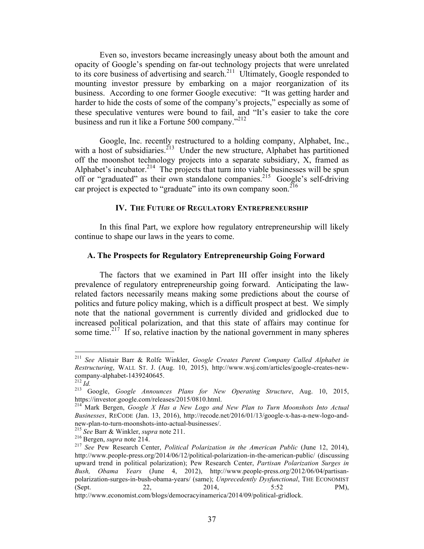Even so, investors became increasingly uneasy about both the amount and opacity of Google's spending on far-out technology projects that were unrelated to its core business of advertising and search.<sup>211</sup> Ultimately, Google responded to mounting investor pressure by embarking on a major reorganization of its business. According to one former Google executive: "It was getting harder and harder to hide the costs of some of the company's projects," especially as some of these speculative ventures were bound to fail, and "It's easier to take the core business and run it like a Fortune 500 company."<sup>212</sup>

Google, Inc. recently restructured to a holding company, Alphabet, Inc., with a host of subsidiaries.<sup>213</sup> Under the new structure, Alphabet has partitioned off the moonshot technology projects into a separate subsidiary, X, framed as Alphabet's incubator.<sup>214</sup> The projects that turn into viable businesses will be spun off or "graduated" as their own standalone companies.<sup>215</sup> Google's self-driving car project is expected to "graduate" into its own company soon.<sup>216</sup>

#### **IV. THE FUTURE OF REGULATORY ENTREPRENEURSHIP**

In this final Part, we explore how regulatory entrepreneurship will likely continue to shape our laws in the years to come.

#### **A. The Prospects for Regulatory Entrepreneurship Going Forward**

The factors that we examined in Part III offer insight into the likely prevalence of regulatory entrepreneurship going forward. Anticipating the lawrelated factors necessarily means making some predictions about the course of politics and future policy making, which is a difficult prospect at best. We simply note that the national government is currently divided and gridlocked due to increased political polarization, and that this state of affairs may continue for some time.<sup>217</sup> If so, relative inaction by the national government in many spheres

 <sup>211</sup> *See* Alistair Barr & Rolfe Winkler, *Google Creates Parent Company Called Alphabet in Restructuring*, WALL ST. J. (Aug. 10, 2015), http://www.wsj.com/articles/google-creates-newcompany-alphabet-1439240645.<br><sup>212</sup> *Id.* 213 *Id.* 2009 Google Announces Plans for New Operating Structure, Aug. 10, 2015,

https://investor.google.com/releases/2015/0810.html. 214 Mark Bergen, *Google X Has a New Logo and New Plan to Turn Moonshots Into Actual* 

*Businesses*, RECODE (Jan. 13, 2016), http://recode.net/2016/01/13/google-x-has-a-new-logo-andnew-plan-to-turn-moonshots-into-actual-businesses/.<br>
<sup>215</sup> See Barr & Winkler, *supra* note 211.<br>
<sup>216</sup> Bergen, *supra* note 214.<br>
<sup>217</sup> See Pew Research Center, *Political Polarization in the American Public* (June 12, 20

http://www.people-press.org/2014/06/12/political-polarization-in-the-american-public/ (discussing upward trend in political polarization); Pew Research Center, *Partisan Polarization Surges in Bush, Obama Years* (June 4, 2012), http://www.people-press.org/2012/06/04/partisanpolarization-surges-in-bush-obama-years/ (same); *Unprecedently Dysfunctional*, THE ECONOMIST (Sept. 22, 2014, 5:52 PM), http://www.economist.com/blogs/democracyinamerica/2014/09/political-gridlock.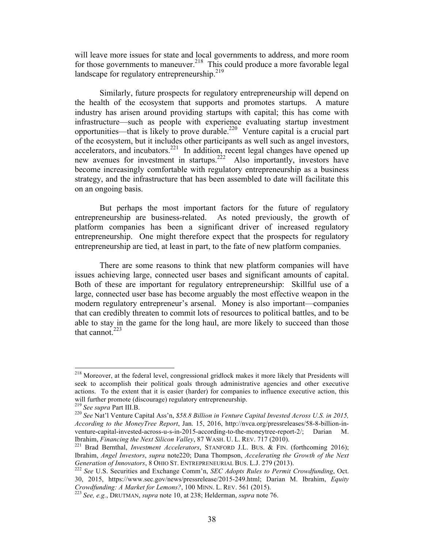will leave more issues for state and local governments to address, and more room for those governments to maneuver.<sup>218</sup> This could produce a more favorable legal landscape for regulatory entrepreneurship.<sup>219</sup>

Similarly, future prospects for regulatory entrepreneurship will depend on the health of the ecosystem that supports and promotes startups. A mature industry has arisen around providing startups with capital; this has come with infrastructure—such as people with experience evaluating startup investment opportunities—that is likely to prove durable. 220 Venture capital is a crucial part of the ecosystem, but it includes other participants as well such as angel investors, accelerators, and incubators.<sup>221</sup> In addition, recent legal changes have opened up new avenues for investment in startups.<sup>222</sup> Also importantly, investors have become increasingly comfortable with regulatory entrepreneurship as a business strategy, and the infrastructure that has been assembled to date will facilitate this on an ongoing basis.

But perhaps the most important factors for the future of regulatory entrepreneurship are business-related. As noted previously, the growth of platform companies has been a significant driver of increased regulatory entrepreneurship. One might therefore expect that the prospects for regulatory entrepreneurship are tied, at least in part, to the fate of new platform companies.

There are some reasons to think that new platform companies will have issues achieving large, connected user bases and significant amounts of capital. Both of these are important for regulatory entrepreneurship: Skillful use of a large, connected user base has become arguably the most effective weapon in the modern regulatory entrepreneur's arsenal. Money is also important—companies that can credibly threaten to commit lots of resources to political battles, and to be able to stay in the game for the long haul, are more likely to succeed than those that cannot. $223$ 

<sup>&</sup>lt;sup>218</sup> Moreover, at the federal level, congressional gridlock makes it more likely that Presidents will seek to accomplish their political goals through administrative agencies and other executive actions. To the extent that it is easier (harder) for companies to influence executive action, this will further promote (discourage) regulatory entrepreneurship.<br><sup>219</sup> *See supra* Part III.B.<br><sup>220</sup> *See* Nat'l Venture Capital Ass'n, *\$58.8 Billion in Venture Capital Invested Across U.S. in 2015,* 

*According to the MoneyTree Report*, Jan. 15, 2016, http://nvca.org/pressreleases/58-8-billion-inventure-capital-invested-across-u-s-in-2015-according-to-the-moneytree-report-2/; Darian M. Ibrahim, *Financing the Next Silicon Valley*, 87 WASH. U. L. REV. 717 (2010).

<sup>&</sup>lt;sup>221</sup> Brad Bernthal, *Investment Accelerators*, STANFORD J.L. BUS. & FIN. (forthcoming 2016); Ibrahim, *Angel Investors*, *supra* note220; Dana Thompson, *Accelerating the Growth of the Next Generation of Innovators*, 8 OHIO ST. ENTREPRENEURIAL BUS. L.J. 279 (2013).<br><sup>222</sup> *See* U.S. Securities and Exchange Comm'n, *SEC Adopts Rules to Permit Crowdfunding*, Oct.

<sup>30, 2015,</sup> https://www.sec.gov/news/pressrelease/2015-249.html; Darian M. Ibrahim, *Equity Crowdfunding: A Market for Lemons?*, 100 MINN. L. REV. 561 (2015). <sup>223</sup> *See, e.g.*, DRUTMAN, *supra* note 10, at 238; Helderman, *supra* note 76.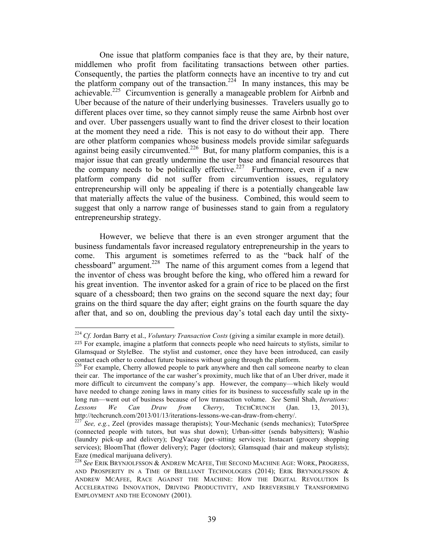One issue that platform companies face is that they are, by their nature, middlemen who profit from facilitating transactions between other parties. Consequently, the parties the platform connects have an incentive to try and cut the platform company out of the transaction.<sup>224</sup> In many instances, this may be achievable.<sup>225</sup> Circumvention is generally a manageable problem for Airbnb and Uber because of the nature of their underlying businesses. Travelers usually go to different places over time, so they cannot simply reuse the same Airbnb host over and over. Uber passengers usually want to find the driver closest to their location at the moment they need a ride. This is not easy to do without their app. There are other platform companies whose business models provide similar safeguards against being easily circumvented.<sup>226</sup> But, for many platform companies, this is a major issue that can greatly undermine the user base and financial resources that the company needs to be politically effective.<sup>227</sup> Furthermore, even if a new platform company did not suffer from circumvention issues, regulatory entrepreneurship will only be appealing if there is a potentially changeable law that materially affects the value of the business. Combined, this would seem to suggest that only a narrow range of businesses stand to gain from a regulatory entrepreneurship strategy.

However, we believe that there is an even stronger argument that the business fundamentals favor increased regulatory entrepreneurship in the years to come. This argument is sometimes referred to as the "back half of the chessboard" argument.<sup>228</sup> The name of this argument comes from a legend that the inventor of chess was brought before the king, who offered him a reward for his great invention. The inventor asked for a grain of rice to be placed on the first square of a chessboard; then two grains on the second square the next day; four grains on the third square the day after; eight grains on the fourth square the day after that, and so on, doubling the previous day's total each day until the sixty-

 <sup>224</sup> *Cf.* Jordan Barry et al., *Voluntary Transaction Costs* (giving a similar example in more detail). <sup>225</sup> For example, imagine a platform that connects people who need haircuts to stylists, similar to Glamsquad or StyleBee. The stylist and customer, once they have been introduced, can easily contact each other to conduct future business without going through the platform.

<sup>&</sup>lt;sup>226</sup> For example, Cherry allowed people to park anywhere and then call someone nearby to clean their car. The importance of the car washer's proximity, much like that of an Uber driver, made it more difficult to circumvent the company's app. However, the company—which likely would have needed to change zoning laws in many cities for its business to successfully scale up in the long run—went out of business because of low transaction volume. *See* Semil Shah, *Iterations: Lessons We Can Draw from Cherry*, TECHCRUNCH (Jan. 13, 2013), http://techcrunch.com/2013/01/13/iterations-lessons-we-can-draw-from-cherry/. 227 *See, e.g.*, Zeel (provides massage therapists); Your-Mechanic (sends mechanics); TutorSpree

<sup>(</sup>connected people with tutors, but was shut down); Urban-sitter (sends babysitters); Washio (laundry pick-up and delivery); DogVacay (pet–sitting services); Instacart (grocery shopping services); BloomThat (flower delivery); Pager (doctors); Glamsquad (hair and makeup stylists); Eaze (medical marijuana delivery).

<sup>&</sup>lt;sup>228</sup> See ERIK BRYNJOLFSSON & ANDREW MCAFEE, THE SECOND MACHINE AGE: WORK, PROGRESS, AND PROSPERITY IN A TIME OF BRILLIANT TECHNOLOGIES  $(2014)$ ; ERIK BRYNJOLFSSON & ANDREW MCAFEE, RACE AGAINST THE MACHINE: HOW THE DIGITAL REVOLUTION IS ACCELERATING INNOVATION, DRIVING PRODUCTIVITY, AND IRREVERSIBLY TRANSFORMING EMPLOYMENT AND THE ECONOMY (2001).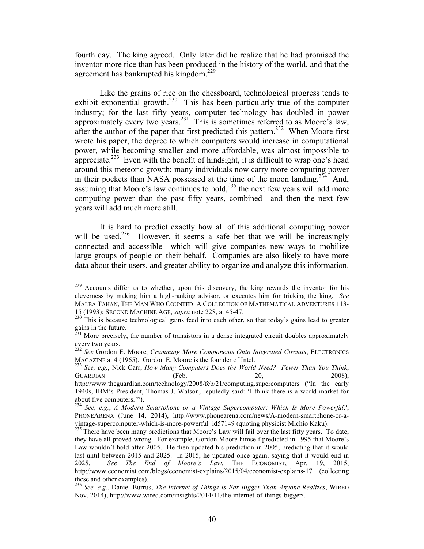fourth day. The king agreed. Only later did he realize that he had promised the inventor more rice than has been produced in the history of the world, and that the agreement has bankrupted his kingdom.<sup>229</sup>

Like the grains of rice on the chessboard, technological progress tends to exhibit exponential growth.<sup>230</sup> This has been particularly true of the computer industry; for the last fifty years, computer technology has doubled in power approximately every two years.<sup>231</sup> This is sometimes referred to as Moore's law, after the author of the paper that first predicted this pattern.<sup>232</sup> When Moore first wrote his paper, the degree to which computers would increase in computational power, while becoming smaller and more affordable, was almost impossible to appreciate.<sup>233</sup> Even with the benefit of hindsight, it is difficult to wrap one's head around this meteoric growth; many individuals now carry more computing power in their pockets than NASA possessed at the time of the moon landing.<sup>234</sup> And, assuming that Moore's law continues to hold, $^{235}$  the next few years will add more computing power than the past fifty years, combined—and then the next few years will add much more still.

It is hard to predict exactly how all of this additional computing power will be used.<sup>236</sup> However, it seems a safe bet that we will be increasingly connected and accessible—which will give companies new ways to mobilize large groups of people on their behalf. Companies are also likely to have more data about their users, and greater ability to organize and analyze this information.

 $229$  Accounts differ as to whether, upon this discovery, the king rewards the inventor for his cleverness by making him a high-ranking advisor, or executes him for tricking the king. *See* MALBA TAHAN, THE MAN WHO COUNTED: A COLLECTION OF MATHEMATICAL ADVENTURES 113- 15 (1993); SECOND MACHINE AGE, *supra* note 228, at 45-47. 230 This is because technological gains feed into each other, so that today's gains lead to greater

gains in the future.

 $^{231}$  More precisely, the number of transistors in a dense integrated circuit doubles approximately every two years.

<sup>&</sup>lt;sup>232</sup> *See* Gordon E. Moore, *Cramming More Components Onto Integrated Circuits*, ELECTRONICS MAGAZINE at 4 (1965). Gordon E. Moore is the founder of Intel.

<sup>&</sup>lt;sup>233</sup> See, e.g., Nick Carr, *How Many Computers Does the World Need? Fewer Than You Think*,  $GUARDIAN$  (Feb. 20, 2008),

http://www.theguardian.com/technology/2008/feb/21/computing.supercomputers ("In the early 1940s, IBM's President, Thomas J. Watson, reputedly said: 'I think there is a world market for about five computers.'").

<sup>234</sup> *See, e.g.*, *A Modern Smartphone or a Vintage Supercomputer: Which Is More Powerful?*, PHONEARENA (June 14, 2014), http://www.phonearena.com/news/A-modern-smartphone-or-a-<br>vintage-supercomputer-which-is-more-powerful id57149 (quoting physicist Michio Kaku).

<sup>&</sup>lt;sup>235</sup> There have been many predictions that Moore's Law will fail over the last fifty years. To date, they have all proved wrong. For example, Gordon Moore himself predicted in 1995 that Moore's Law wouldn't hold after 2005. He then updated his prediction in 2005, predicting that it would last until between 2015 and 2025. In 2015, he updated once again, saying that it would end in 2025. *See The End of Moore's Law*, THE ECONOMIST, Apr. 19, 2015, http://www.economist.com/blogs/economist-explains/2015/04/economist-explains-17 (collecting these and other examples).

<sup>236</sup> *See, e.g.*, Daniel Burrus, *The Internet of Things Is Far Bigger Than Anyone Realizes*, WIRED Nov. 2014), http://www.wired.com/insights/2014/11/the-internet-of-things-bigger/.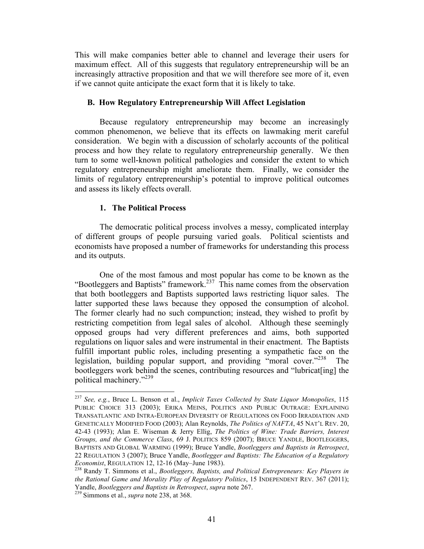This will make companies better able to channel and leverage their users for maximum effect. All of this suggests that regulatory entrepreneurship will be an increasingly attractive proposition and that we will therefore see more of it, even if we cannot quite anticipate the exact form that it is likely to take.

#### **B. How Regulatory Entrepreneurship Will Affect Legislation**

Because regulatory entrepreneurship may become an increasingly common phenomenon, we believe that its effects on lawmaking merit careful consideration. We begin with a discussion of scholarly accounts of the political process and how they relate to regulatory entrepreneurship generally. We then turn to some well-known political pathologies and consider the extent to which regulatory entrepreneurship might ameliorate them. Finally, we consider the limits of regulatory entrepreneurship's potential to improve political outcomes and assess its likely effects overall.

#### **1. The Political Process**

The democratic political process involves a messy, complicated interplay of different groups of people pursuing varied goals. Political scientists and economists have proposed a number of frameworks for understanding this process and its outputs.

One of the most famous and most popular has come to be known as the "Bootleggers and Baptists" framework.<sup>237</sup> This name comes from the observation that both bootleggers and Baptists supported laws restricting liquor sales. The latter supported these laws because they opposed the consumption of alcohol. The former clearly had no such compunction; instead, they wished to profit by restricting competition from legal sales of alcohol. Although these seemingly opposed groups had very different preferences and aims, both supported regulations on liquor sales and were instrumental in their enactment. The Baptists fulfill important public roles, including presenting a sympathetic face on the legislation, building popular support, and providing "moral cover."<sup>238</sup> The bootleggers work behind the scenes, contributing resources and "lubricat[ing] the political machinery." 239

 <sup>237</sup> *See, e.g.*, Bruce L. Benson et al., *Implicit Taxes Collected by State Liquor Monopolies*, 115 PUBLIC CHOICE 313 (2003); ERIKA MEINS, POLITICS AND PUBLIC OUTRAGE: EXPLAINING TRANSATLANTIC AND INTRA-EUROPEAN DIVERSITY OF REGULATIONS ON FOOD IRRADIATION AND GENETICALLY MODIFIED FOOD (2003); Alan Reynolds, *The Politics of NAFTA*, 45 NAT'L REV. 20, 42-43 (1993); Alan E. Wiseman & Jerry Ellig, *The Politics of Wine: Trade Barriers, Interest Groups, and the Commerce Class*, 69 J. POLITICS 859 (2007); BRUCE YANDLE, BOOTLEGGERS, BAPTISTS AND GLOBAL WARMING (1999); Bruce Yandle, *Bootleggers and Baptists in Retrospect*, 22 REGULATION 3 (2007); Bruce Yandle, *Bootlegger and Baptists: The Education of a Regulatory Economist*, REGULATION 12, 12-16 (May–June 1983).<br><sup>238</sup> Randy T. Simmons et al., *Bootleggers, Baptists, and Political Entrepreneurs: Key Players in* 

*the Rational Game and Morality Play of Regulatory Politics*, 15 INDEPENDENT REV. 367 (2011); Yandle, *Bootleggers and Baptists in Retrospect*, *supra* note 267. 239 Simmons et al., *supra* note 238, at 368.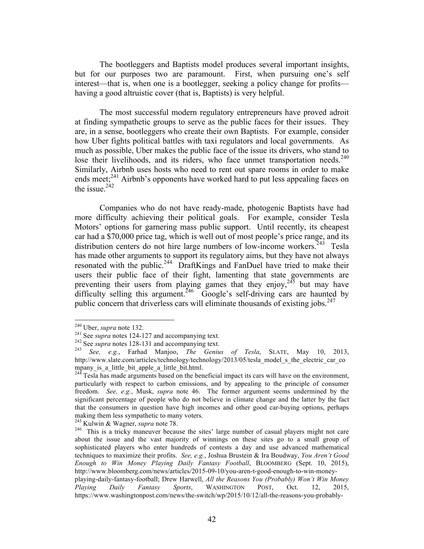The bootleggers and Baptists model produces several important insights, but for our purposes two are paramount. First, when pursuing one's self interest—that is, when one is a bootlegger, seeking a policy change for profits having a good altruistic cover (that is, Baptists) is very helpful.

The most successful modern regulatory entrepreneurs have proved adroit at finding sympathetic groups to serve as the public faces for their issues. They are, in a sense, bootleggers who create their own Baptists. For example, consider how Uber fights political battles with taxi regulators and local governments. As much as possible, Uber makes the public face of the issue its drivers, who stand to lose their livelihoods, and its riders, who face unmet transportation needs.<sup>240</sup> Similarly, Airbnb uses hosts who need to rent out spare rooms in order to make ends meet; $^{241}$  Airbnb's opponents have worked hard to put less appealing faces on the issue. $2^{242}$ 

Companies who do not have ready-made, photogenic Baptists have had more difficulty achieving their political goals. For example, consider Tesla Motors' options for garnering mass public support. Until recently, its cheapest car had a \$70,000 price tag, which is well out of most people's price range, and its distribution centers do not hire large numbers of low-income workers.<sup>243</sup> Tesla has made other arguments to support its regulatory aims, but they have not always resonated with the public.<sup>244</sup> DraftKings and FanDuel have tried to make their users their public face of their fight, lamenting that state governments are preventing their users from playing games that they enjoy,  $245$  but may have difficulty selling this argument.<sup>246</sup> Google's self-driving cars are haunted by public concern that driverless cars will eliminate thousands of existing jobs.<sup>247</sup>

<sup>&</sup>lt;sup>240</sup> Uber, *supra* note 132.<br>
<sup>241</sup> See *supra* notes 124-127 and accompanying text.<br>
<sup>242</sup> See *supra* notes 128-131 and accompanying text.<br>
<sup>243</sup> See, e.g., Farhad Manjoo, *The Genius of Tesla*, SLATE, May 10, 2013, http://www.slate.com/articles/technology/technology/2013/05/tesla\_model\_s\_the\_electric\_car\_co mpany is a little bit apple a little bit.html.

 $244$  Tesla has made arguments based on the beneficial impact its cars will have on the environment, particularly with respect to carbon emissions, and by appealing to the principle of consumer freedom. *See, e.g.*, Musk, *supra* note 46. The former argument seems undermined by the significant percentage of people who do not believe in climate change and the latter by the fact that the consumers in question have high incomes and other good car-buying options, perhaps making them less sympathetic to many voters.<br><sup>245</sup> Kulwin & Wagner, *supra* note 78.

<sup>&</sup>lt;sup>246</sup> This is a tricky maneuver because the sites' large number of casual players might not care about the issue and the vast majority of winnings on these sites go to a small group of sophisticated players who enter hundreds of contests a day and use advanced mathematical techniques to maximize their profits. *See, e.g.*, Joshua Brustein & Ira Boudway, *You Aren't Good Enough to Win Money Playing Daily Fantasy Football*, BLOOMBERG (Sept. 10, 2015), http://www.bloomberg.com/news/articles/2015-09-10/you-aren-t-good-enough-to-win-moneyplaying-daily-fantasy-football; Drew Harwell, *All the Reasons You (Probably) Won't Win Money Playing Daily Fantasy Sports*, WASHINGTON POST, Oct. 12, 2015, https://www.washingtonpost.com/news/the-switch/wp/2015/10/12/all-the-reasons-you-probably-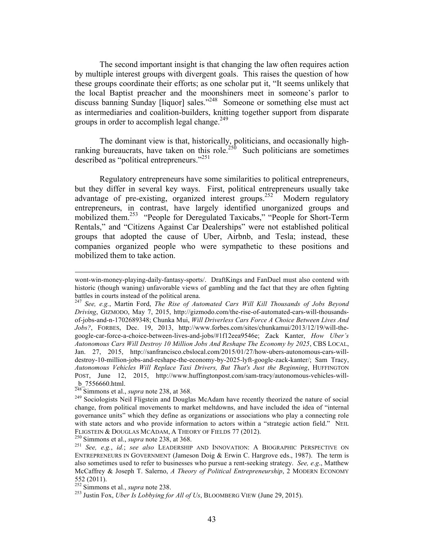The second important insight is that changing the law often requires action by multiple interest groups with divergent goals. This raises the question of how these groups coordinate their efforts; as one scholar put it, "It seems unlikely that the local Baptist preacher and the moonshiners meet in someone's parlor to discuss banning Sunday [liquor] sales." 248 Someone or something else must act as intermediaries and coalition-builders, knitting together support from disparate groups in order to accomplish legal change.<sup>249</sup>

The dominant view is that, historically, politicians, and occasionally highranking bureaucrats, have taken on this role.<sup>250</sup> Such politicians are sometimes described as "political entrepreneurs."<sup>251</sup>

Regulatory entrepreneurs have some similarities to political entrepreneurs, but they differ in several key ways. First, political entrepreneurs usually take advantage of pre-existing, organized interest groups.<sup>252</sup> Modern regulatory entrepreneurs, in contrast, have largely identified unorganized groups and mobilized them.<sup>253</sup> "People for Deregulated Taxicabs," "People for Short-Term Rentals," and "Citizens Against Car Dealerships" were not established political groups that adopted the cause of Uber, Airbnb, and Tesla; instead, these companies organized people who were sympathetic to these positions and mobilized them to take action.

<u> 1989 - Andrea Santa Alemania, amerikana amerikana amerikana amerikana amerikana amerikana amerikana amerikan</u>

wont-win-money-playing-daily-fantasy-sports/. DraftKings and FanDuel must also contend with historic (though waning) unfavorable views of gambling and the fact that they are often fighting battles in courts instead of the political arena.

<sup>247</sup> *See, e.g.*, Martin Ford, *The Rise of Automated Cars Will Kill Thousands of Jobs Beyond Driving*, GIZMODO, May 7, 2015, http://gizmodo.com/the-rise-of-automated-cars-will-thousandsof-jobs-and-n-1702689348; Chunka Mui, *Will Driverless Cars Force A Choice Between Lives And Jobs?*, FORBES, Dec. 19, 2013, http://www.forbes.com/sites/chunkamui/2013/12/19/will-thegoogle-car-force-a-choice-between-lives-and-jobs/#1f12eea9546e; Zack Kanter, *How Uber's Autonomous Cars Will Destroy 10 Million Jobs And Reshape The Economy by 2025*, CBS LOCAL, Jan. 27, 2015, http://sanfrancisco.cbslocal.com/2015/01/27/how-ubers-autonomous-cars-willdestroy-10-million-jobs-and-reshape-the-economy-by-2025-lyft-google-zack-kanter/; Sam Tracy, *Autonomous Vehicles Will Replace Taxi Drivers, But That's Just the Beginning*, HUFFINGTON POST, June 12, 2015, http://www.huffingtonpost.com/sam-tracy/autonomous-vehicles-will  $rac{b}{248}$  7556660.html.<br><sup>248</sup> Simmons et al., *supra* note 238, at 368.

<sup>&</sup>lt;sup>249</sup> Sociologists Neil Fligstein and Douglas McAdam have recently theorized the nature of social change, from political movements to market meltdowns, and have included the idea of "internal governance units" which they define as organizations or associations who play a connecting role with state actors and who provide information to actors within a "strategic action field." NEIL FLIGSTEIN & DOUGLAS MCADAM, A THEORY OF FIELDS 77 (2012).<br><sup>250</sup> Simmons et al., *supra* note 238, at 368.<br><sup>251</sup> *See, e.g., id.*; *see also* LEADERSHIP AND INNOVATION: A BIOGRAPHIC PERSPECTIVE ON

ENTREPRENEURS IN GOVERNMENT (Jameson Doig & Erwin C. Hargrove eds., 1987). The term is also sometimes used to refer to businesses who pursue a rent-seeking strategy. *See, e.g*., Matthew McCaffrey & Joseph T. Salerno, *A Theory of Political Entrepreneurship*, 2 MODERN ECONOMY 552 (2011).<br><sup>252</sup> Simmons et al., *supra* note 238.

<sup>&</sup>lt;sup>253</sup> Justin Fox, *Uber Is Lobbying for All of Us*, BLOOMBERG VIEW (June 29, 2015).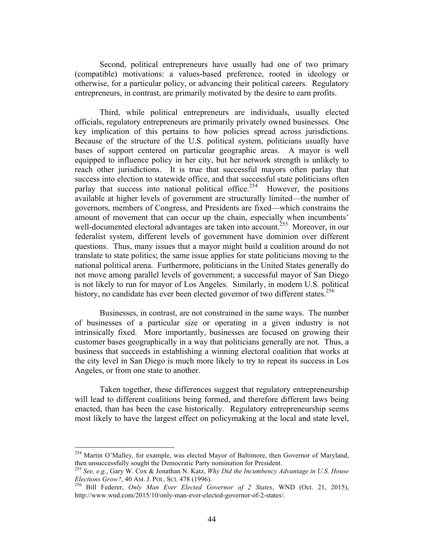Second, political entrepreneurs have usually had one of two primary (compatible) motivations: a values-based preference, rooted in ideology or otherwise, for a particular policy, or advancing their political careers. Regulatory entrepreneurs, in contrast, are primarily motivated by the desire to earn profits.

Third, while political entrepreneurs are individuals, usually elected officials, regulatory entrepreneurs are primarily privately owned businesses. One key implication of this pertains to how policies spread across jurisdictions. Because of the structure of the U.S. political system, politicians usually have bases of support centered on particular geographic areas. A mayor is well equipped to influence policy in her city, but her network strength is unlikely to reach other jurisdictions. It is true that successful mayors often parlay that success into election to statewide office, and that successful state politicians often parlay that success into national political office.<sup>254</sup> However, the positions available at higher levels of government are structurally limited—the number of governors, members of Congress, and Presidents are fixed—which constrains the amount of movement that can occur up the chain, especially when incumbents' well-documented electoral advantages are taken into account.<sup>255</sup> Moreover, in our federalist system, different levels of government have dominion over different questions. Thus, many issues that a mayor might build a coalition around do not translate to state politics; the same issue applies for state politicians moving to the national political arena. Furthermore, politicians in the United States generally do not move among parallel levels of government; a successful mayor of San Diego is not likely to run for mayor of Los Angeles. Similarly, in modern U.S. political history, no candidate has ever been elected governor of two different states.<sup>256</sup>

Businesses, in contrast, are not constrained in the same ways. The number of businesses of a particular size or operating in a given industry is not intrinsically fixed. More importantly, businesses are focused on growing their customer bases geographically in a way that politicians generally are not. Thus, a business that succeeds in establishing a winning electoral coalition that works at the city level in San Diego is much more likely to try to repeat its success in Los Angeles, or from one state to another.

Taken together, these differences suggest that regulatory entrepreneurship will lead to different coalitions being formed, and therefore different laws being enacted, than has been the case historically. Regulatory entrepreneurship seems most likely to have the largest effect on policymaking at the local and state level,

 $^{254}$  Martin O'Malley, for example, was elected Mayor of Baltimore, then Governor of Maryland, then unsuccessfully sought the Democratic Party nomination for President.

<sup>255</sup> *See, e.g.*, Gary W. Cox & Jonathan N. Katz, *Why Did the Incumbency Advantage in U.S. House* 

*Elections Grow?*, 40 AM. J. POL. SCI. 478 (1996). 256 Bill Federer, *Only Man Ever Elected Governor of 2 States*, WND (Oct. 21, 2015), http://www.wnd.com/2015/10/only-man-ever-elected-governor-of-2-states/.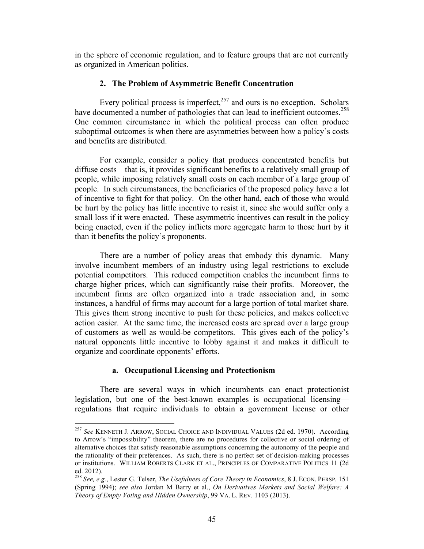in the sphere of economic regulation, and to feature groups that are not currently as organized in American politics.

## **2. The Problem of Asymmetric Benefit Concentration**

Every political process is imperfect, $257$  and ours is no exception. Scholars have documented a number of pathologies that can lead to inefficient outcomes.<sup>258</sup> One common circumstance in which the political process can often produce suboptimal outcomes is when there are asymmetries between how a policy's costs and benefits are distributed.

For example, consider a policy that produces concentrated benefits but diffuse costs—that is, it provides significant benefits to a relatively small group of people, while imposing relatively small costs on each member of a large group of people. In such circumstances, the beneficiaries of the proposed policy have a lot of incentive to fight for that policy. On the other hand, each of those who would be hurt by the policy has little incentive to resist it, since she would suffer only a small loss if it were enacted. These asymmetric incentives can result in the policy being enacted, even if the policy inflicts more aggregate harm to those hurt by it than it benefits the policy's proponents.

There are a number of policy areas that embody this dynamic. Many involve incumbent members of an industry using legal restrictions to exclude potential competitors. This reduced competition enables the incumbent firms to charge higher prices, which can significantly raise their profits. Moreover, the incumbent firms are often organized into a trade association and, in some instances, a handful of firms may account for a large portion of total market share. This gives them strong incentive to push for these policies, and makes collective action easier. At the same time, the increased costs are spread over a large group of customers as well as would-be competitors. This gives each of the policy's natural opponents little incentive to lobby against it and makes it difficult to organize and coordinate opponents' efforts.

#### **a. Occupational Licensing and Protectionism**

There are several ways in which incumbents can enact protectionist legislation, but one of the best-known examples is occupational licensing regulations that require individuals to obtain a government license or other

 <sup>257</sup> *See* KENNETH J. ARROW, SOCIAL CHOICE AND INDIVIDUAL VALUES (2d ed. 1970). According to Arrow's "impossibility" theorem, there are no procedures for collective or social ordering of alternative choices that satisfy reasonable assumptions concerning the autonomy of the people and the rationality of their preferences. As such, there is no perfect set of decision-making processes or institutions. WILLIAM ROBERTS CLARK ET AL., PRINCIPLES OF COMPARATIVE POLITICS 11 (2d ed. 2012).

<sup>258</sup> *See, e.g.*, Lester G. Telser, *The Usefulness of Core Theory in Economics*, 8 J. ECON. PERSP. 151 (Spring 1994); *see also* Jordan M Barry et al., *On Derivatives Markets and Social Welfare: A Theory of Empty Voting and Hidden Ownership*, 99 VA. L. REV. 1103 (2013).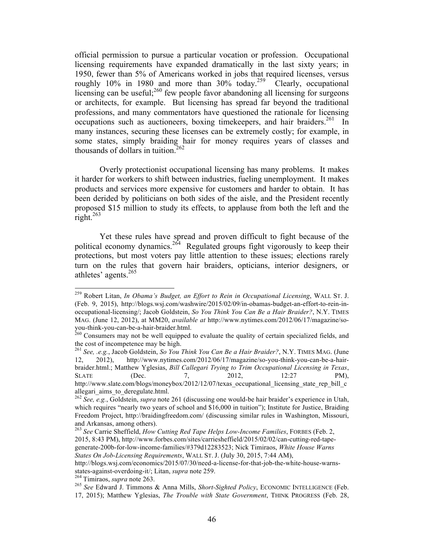official permission to pursue a particular vocation or profession. Occupational licensing requirements have expanded dramatically in the last sixty years; in 1950, fewer than 5% of Americans worked in jobs that required licenses, versus roughly 10% in 1980 and more than 30% today.<sup>259</sup> Clearly, occupational licensing can be useful; $^{260}$  few people favor abandoning all licensing for surgeons or architects, for example. But licensing has spread far beyond the traditional professions, and many commentators have questioned the rationale for licensing occupations such as auctioneers, boxing timekeepers, and hair braiders.<sup>261</sup> In many instances, securing these licenses can be extremely costly; for example, in some states, simply braiding hair for money requires years of classes and thousands of dollars in tuition. 262

Overly protectionist occupational licensing has many problems. It makes it harder for workers to shift between industries, fueling unemployment. It makes products and services more expensive for customers and harder to obtain. It has been derided by politicians on both sides of the aisle, and the President recently proposed \$15 million to study its effects, to applause from both the left and the  $right.<sup>263</sup>$ 

Yet these rules have spread and proven difficult to fight because of the political economy dynamics.<sup>264</sup> Regulated groups fight vigorously to keep their protections, but most voters pay little attention to these issues; elections rarely turn on the rules that govern hair braiders, opticians, interior designers, or athletes' agents. 265

 259 Robert Litan, *In Obama's Budget, an Effort to Rein in Occupational Licensing*, WALL ST. J. (Feb. 9, 2015), http://blogs.wsj.com/washwire/2015/02/09/in-obamas-budget-an-effort-to-rein-inoccupational-licensing/; Jacob Goldstein, *So You Think You Can Be a Hair Braider?*, N.Y. TIMES MAG. (June 12, 2012), at MM20, *available at* http://www.nytimes.com/2012/06/17/magazine/soyou-think-you-can-be-a-hair-braider.html.<br><sup>260</sup> Consumers may not be well equipped to evaluate the quality of certain specialized fields, and

the cost of incompetence may be high.

<sup>261</sup> *See, .e.g.*, Jacob Goldstein, *So You Think You Can Be a Hair Braider?*, N.Y. TIMES MAG. (June 12, 2012), http://www.nytimes.com/2012/06/17/magazine/so-you-think-you-can-be-a-hairbraider.html.; Matthew Yglesias, *Bill Callegari Trying to Trim Occupational Licensing in Texas*, SLATE (Dec. 7, 2012, 12:27 PM), http://www.slate.com/blogs/moneybox/2012/12/07/texas\_occupational\_licensing\_state\_rep\_bill\_c allegari aims to deregulate.html.

<sup>262</sup> *See, e.g.*, Goldstein, *supra* note 261 (discussing one would-be hair braider's experience in Utah, which requires "nearly two years of school and \$16,000 in tuition"); Institute for Justice, Braiding Freedom Project, http://braidingfreedom.com/ (discussing similar rules in Washington, Missouri, and Arkansas, among others).

<sup>263</sup> *See* Carrie Sheffield, *How Cutting Red Tape Helps Low-Income Families*, FORBES (Feb. 2, 2015, 8:43 PM), http://www.forbes.com/sites/carriesheffield/2015/02/02/can-cutting-red-tapegenerate-200b-for-low-income-families/#379d12283523; Nick Timiraos, *White House Warns States On Job-Licensing Requirements*, WALL ST. J. (July 30, 2015, 7:44 AM),

http://blogs.wsj.com/economics/2015/07/30/need-a-license-for-that-job-the-white-house-warnsstates-against-overdoing-it/; Litan, *supra* note 259.<br><sup>264</sup> Timiraos, *supra* note 263.<br><sup>265</sup> *See* Edward J. Timmons & Anna Mills, *Short-Sighted Policy*, ECONOMIC INTELLIGENCE (Feb.

<sup>17, 2015);</sup> Matthew Yglesias, *The Trouble with State Government*, THINK PROGRESS (Feb. 28,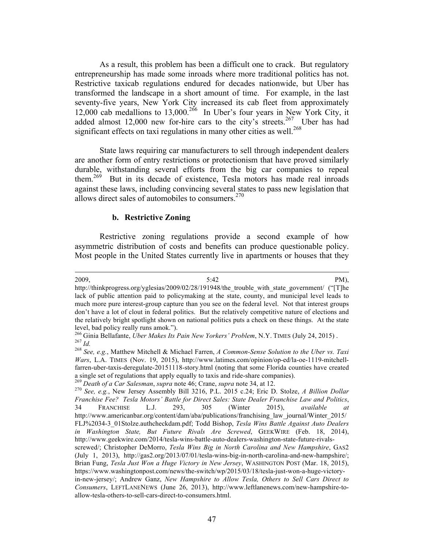As a result, this problem has been a difficult one to crack. But regulatory entrepreneurship has made some inroads where more traditional politics has not. Restrictive taxicab regulations endured for decades nationwide, but Uber has transformed the landscape in a short amount of time. For example, in the last seventy-five years, New York City increased its cab fleet from approximately 12,000 cab medallions to 13,000. 266 In Uber's four years in New York City, it added almost 12,000 new for-hire cars to the city's streets.<sup>267</sup> Uber has had significant effects on taxi regulations in many other cities as well.<sup>268</sup>

State laws requiring car manufacturers to sell through independent dealers are another form of entry restrictions or protectionism that have proved similarly durable, withstanding several efforts from the big car companies to repeal them.<sup>269</sup> But in its decade of existence, Tesla motors has made real inroads against these laws, including convincing several states to pass new legislation that allows direct sales of automobiles to consumers. 270

## **b. Restrictive Zoning**

Restrictive zoning regulations provide a second example of how asymmetric distribution of costs and benefits can produce questionable policy. Most people in the United States currently live in apartments or houses that they

<u> 1989 - Andrea Santa Alemania, amerikana amerikana amerikana amerikana amerikana amerikana amerikana amerikan</u>  $2009,$  PM),

http://thinkprogress.org/yglesias/2009/02/28/191948/the\_trouble\_with\_state\_government/ ("[T]he lack of public attention paid to policymaking at the state, county, and municipal level leads to much more pure interest-group capture than you see on the federal level. Not that interest groups don't have a lot of clout in federal politics. But the relatively competitive nature of elections and the relatively bright spotlight shown on national politics puts a check on these things. At the state

allow-tesla-others-to-sell-cars-direct-to-consumers.html.

level, bad policy really runs amok.").<br><sup>266</sup> Ginia Bellafante, *Uber Makes Its Pain New Yorkers' Problem*, N.Y. TIMES (July 24, 2015).<br><sup>267</sup> Id.<br><sup>268</sup> See. e.g., Matthew Mitchell & Michael Farren, A Common-Sense Solution t

*Wars*, L.A. TIMES (Nov. 19, 2015), http://www.latimes.com/opinion/op-ed/la-oe-1119-mitchellfarren-uber-taxis-deregulate-20151118-story.html (noting that some Florida counties have created a single set of regulations that apply equally to taxis and ride-share companies).<br><sup>269</sup> Death of a Car Salesman, supra note 46; Crane, supra note 34, at 12.<br><sup>270</sup> See, e.g., New Jersey Assembly Bill 3216, P.L. 2015 c.24;

*Franchise Fee? Tesla Motors' Battle for Direct Sales: State Dealer Franchise Law and Politics*, 34 FRANCHISE L.J. 293, 305 (Winter 2015), *available at* http://www.americanbar.org/content/dam/aba/publications/franchising\_law\_journal/Winter\_2015/ FLJ%2034-3\_01Stolze.authcheckdam.pdf; Todd Bishop, *Tesla Wins Battle Against Auto Dealers in Washington State, But Future Rivals Are Screwed*, GEEKWIRE (Feb. 18, 2014), http://www.geekwire.com/2014/tesla-wins-battle-auto-dealers-washington-state-future-rivalsscrewed/; Christopher DeMorro, *Tesla Wins Big in North Carolina and New Hampshire*, GAS2

<sup>(</sup>July 1, 2013), http://gas2.org/2013/07/01/tesla-wins-big-in-north-carolina-and-new-hampshire/; Brian Fung, *Tesla Just Won a Huge Victory in New Jersey*, WASHINGTON POST (Mar. 18, 2015), https://www.washingtonpost.com/news/the-switch/wp/2015/03/18/tesla-just-won-a-huge-victoryin-new-jersey/; Andrew Ganz, *New Hampshire to Allow Tesla, Others to Sell Cars Direct to Consumers*, LEFTLANENEWS (June 26, 2013), http://www.leftlanenews.com/new-hampshire-to-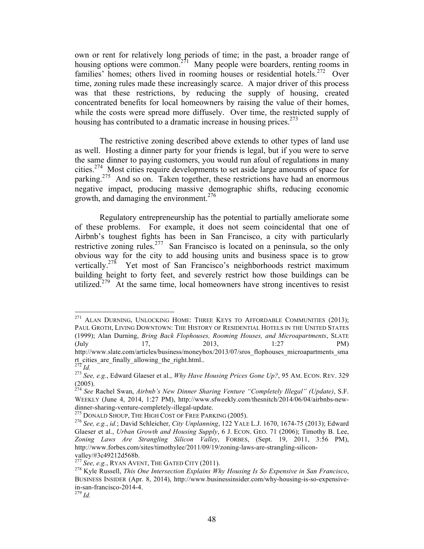own or rent for relatively long periods of time; in the past, a broader range of housing options were common.<sup>271</sup> Many people were boarders, renting rooms in families' homes; others lived in rooming houses or residential hotels.<sup>272</sup> Over time, zoning rules made these increasingly scarce. A major driver of this process was that these restrictions, by reducing the supply of housing, created concentrated benefits for local homeowners by raising the value of their homes, while the costs were spread more diffusely. Over time, the restricted supply of housing has contributed to a dramatic increase in housing prices.<sup>273</sup>

The restrictive zoning described above extends to other types of land use as well. Hosting a dinner party for your friends is legal, but if you were to serve the same dinner to paying customers, you would run afoul of regulations in many cities. 274 Most cities require developments to set aside large amounts of space for parking. 275 And so on. Taken together, these restrictions have had an enormous negative impact, producing massive demographic shifts, reducing economic growth, and damaging the environment. 276

Regulatory entrepreneurship has the potential to partially ameliorate some of these problems. For example, it does not seem coincidental that one of Airbnb's toughest fights has been in San Francisco, a city with particularly restrictive zoning rules.<sup>277</sup> San Francisco is located on a peninsula, so the only obvious way for the city to add housing units and business space is to grow vertically.<sup>278</sup> Yet most of San Francisco's neighborhoods restrict maximum building height to forty feet, and severely restrict how those buildings can be utilized.<sup> $279$ </sup> At the same time, local homeowners have strong incentives to resist

<sup>&</sup>lt;sup>271</sup> ALAN DURNING, UNLOCKING HOME: THREE KEYS TO AFFORDABLE COMMUNITIES (2013); PAUL GROTH, LIVING DOWNTOWN: THE HISTORY OF RESIDENTIAL HOTELS IN THE UNITED STATES (1999); Alan Durning, *Bring Back Flophouses, Rooming Houses, and Microapartments*, SLATE (July 17, 2013, 1:27 PM) http://www.slate.com/articles/business/moneybox/2013/07/sros\_flophouses\_microapartments\_sma rt\_cities\_are\_finally\_allowing\_the\_right.html..<br> $^{272}$  *Id.* 

<sup>272</sup> *Id.* <sup>273</sup> *See, e.g.*, Edward Glaeser et al., *Why Have Housing Prices Gone Up?*, 95 AM. ECON. REV. 329 (2005).

<sup>274</sup> *See* Rachel Swan, *Airbnb's New Dinner Sharing Venture "Completely Illegal" (Update)*, S.F. WEEKLY (June 4, 2014, 1:27 PM), http://www.sfweekly.com/thesnitch/2014/06/04/airbnbs-newdinner-sharing-venture-completely-illegal-update.<br><sup>275</sup> DONALD SHOUP, THE HIGH COST OF FREE PARKING (2005).<br><sup>276</sup> *See, e.g., id.*; David Schleicher, *City Unplanning*, 122 YALE L.J. 1670, 1674-75 (2013); Edward

Glaeser et al., *Urban Growth and Housing Supply*, 6 J. ECON. GEO. 71 (2006); Timothy B. Lee, *Zoning Laws Are Strangling Silicon Valley*, FORBES, (Sept. 19, 2011, 3:56 PM), http://www.forbes.com/sites/timothylee/2011/09/19/zoning-laws-are-strangling-silicon-

valley/#3c49212d568b.<br><sup>277</sup> See, e.g., RYAN AVENT, THE GATED CITY (2011).

<sup>&</sup>lt;sup>278</sup> Kyle Russell, *This One Intersection Explains Why Housing Is So Expensive in San Francisco*, BUSINESS INSIDER (Apr. 8, 2014), http://www.businessinsider.com/why-housing-is-so-expensivein-san-francisco-2014-4. 279 *Id.*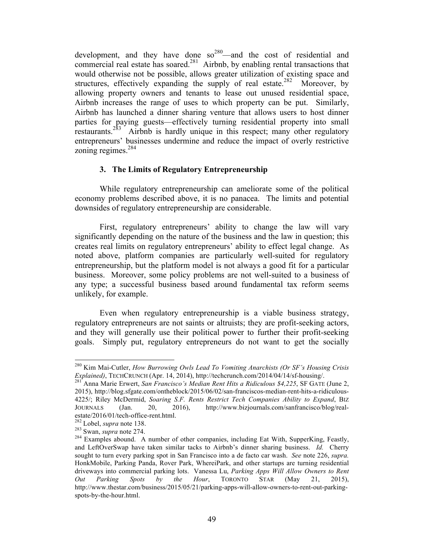development, and they have done  $so^{280}$ —and the cost of residential and commercial real estate has soared.<sup>281</sup> Airbnb, by enabling rental transactions that would otherwise not be possible, allows greater utilization of existing space and structures, effectively expanding the supply of real estate.<sup>282</sup> Moreover, by allowing property owners and tenants to lease out unused residential space, Airbnb increases the range of uses to which property can be put. Similarly, Airbnb has launched a dinner sharing venture that allows users to host dinner parties for paying guests—effectively turning residential property into small restaurants.<sup>283</sup> Airbnb is hardly unique in this respect; many other regulatory entrepreneurs' businesses undermine and reduce the impact of overly restrictive zoning regimes. 284

## **3. The Limits of Regulatory Entrepreneurship**

While regulatory entrepreneurship can ameliorate some of the political economy problems described above, it is no panacea. The limits and potential downsides of regulatory entrepreneurship are considerable.

First, regulatory entrepreneurs' ability to change the law will vary significantly depending on the nature of the business and the law in question; this creates real limits on regulatory entrepreneurs' ability to effect legal change. As noted above, platform companies are particularly well-suited for regulatory entrepreneurship, but the platform model is not always a good fit for a particular business. Moreover, some policy problems are not well-suited to a business of any type; a successful business based around fundamental tax reform seems unlikely, for example.

Even when regulatory entrepreneurship is a viable business strategy, regulatory entrepreneurs are not saints or altruists; they are profit-seeking actors, and they will generally use their political power to further their profit-seeking goals. Simply put, regulatory entrepreneurs do not want to get the socially

 280 Kim Mai-Cutler, *How Burrowing Owls Lead To Vomiting Anarchists (Or SF's Housing Crisis Explained)*, TECHCRUNCH (Apr. 14, 2014), http://techcrunch.com/2014/04/14/sf-housing/. 281 Anna Marie Erwert, *San Francisco's Median Rent Hits a Ridiculous \$4,225*, SF GATE (June 2,

<sup>2015),</sup> http://blog.sfgate.com/ontheblock/2015/06/02/san-franciscos-median-rent-hits-a-ridiculous-4225/; Riley McDermid, *Soaring S.F. Rents Restrict Tech Companies Ability to Expand*, BIZ JOURNALS (Jan. 20, 2016), http://www.bizjournals.com/sanfrancisco/blog/real-<br>estate/2016/01/tech-office-rent.html.<br><sup>282</sup> Lobel, *supra* note 138.

estate-rent.html. 283 Swan, *supra* note 274.<br><sup>284</sup> Examples abound. A number of other companies, including Eat With, SupperKing, Feastly, and LeftOverSwap have taken similar tacks to Airbnb's dinner sharing business. *Id.* Cherry sought to turn every parking spot in San Francisco into a de facto car wash. *See* note 226, *supra.* HonkMobile, Parking Panda, Rover Park, WhereiPark, and other startups are turning residential driveways into commercial parking lots. Vanessa Lu, *Parking Apps Will Allow Owners to Rent Out Parking Spots by the Hour*, TORONTO STAR (May 21, 2015), http://www.thestar.com/business/2015/05/21/parking-apps-will-allow-owners-to-rent-out-parkingspots-by-the-hour.html.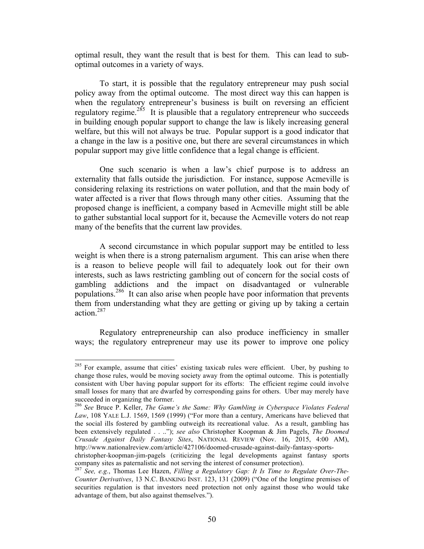optimal result, they want the result that is best for them. This can lead to suboptimal outcomes in a variety of ways.

To start, it is possible that the regulatory entrepreneur may push social policy away from the optimal outcome. The most direct way this can happen is when the regulatory entrepreneur's business is built on reversing an efficient regulatory regime.<sup>285</sup> It is plausible that a regulatory entrepreneur who succeeds in building enough popular support to change the law is likely increasing general welfare, but this will not always be true. Popular support is a good indicator that a change in the law is a positive one, but there are several circumstances in which popular support may give little confidence that a legal change is efficient.

One such scenario is when a law's chief purpose is to address an externality that falls outside the jurisdiction. For instance, suppose Acmeville is considering relaxing its restrictions on water pollution, and that the main body of water affected is a river that flows through many other cities. Assuming that the proposed change is inefficient, a company based in Acmeville might still be able to gather substantial local support for it, because the Acmeville voters do not reap many of the benefits that the current law provides.

A second circumstance in which popular support may be entitled to less weight is when there is a strong paternalism argument. This can arise when there is a reason to believe people will fail to adequately look out for their own interests, such as laws restricting gambling out of concern for the social costs of gambling addictions and the impact on disadvantaged or vulnerable populations.<sup>286</sup> It can also arise when people have poor information that prevents them from understanding what they are getting or giving up by taking a certain action.287

Regulatory entrepreneurship can also produce inefficiency in smaller ways; the regulatory entrepreneur may use its power to improve one policy

 $285$  For example, assume that cities' existing taxicab rules were efficient. Uber, by pushing to change those rules, would be moving society away from the optimal outcome. This is potentially consistent with Uber having popular support for its efforts: The efficient regime could involve small losses for many that are dwarfed by corresponding gains for others. Uber may merely have succeeded in organizing the former.

<sup>286</sup> *See* Bruce P. Keller, *The Game's the Same: Why Gambling in Cyberspace Violates Federal*  Law, 108 YALE L.J. 1569, 1569 (1999) ("For more than a century, Americans have believed that the social ills fostered by gambling outweigh its recreational value. As a result, gambling has been extensively regulated . . .."); *see also* Christopher Koopman & Jim Pagels, *The Doomed Crusade Against Daily Fantasy Sites*, NATIONAL REVIEW (Nov. 16, 2015, 4:00 AM), http://www.nationalreview.com/article/427106/doomed-crusade-against-daily-fantasy-sports-

christopher-koopman-jim-pagels (criticizing the legal developments against fantasy sports company sites as paternalistic and not serving the interest of consumer protection).

<sup>287</sup> *See, e.g.*, Thomas Lee Hazen, *Filling a Regulatory Gap: It Is Time to Regulate Over-The-Counter Derivatives*, 13 N.C. BANKING INST. 123, 131 (2009) ("One of the longtime premises of securities regulation is that investors need protection not only against those who would take advantage of them, but also against themselves.").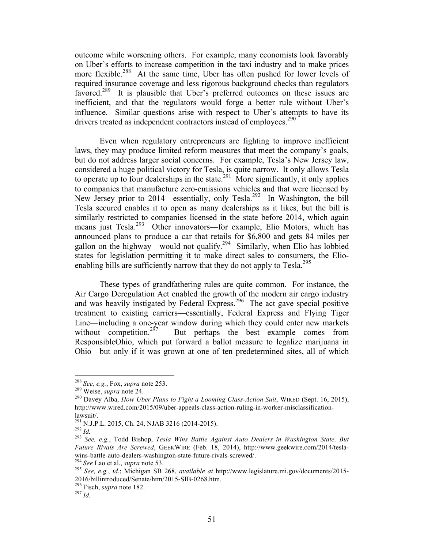outcome while worsening others. For example, many economists look favorably on Uber's efforts to increase competition in the taxi industry and to make prices more flexible.<sup>288</sup> At the same time, Uber has often pushed for lower levels of required insurance coverage and less rigorous background checks than regulators favored.<sup>289</sup> It is plausible that Uber's preferred outcomes on these issues are inefficient, and that the regulators would forge a better rule without Uber's influence. Similar questions arise with respect to Uber's attempts to have its drivers treated as independent contractors instead of employees.<sup>290</sup>

Even when regulatory entrepreneurs are fighting to improve inefficient laws, they may produce limited reform measures that meet the company's goals, but do not address larger social concerns. For example, Tesla's New Jersey law, considered a huge political victory for Tesla, is quite narrow. It only allows Tesla to operate up to four dealerships in the state.<sup>291</sup> More significantly, it only applies to companies that manufacture zero-emissions vehicles and that were licensed by New Jersey prior to 2014—essentially, only Tesla.<sup>292</sup> In Washington, the bill Tesla secured enables it to open as many dealerships as it likes, but the bill is similarly restricted to companies licensed in the state before 2014, which again means just Tesla.<sup>293</sup> Other innovators—for example, Elio Motors, which has announced plans to produce a car that retails for \$6,800 and gets 84 miles per gallon on the highway—would not qualify.<sup>294</sup> Similarly, when Elio has lobbied states for legislation permitting it to make direct sales to consumers, the Elioenabling bills are sufficiently narrow that they do not apply to  $Tesla<sup>295</sup>$ 

These types of grandfathering rules are quite common. For instance, the Air Cargo Deregulation Act enabled the growth of the modern air cargo industry and was heavily instigated by Federal Express. 296 The act gave special positive treatment to existing carriers—essentially, Federal Express and Flying Tiger Line—including a one-year window during which they could enter new markets without competition. $2^{97}$ But perhaps the best example comes from ResponsibleOhio, which put forward a ballot measure to legalize marijuana in Ohio—but only if it was grown at one of ten predetermined sites, all of which

 <sup>288</sup> *See, e.g.*, Fox, *supra* note 253. 289 Weise, *supra* note 24. 290 Davey Alba, *How Uber Plans to Fight a Looming Class-Action Suit*, WIRED (Sept. 16, 2015), http://www.wired.com/2015/09/uber-appeals-class-action-ruling-in-worker-misclassification-

lawsuit/. 291 N.J.P.L. 2015, Ch. 24, NJAB 3216 (2014-2015). 292 *Id.* <sup>293</sup> *See, e.g.*, Todd Bishop, *Tesla Wins Battle Against Auto Dealers in Washington State, But Future Rivals Are Screwed*, GEEKWIRE (Feb. 18, 2014), http://www.geekwire.com/2014/teslawins-battle-auto-dealers-washington-state-future-rivals-screwed/.<br><sup>294</sup> See Lao et al., *supra* note 53.<br><sup>295</sup> See, e.g., id.; Michigan SB 268, *available at http://www.legislature.mi.gov/documents/2015-*

<sup>2016/</sup>billintroduced/Senate/htm/2015-SIB-0268.htm. 296 Fisch, *supra* note 182. <sup>297</sup> *Id.*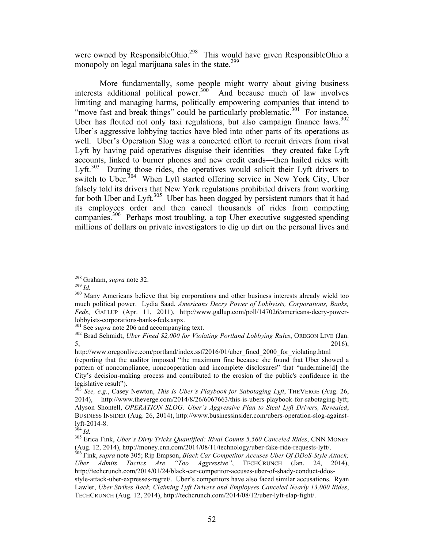were owned by ResponsibleOhio.<sup>298</sup> This would have given ResponsibleOhio a monopoly on legal marijuana sales in the state.<sup>299</sup>

More fundamentally, some people might worry about giving business interests additional political power.<sup>300</sup> And because much of law involves limiting and managing harms, politically empowering companies that intend to "move fast and break things" could be particularly problematic. $301$  For instance, Uber has flouted not only taxi regulations, but also campaign finance  $laws$ .<sup>302</sup> Uber's aggressive lobbying tactics have bled into other parts of its operations as well. Uber's Operation Slog was a concerted effort to recruit drivers from rival Lyft by having paid operatives disguise their identities—they created fake Lyft accounts, linked to burner phones and new credit cards—then hailed rides with Lyft.<sup>303</sup> During those rides, the operatives would solicit their Lyft drivers to switch to Uber.<sup>304</sup> When Lyft started offering service in New York City, Uber falsely told its drivers that New York regulations prohibited drivers from working for both Uber and Lyft.<sup>305</sup> Uber has been dogged by persistent rumors that it had its employees order and then cancel thousands of rides from competing companies. 306 Perhaps most troubling, a top Uber executive suggested spending millions of dollars on private investigators to dig up dirt on the personal lives and

<sup>&</sup>lt;sup>298</sup> Graham, *supra* note 32.<br><sup>299</sup> *Id.* 300 Many Americans believe that big corporations and other business interests already wield too much political power. Lydia Saad, *Americans Decry Power of Lobbyists, Corporations, Banks, Feds*, GALLUP (Apr. 11, 2011), http://www.gallup.com/poll/147026/americans-decry-powerlobbyists-corporations-banks-feds.aspx. 301 See *supra* note 206 and accompanying text. 302 Brad Schmidt, *Uber Fined \$2,000 for Violating Portland Lobbying Rules*, OREGON LIVE (Jan.

 $5,$  2016),

http://www.oregonlive.com/portland/index.ssf/2016/01/uber\_fined\_2000\_for\_violating.html (reporting that the auditor imposed "the maximum fine because she found that Uber showed a pattern of noncompliance, noncooperation and incomplete disclosures" that "undermine[d] the City's decision-making process and contributed to the erosion of the public's confidence in the legislative result").

<sup>303</sup> *See, e.g.*, Casey Newton, *This Is Uber's Playbook for Sabotaging Lyft*, THEVERGE (Aug. 26, 2014), http://www.theverge.com/2014/8/26/6067663/this-is-ubers-playbook-for-sabotaging-lyft; Alyson Shontell, *OPERATION SLOG: Uber's Aggressive Plan to Steal Lyft Drivers, Revealed*, BUSINESS INSIDER (Aug. 26, 2014), http://www.businessinsider.com/ubers-operation-slog-against-<br>lyft-2014-8.<br> $\frac{304}{Id}$ .

<sup>&</sup>lt;sup>305</sup> Erica Fink, *Uber's Dirty Tricks Quantified: Rival Counts 5,560 Canceled Rides*, CNN MONEY (Aug. 12, 2014), http://money.cnn.com/2014/08/11/technology/uber-fake-ride-requests-lyft/.

<sup>&</sup>lt;sup>306</sup> Fink, *supra* note 305; Rip Empson, *Black Car Competitor Accuses Uber Of DDoS-Style Attack; Uber Admits Tactics Are "Too Aggressive"*, TECHCRUNCH (Jan. 24, 2014), http://techcrunch.com/2014/01/24/black-car-competitor-accuses-uber-of-shady-conduct-ddosstyle-attack-uber-expresses-regret/. Uber's competitors have also faced similar accusations. Ryan Lawler, *Uber Strikes Back, Claiming Lyft Drivers and Employees Canceled Nearly 13,000 Rides*, TECHCRUNCH (Aug. 12, 2014), http://techcrunch.com/2014/08/12/uber-lyft-slap-fight/.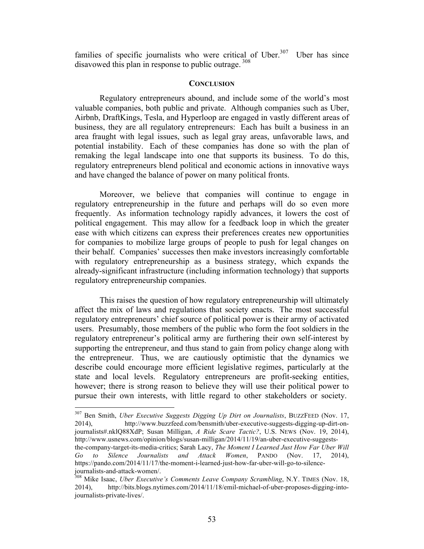families of specific journalists who were critical of Uber.<sup>307</sup> Uber has since disavowed this plan in response to public outrage.<sup>308</sup>

#### **CONCLUSION**

Regulatory entrepreneurs abound, and include some of the world's most valuable companies, both public and private. Although companies such as Uber, Airbnb, DraftKings, Tesla, and Hyperloop are engaged in vastly different areas of business, they are all regulatory entrepreneurs: Each has built a business in an area fraught with legal issues, such as legal gray areas, unfavorable laws, and potential instability. Each of these companies has done so with the plan of remaking the legal landscape into one that supports its business. To do this, regulatory entrepreneurs blend political and economic actions in innovative ways and have changed the balance of power on many political fronts.

Moreover, we believe that companies will continue to engage in regulatory entrepreneurship in the future and perhaps will do so even more frequently. As information technology rapidly advances, it lowers the cost of political engagement. This may allow for a feedback loop in which the greater ease with which citizens can express their preferences creates new opportunities for companies to mobilize large groups of people to push for legal changes on their behalf. Companies' successes then make investors increasingly comfortable with regulatory entrepreneurship as a business strategy, which expands the already-significant infrastructure (including information technology) that supports regulatory entrepreneurship companies.

This raises the question of how regulatory entrepreneurship will ultimately affect the mix of laws and regulations that society enacts. The most successful regulatory entrepreneurs' chief source of political power is their army of activated users. Presumably, those members of the public who form the foot soldiers in the regulatory entrepreneur's political army are furthering their own self-interest by supporting the entrepreneur, and thus stand to gain from policy change along with the entrepreneur. Thus, we are cautiously optimistic that the dynamics we describe could encourage more efficient legislative regimes, particularly at the state and local levels. Regulatory entrepreneurs are profit-seeking entities, however; there is strong reason to believe they will use their political power to pursue their own interests, with little regard to other stakeholders or society.

 307 Ben Smith, *Uber Executive Suggests Digging Up Dirt on Journalists*, BUZZFEED (Nov. 17, 2014), http://www.buzzfeed.com/bensmith/uber-executive-suggests-digging-up-dirt-onjournalists#.nklQ88XdP; Susan Milligan, *A Ride Scare Tactic?*, U.S. NEWS (Nov. 19, 2014), http://www.usnews.com/opinion/blogs/susan-milligan/2014/11/19/an-uber-executive-suggeststhe-company-target-its-media-critics; Sarah Lacy, *The Moment I Learned Just How Far Uber Will Go to Silence Journalists and Attack Women*, PANDO (Nov. 17, 2014), https://pando.com/2014/11/17/the-moment-i-learned-just-how-far-uber-will-go-to-silencejournalists-and-attack-women/.<br><sup>308</sup> Mike Isaac, *Uber Executive's Comments Leave Company Scrambling*, N.Y. TIMES (Nov. 18,

<sup>2014),</sup> http://bits.blogs.nytimes.com/2014/11/18/emil-michael-of-uber-proposes-digging-intojournalists-private-lives/.